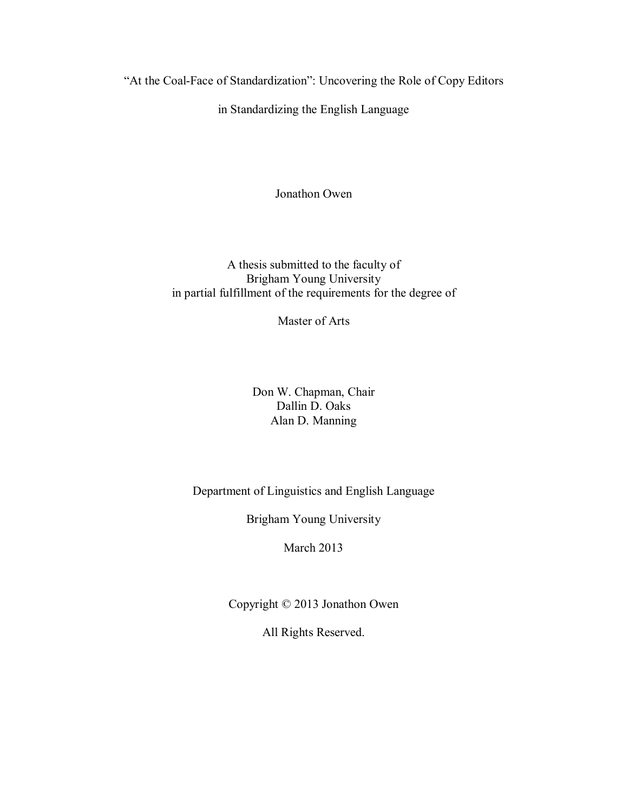"At the Coal-Face of Standardization": Uncovering the Role of Copy Editors

in Standardizing the English Language

Jonathon Owen

A thesis submitted to the faculty of Brigham Young University in partial fulfillment of the requirements for the degree of

Master of Arts

Don W. Chapman, Chair Dallin D. Oaks Alan D. Manning

Department of Linguistics and English Language

Brigham Young University

March 2013

Copyright © 2013 Jonathon Owen

All Rights Reserved.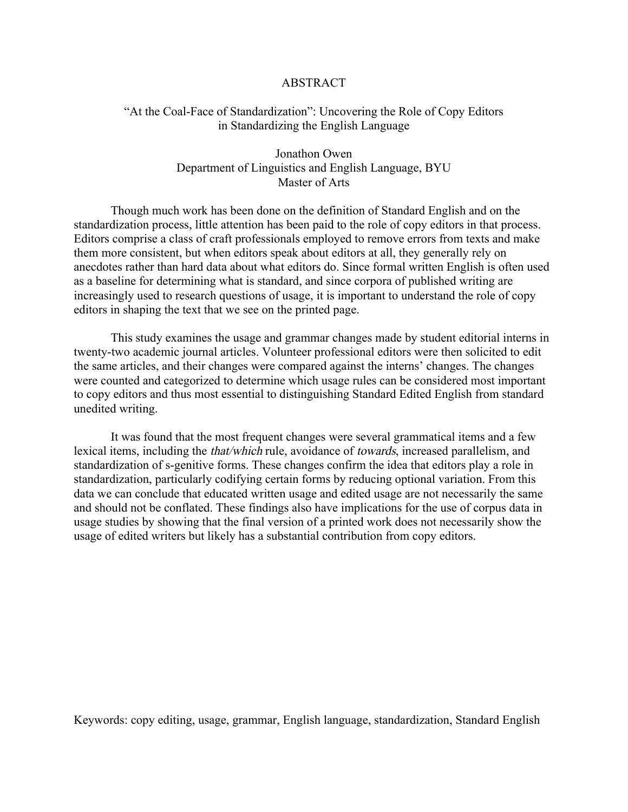#### ABSTRACT

## "At the Coal-Face of Standardization": Uncovering the Role of Copy Editors in Standardizing the English Language

## Jonathon Owen Department of Linguistics and English Language, BYU Master of Arts

Though much work has been done on the definition of Standard English and on the standardization process, little attention has been paid to the role of copy editors in that process. Editors comprise a class of craft professionals employed to remove errors from texts and make them more consistent, but when editors speak about editors at all, they generally rely on anecdotes rather than hard data about what editors do. Since formal written English is often used as a baseline for determining what is standard, and since corpora of published writing are increasingly used to research questions of usage, it is important to understand the role of copy editors in shaping the text that we see on the printed page.

This study examines the usage and grammar changes made by student editorial interns in twenty-two academic journal articles. Volunteer professional editors were then solicited to edit the same articles, and their changes were compared against the interns' changes. The changes were counted and categorized to determine which usage rules can be considered most important to copy editors and thus most essential to distinguishing Standard Edited English from standard unedited writing.

It was found that the most frequent changes were several grammatical items and a few lexical items, including the that/which rule, avoidance of towards, increased parallelism, and standardization of s-genitive forms. These changes confirm the idea that editors play a role in standardization, particularly codifying certain forms by reducing optional variation. From this data we can conclude that educated written usage and edited usage are not necessarily the same and should not be conflated. These findings also have implications for the use of corpus data in usage studies by showing that the final version of a printed work does not necessarily show the usage of edited writers but likely has a substantial contribution from copy editors.

Keywords: copy editing, usage, grammar, English language, standardization, Standard English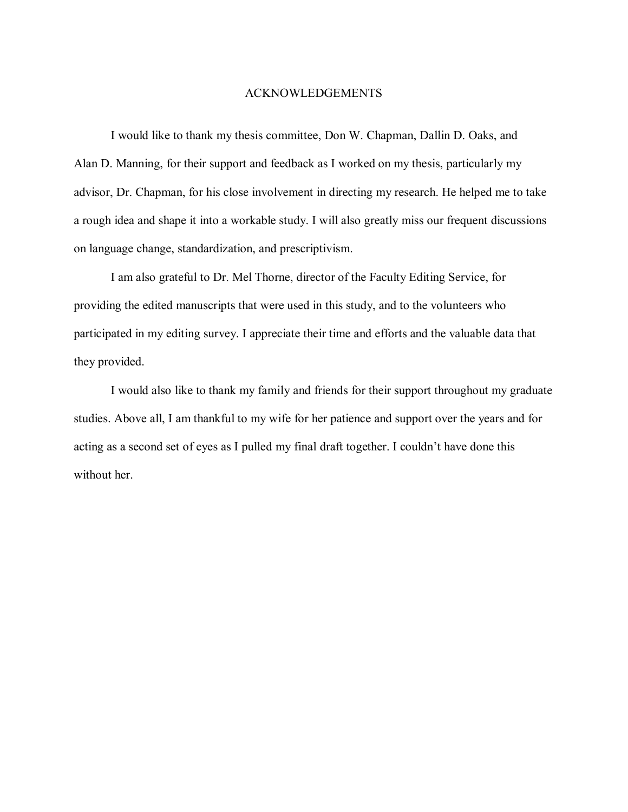## ACKNOWLEDGEMENTS

I would like to thank my thesis committee, Don W. Chapman, Dallin D. Oaks, and Alan D. Manning, for their support and feedback as I worked on my thesis, particularly my advisor, Dr. Chapman, for his close involvement in directing my research. He helped me to take a rough idea and shape it into a workable study. I will also greatly miss our frequent discussions on language change, standardization, and prescriptivism.

I am also grateful to Dr. Mel Thorne, director of the Faculty Editing Service, for providing the edited manuscripts that were used in this study, and to the volunteers who participated in my editing survey. I appreciate their time and efforts and the valuable data that they provided.

I would also like to thank my family and friends for their support throughout my graduate studies. Above all, I am thankful to my wife for her patience and support over the years and for acting as a second set of eyes as I pulled my final draft together. I couldn't have done this without her.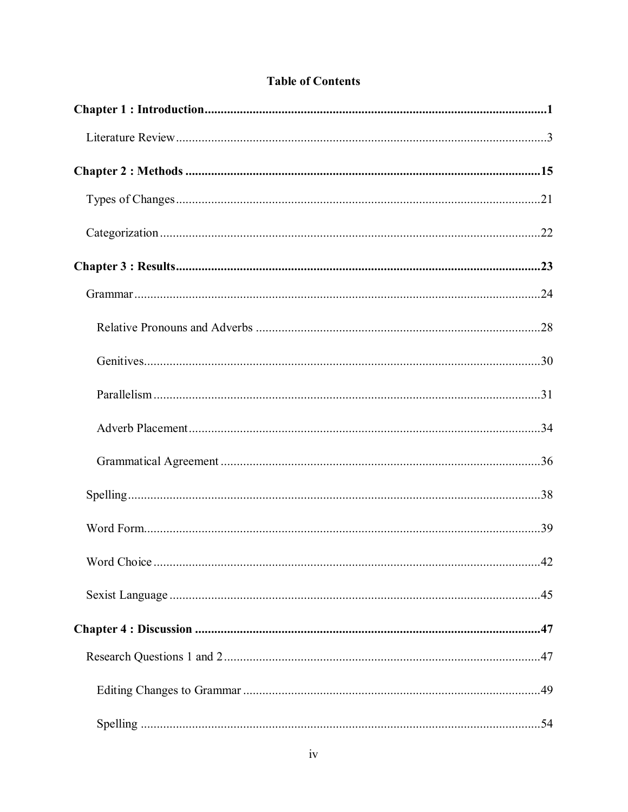|  | <b>Table of Contents</b> |
|--|--------------------------|
|  |                          |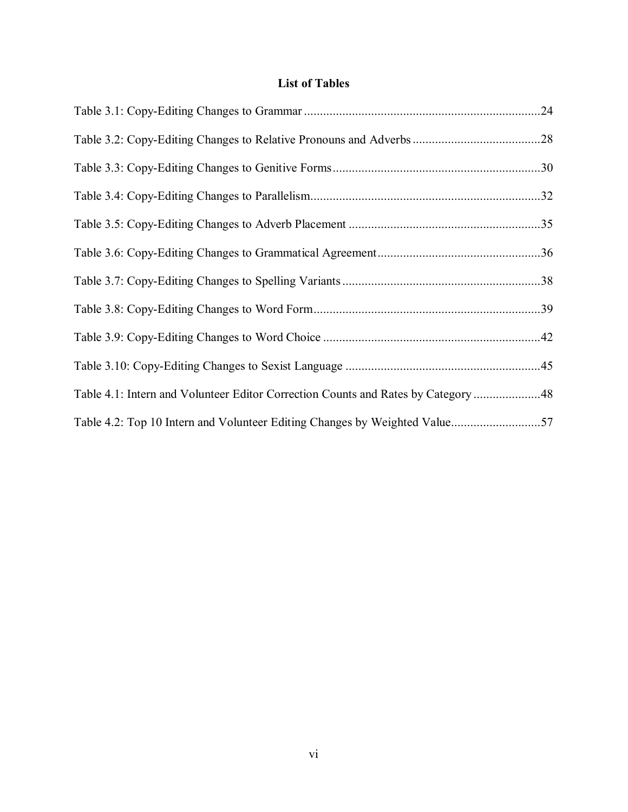# **List of Tables**

| Table 4.1: Intern and Volunteer Editor Correction Counts and Rates by Category 48 |  |
|-----------------------------------------------------------------------------------|--|
|                                                                                   |  |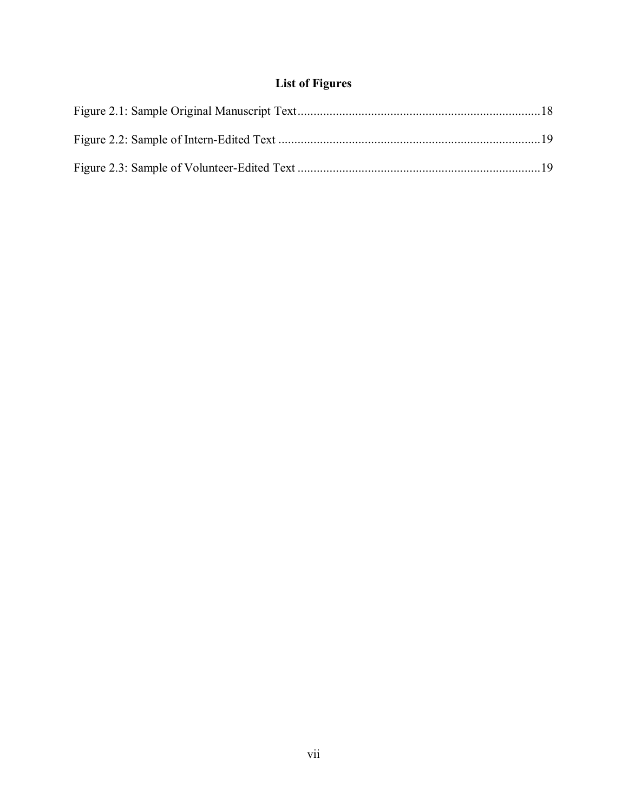# **List of Figures**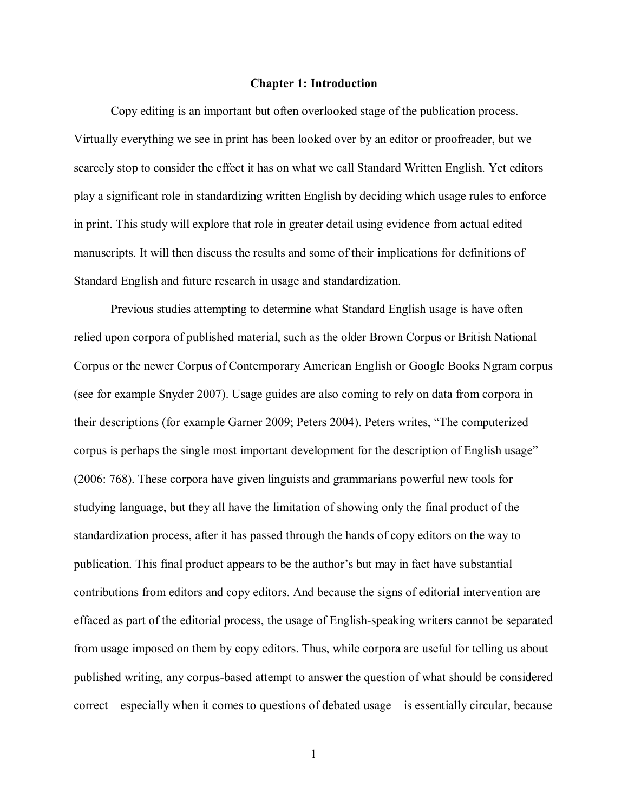#### **Chapter 1: Introduction**

<span id="page-7-0"></span>Copy editing is an important but often overlooked stage of the publication process. Virtually everything we see in print has been looked over by an editor or proofreader, but we scarcely stop to consider the effect it has on what we call Standard Written English. Yet editors play a significant role in standardizing written English by deciding which usage rules to enforce in print. This study will explore that role in greater detail using evidence from actual edited manuscripts. It will then discuss the results and some of their implications for definitions of Standard English and future research in usage and standardization.

Previous studies attempting to determine what Standard English usage is have often relied upon corpora of published material, such as the older Brown Corpus or British National Corpus or the newer Corpus of Contemporary American English or Google Books Ngram corpus (see for example Snyder 2007). Usage guides are also coming to rely on data from corpora in their descriptions (for example Garner 2009; Peters 2004). Peters writes, "The computerized corpus is perhaps the single most important development for the description of English usage" (2006: 768). These corpora have given linguists and grammarians powerful new tools for studying language, but they all have the limitation of showing only the final product of the standardization process, after it has passed through the hands of copy editors on the way to publication. This final product appears to be the author's but may in fact have substantial contributions from editors and copy editors. And because the signs of editorial intervention are effaced as part of the editorial process, the usage of English-speaking writers cannot be separated from usage imposed on them by copy editors. Thus, while corpora are useful for telling us about published writing, any corpus-based attempt to answer the question of what should be considered correct—especially when it comes to questions of debated usage—is essentially circular, because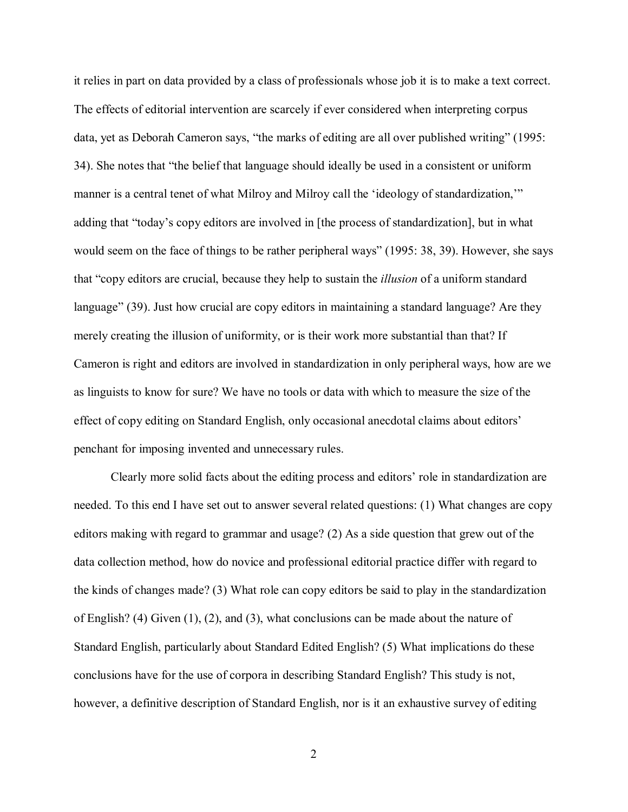it relies in part on data provided by a class of professionals whose job it is to make a text correct. The effects of editorial intervention are scarcely if ever considered when interpreting corpus data, yet as Deborah Cameron says, "the marks of editing are all over published writing" (1995: 34). She notes that "the belief that language should ideally be used in a consistent or uniform manner is a central tenet of what Milroy and Milroy call the 'ideology of standardization,'" adding that "today's copy editors are involved in [the process of standardization], but in what would seem on the face of things to be rather peripheral ways" (1995: 38, 39). However, she says that "copy editors are crucial, because they help to sustain the *illusion* of a uniform standard language" (39). Just how crucial are copy editors in maintaining a standard language? Are they merely creating the illusion of uniformity, or is their work more substantial than that? If Cameron is right and editors are involved in standardization in only peripheral ways, how are we as linguists to know for sure? We have no tools or data with which to measure the size of the effect of copy editing on Standard English, only occasional anecdotal claims about editors' penchant for imposing invented and unnecessary rules.

Clearly more solid facts about the editing process and editors' role in standardization are needed. To this end I have set out to answer several related questions: (1) What changes are copy editors making with regard to grammar and usage? (2) As a side question that grew out of the data collection method, how do novice and professional editorial practice differ with regard to the kinds of changes made? (3) What role can copy editors be said to play in the standardization of English? (4) Given  $(1)$ ,  $(2)$ , and  $(3)$ , what conclusions can be made about the nature of Standard English, particularly about Standard Edited English? (5) What implications do these conclusions have for the use of corpora in describing Standard English? This study is not, however, a definitive description of Standard English, nor is it an exhaustive survey of editing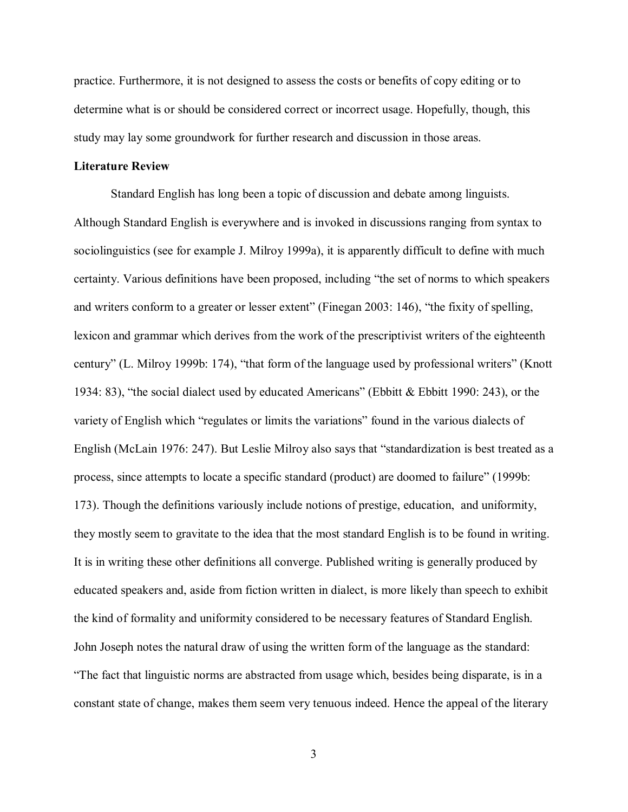practice. Furthermore, it is not designed to assess the costs or benefits of copy editing or to determine what is or should be considered correct or incorrect usage. Hopefully, though, this study may lay some groundwork for further research and discussion in those areas.

## <span id="page-9-0"></span>**Literature Review**

Standard English has long been a topic of discussion and debate among linguists. Although Standard English is everywhere and is invoked in discussions ranging from syntax to sociolinguistics (see for example J. Milroy 1999a), it is apparently difficult to define with much certainty. Various definitions have been proposed, including "the set of norms to which speakers and writers conform to a greater or lesser extent" (Finegan 2003: 146), "the fixity of spelling, lexicon and grammar which derives from the work of the prescriptivist writers of the eighteenth century" (L. Milroy 1999b: 174), "that form of the language used by professional writers" (Knott 1934: 83), "the social dialect used by educated Americans" (Ebbitt & Ebbitt 1990: 243), or the variety of English which "regulates or limits the variations" found in the various dialects of English (McLain 1976: 247). But Leslie Milroy also says that "standardization is best treated as a process, since attempts to locate a specific standard (product) are doomed to failure" (1999b: 173). Though the definitions variously include notions of prestige, education, and uniformity, they mostly seem to gravitate to the idea that the most standard English is to be found in writing. It is in writing these other definitions all converge. Published writing is generally produced by educated speakers and, aside from fiction written in dialect, is more likely than speech to exhibit the kind of formality and uniformity considered to be necessary features of Standard English. John Joseph notes the natural draw of using the written form of the language as the standard: "The fact that linguistic norms are abstracted from usage which, besides being disparate, is in a constant state of change, makes them seem very tenuous indeed. Hence the appeal of the literary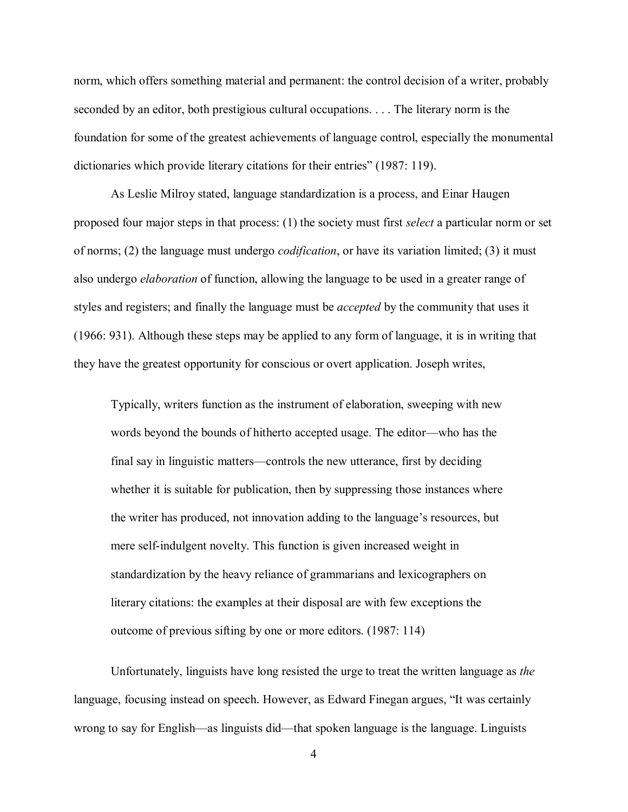norm, which offers something material and permanent: the control decision of a writer, probably seconded by an editor, both prestigious cultural occupations. . . . The literary norm is the foundation for some of the greatest achievements of language control, especially the monumental dictionaries which provide literary citations for their entries" (1987: 119).

As Leslie Milroy stated, language standardization is a process, and Einar Haugen proposed four major steps in that process: (1) the society must first *select* a particular norm or set of norms; (2) the language must undergo *codification*, or have its variation limited; (3) it must also undergo *elaboration* of function, allowing the language to be used in a greater range of styles and registers; and finally the language must be *accepted* by the community that uses it (1966: 931). Although these steps may be applied to any form of language, it is in writing that they have the greatest opportunity for conscious or overt application. Joseph writes,

Typically, writers function as the instrument of elaboration, sweeping with new words beyond the bounds of hitherto accepted usage. The editor—who has the final say in linguistic matters—controls the new utterance, first by deciding whether it is suitable for publication, then by suppressing those instances where the writer has produced, not innovation adding to the language's resources, but mere self-indulgent novelty. This function is given increased weight in standardization by the heavy reliance of grammarians and lexicographers on literary citations: the examples at their disposal are with few exceptions the outcome of previous sifting by one or more editors. (1987: 114)

Unfortunately, linguists have long resisted the urge to treat the written language as *the* language, focusing instead on speech. However, as Edward Finegan argues, "It was certainly wrong to say for English—as linguists did—that spoken language is the language. Linguists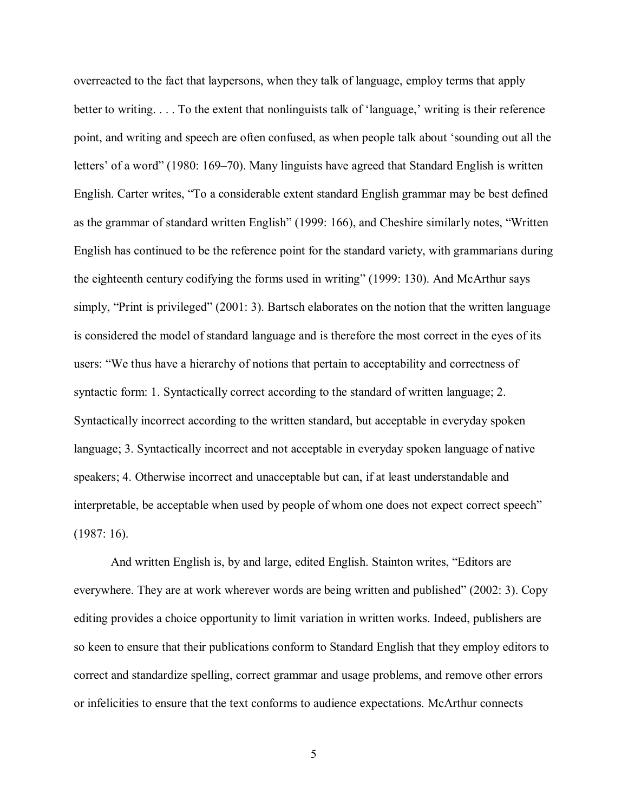overreacted to the fact that laypersons, when they talk of language, employ terms that apply better to writing. . . . To the extent that nonlinguists talk of 'language,' writing is their reference point, and writing and speech are often confused, as when people talk about 'sounding out all the letters' of a word" (1980: 169–70). Many linguists have agreed that Standard English is written English. Carter writes, "To a considerable extent standard English grammar may be best defined as the grammar of standard written English" (1999: 166), and Cheshire similarly notes, "Written English has continued to be the reference point for the standard variety, with grammarians during the eighteenth century codifying the forms used in writing" (1999: 130). And McArthur says simply, "Print is privileged" (2001: 3). Bartsch elaborates on the notion that the written language is considered the model of standard language and is therefore the most correct in the eyes of its users: "We thus have a hierarchy of notions that pertain to acceptability and correctness of syntactic form: 1. Syntactically correct according to the standard of written language; 2. Syntactically incorrect according to the written standard, but acceptable in everyday spoken language; 3. Syntactically incorrect and not acceptable in everyday spoken language of native speakers; 4. Otherwise incorrect and unacceptable but can, if at least understandable and interpretable, be acceptable when used by people of whom one does not expect correct speech" (1987: 16).

And written English is, by and large, edited English. Stainton writes, "Editors are everywhere. They are at work wherever words are being written and published" (2002: 3). Copy editing provides a choice opportunity to limit variation in written works. Indeed, publishers are so keen to ensure that their publications conform to Standard English that they employ editors to correct and standardize spelling, correct grammar and usage problems, and remove other errors or infelicities to ensure that the text conforms to audience expectations. McArthur connects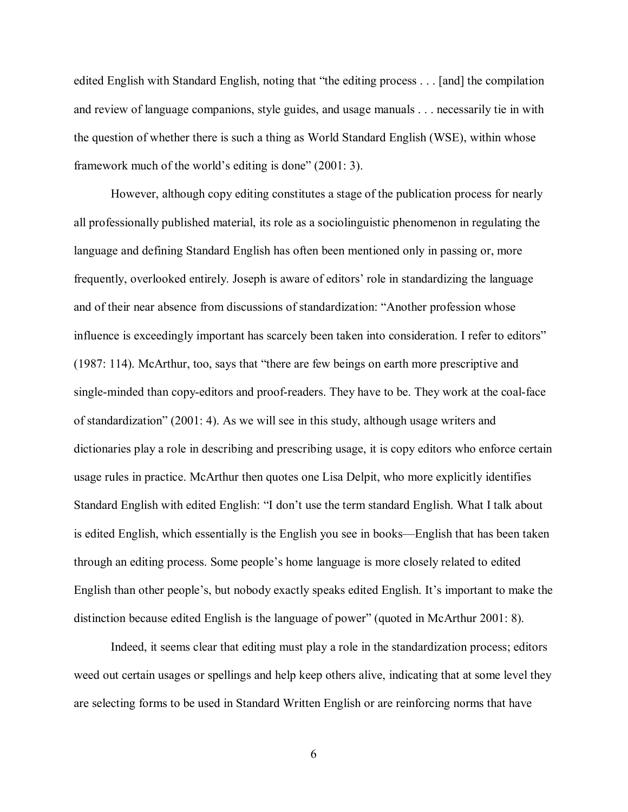edited English with Standard English, noting that "the editing process . . . [and] the compilation and review of language companions, style guides, and usage manuals . . . necessarily tie in with the question of whether there is such a thing as World Standard English (WSE), within whose framework much of the world's editing is done" (2001: 3).

However, although copy editing constitutes a stage of the publication process for nearly all professionally published material, its role as a sociolinguistic phenomenon in regulating the language and defining Standard English has often been mentioned only in passing or, more frequently, overlooked entirely. Joseph is aware of editors' role in standardizing the language and of their near absence from discussions of standardization: "Another profession whose influence is exceedingly important has scarcely been taken into consideration. I refer to editors" (1987: 114). McArthur, too, says that "there are few beings on earth more prescriptive and single-minded than copy-editors and proof-readers. They have to be. They work at the coal-face of standardization" (2001: 4). As we will see in this study, although usage writers and dictionaries play a role in describing and prescribing usage, it is copy editors who enforce certain usage rules in practice. McArthur then quotes one Lisa Delpit, who more explicitly identifies Standard English with edited English: "I don't use the term standard English. What I talk about is edited English, which essentially is the English you see in books—English that has been taken through an editing process. Some people's home language is more closely related to edited English than other people's, but nobody exactly speaks edited English. It's important to make the distinction because edited English is the language of power" (quoted in McArthur 2001: 8).

Indeed, it seems clear that editing must play a role in the standardization process; editors weed out certain usages or spellings and help keep others alive, indicating that at some level they are selecting forms to be used in Standard Written English or are reinforcing norms that have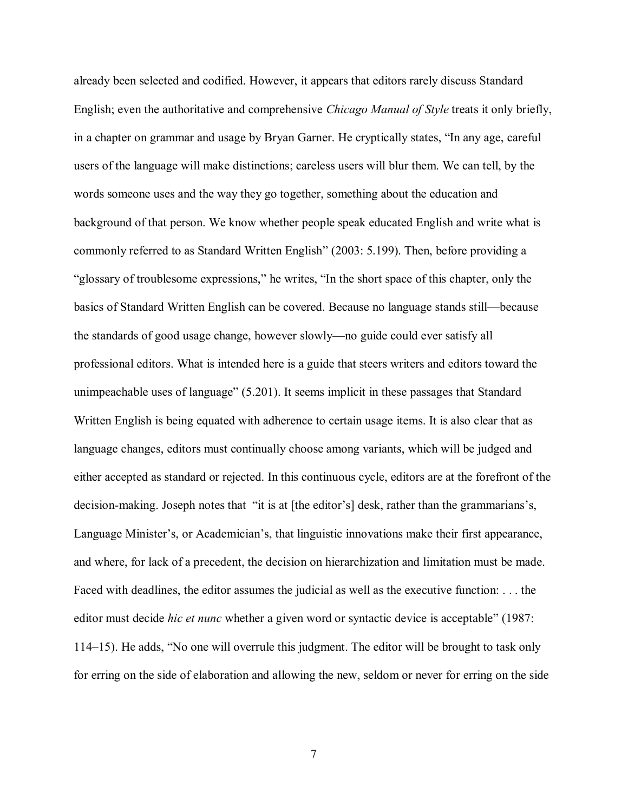already been selected and codified. However, it appears that editors rarely discuss Standard English; even the authoritative and comprehensive *Chicago Manual of Style* treats it only briefly, in a chapter on grammar and usage by Bryan Garner. He cryptically states, "In any age, careful users of the language will make distinctions; careless users will blur them. We can tell, by the words someone uses and the way they go together, something about the education and background of that person. We know whether people speak educated English and write what is commonly referred to as Standard Written English" (2003: 5.199). Then, before providing a "glossary of troublesome expressions," he writes, "In the short space of this chapter, only the basics of Standard Written English can be covered. Because no language stands still—because the standards of good usage change, however slowly—no guide could ever satisfy all professional editors. What is intended here is a guide that steers writers and editors toward the unimpeachable uses of language" (5.201). It seems implicit in these passages that Standard Written English is being equated with adherence to certain usage items. It is also clear that as language changes, editors must continually choose among variants, which will be judged and either accepted as standard or rejected. In this continuous cycle, editors are at the forefront of the decision-making. Joseph notes that "it is at [the editor's] desk, rather than the grammarians's, Language Minister's, or Academician's, that linguistic innovations make their first appearance, and where, for lack of a precedent, the decision on hierarchization and limitation must be made. Faced with deadlines, the editor assumes the judicial as well as the executive function: . . . the editor must decide *hic et nunc* whether a given word or syntactic device is acceptable" (1987: 114–15). He adds, "No one will overrule this judgment. The editor will be brought to task only for erring on the side of elaboration and allowing the new, seldom or never for erring on the side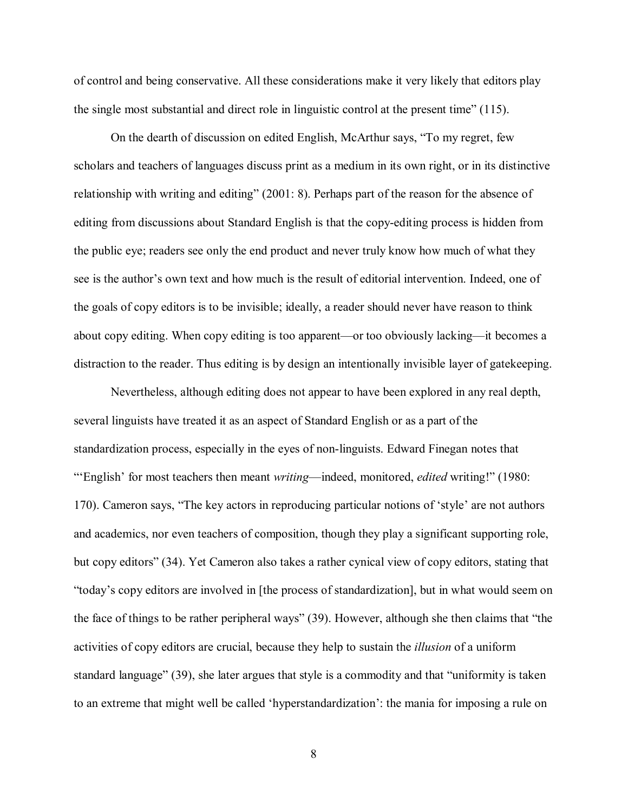of control and being conservative. All these considerations make it very likely that editors play the single most substantial and direct role in linguistic control at the present time" (115).

On the dearth of discussion on edited English, McArthur says, "To my regret, few scholars and teachers of languages discuss print as a medium in its own right, or in its distinctive relationship with writing and editing" (2001: 8). Perhaps part of the reason for the absence of editing from discussions about Standard English is that the copy-editing process is hidden from the public eye; readers see only the end product and never truly know how much of what they see is the author's own text and how much is the result of editorial intervention. Indeed, one of the goals of copy editors is to be invisible; ideally, a reader should never have reason to think about copy editing. When copy editing is too apparent—or too obviously lacking—it becomes a distraction to the reader. Thus editing is by design an intentionally invisible layer of gatekeeping.

Nevertheless, although editing does not appear to have been explored in any real depth, several linguists have treated it as an aspect of Standard English or as a part of the standardization process, especially in the eyes of non-linguists. Edward Finegan notes that "'English' for most teachers then meant *writing*—indeed, monitored, *edited* writing!" (1980: 170). Cameron says, "The key actors in reproducing particular notions of 'style' are not authors and academics, nor even teachers of composition, though they play a significant supporting role, but copy editors" (34). Yet Cameron also takes a rather cynical view of copy editors, stating that "today's copy editors are involved in [the process of standardization], but in what would seem on the face of things to be rather peripheral ways" (39). However, although she then claims that "the activities of copy editors are crucial, because they help to sustain the *illusion* of a uniform standard language" (39), she later argues that style is a commodity and that "uniformity is taken to an extreme that might well be called 'hyperstandardization': the mania for imposing a rule on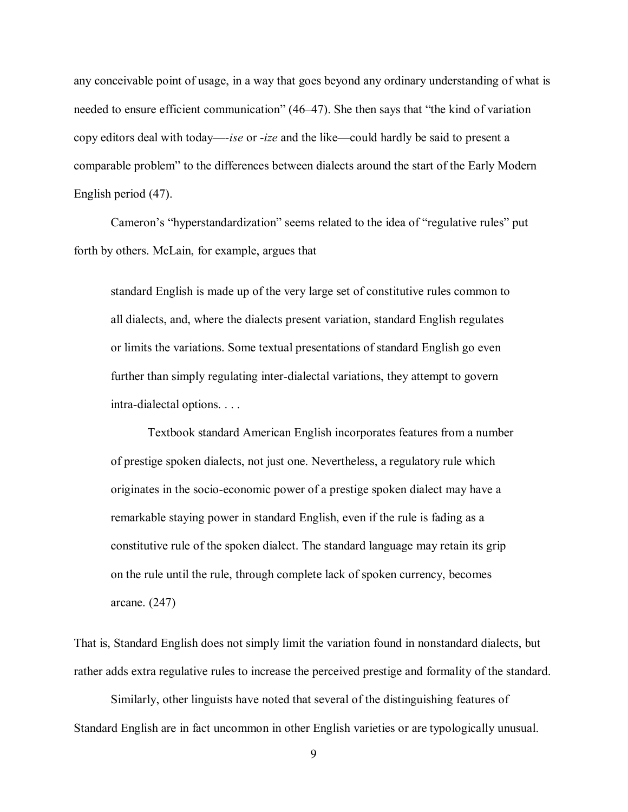any conceivable point of usage, in a way that goes beyond any ordinary understanding of what is needed to ensure efficient communication" (46–47). She then says that "the kind of variation copy editors deal with today—*-ise* or -*ize* and the like—could hardly be said to present a comparable problem" to the differences between dialects around the start of the Early Modern English period (47).

Cameron's "hyperstandardization" seems related to the idea of "regulative rules" put forth by others. McLain, for example, argues that

standard English is made up of the very large set of constitutive rules common to all dialects, and, where the dialects present variation, standard English regulates or limits the variations. Some textual presentations of standard English go even further than simply regulating inter-dialectal variations, they attempt to govern intra-dialectal options. . . .

Textbook standard American English incorporates features from a number of prestige spoken dialects, not just one. Nevertheless, a regulatory rule which originates in the socio-economic power of a prestige spoken dialect may have a remarkable staying power in standard English, even if the rule is fading as a constitutive rule of the spoken dialect. The standard language may retain its grip on the rule until the rule, through complete lack of spoken currency, becomes arcane. (247)

That is, Standard English does not simply limit the variation found in nonstandard dialects, but rather adds extra regulative rules to increase the perceived prestige and formality of the standard.

Similarly, other linguists have noted that several of the distinguishing features of Standard English are in fact uncommon in other English varieties or are typologically unusual.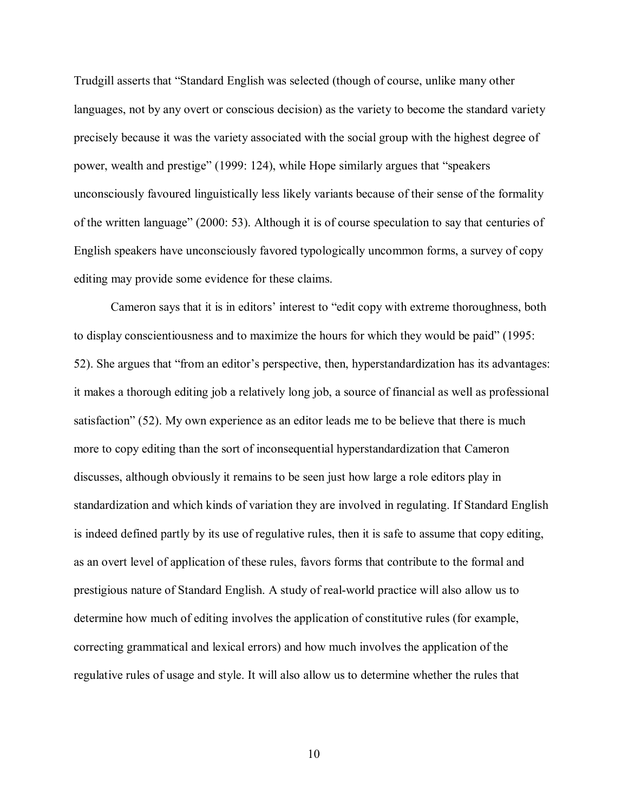Trudgill asserts that "Standard English was selected (though of course, unlike many other languages, not by any overt or conscious decision) as the variety to become the standard variety precisely because it was the variety associated with the social group with the highest degree of power, wealth and prestige" (1999: 124), while Hope similarly argues that "speakers unconsciously favoured linguistically less likely variants because of their sense of the formality of the written language" (2000: 53). Although it is of course speculation to say that centuries of English speakers have unconsciously favored typologically uncommon forms, a survey of copy editing may provide some evidence for these claims.

Cameron says that it is in editors' interest to "edit copy with extreme thoroughness, both to display conscientiousness and to maximize the hours for which they would be paid" (1995: 52). She argues that "from an editor's perspective, then, hyperstandardization has its advantages: it makes a thorough editing job a relatively long job, a source of financial as well as professional satisfaction" (52). My own experience as an editor leads me to be believe that there is much more to copy editing than the sort of inconsequential hyperstandardization that Cameron discusses, although obviously it remains to be seen just how large a role editors play in standardization and which kinds of variation they are involved in regulating. If Standard English is indeed defined partly by its use of regulative rules, then it is safe to assume that copy editing, as an overt level of application of these rules, favors forms that contribute to the formal and prestigious nature of Standard English. A study of real-world practice will also allow us to determine how much of editing involves the application of constitutive rules (for example, correcting grammatical and lexical errors) and how much involves the application of the regulative rules of usage and style. It will also allow us to determine whether the rules that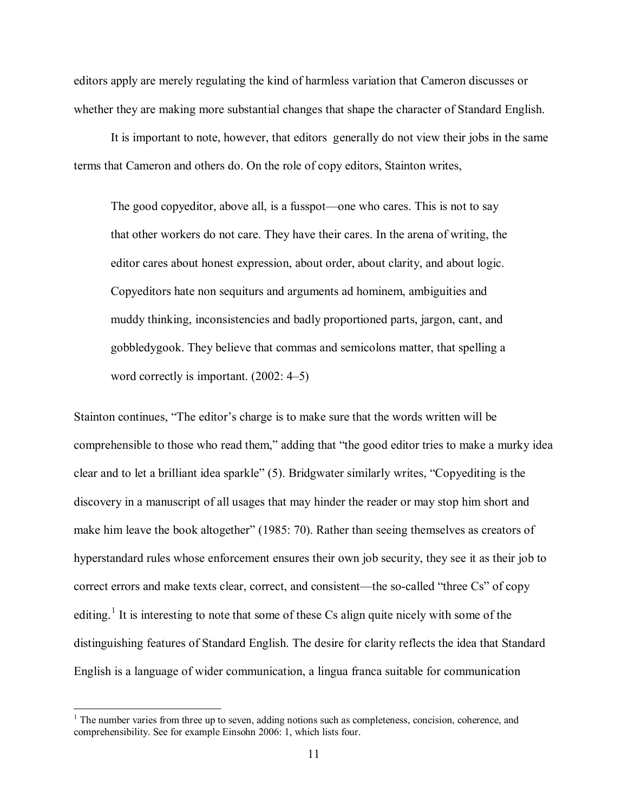editors apply are merely regulating the kind of harmless variation that Cameron discusses or whether they are making more substantial changes that shape the character of Standard English.

It is important to note, however, that editors generally do not view their jobs in the same terms that Cameron and others do. On the role of copy editors, Stainton writes,

The good copyeditor, above all, is a fusspot—one who cares. This is not to say that other workers do not care. They have their cares. In the arena of writing, the editor cares about honest expression, about order, about clarity, and about logic. Copyeditors hate non sequiturs and arguments ad hominem, ambiguities and muddy thinking, inconsistencies and badly proportioned parts, jargon, cant, and gobbledygook. They believe that commas and semicolons matter, that spelling a word correctly is important. (2002: 4–5)

Stainton continues, "The editor's charge is to make sure that the words written will be comprehensible to those who read them," adding that "the good editor tries to make a murky idea clear and to let a brilliant idea sparkle" (5). Bridgwater similarly writes, "Copyediting is the discovery in a manuscript of all usages that may hinder the reader or may stop him short and make him leave the book altogether" (1985: 70). Rather than seeing themselves as creators of hyperstandard rules whose enforcement ensures their own job security, they see it as their job to correct errors and make texts clear, correct, and consistent—the so-called "three Cs" of copy editing.<sup>[1](#page-17-0)</sup> It is interesting to note that some of these Cs align quite nicely with some of the distinguishing features of Standard English. The desire for clarity reflects the idea that Standard English is a language of wider communication, a lingua franca suitable for communication

 $\overline{a}$ 

<span id="page-17-0"></span> $<sup>1</sup>$  The number varies from three up to seven, adding notions such as completeness, concision, coherence, and</sup> comprehensibility. See for example Einsohn 2006: 1, which lists four.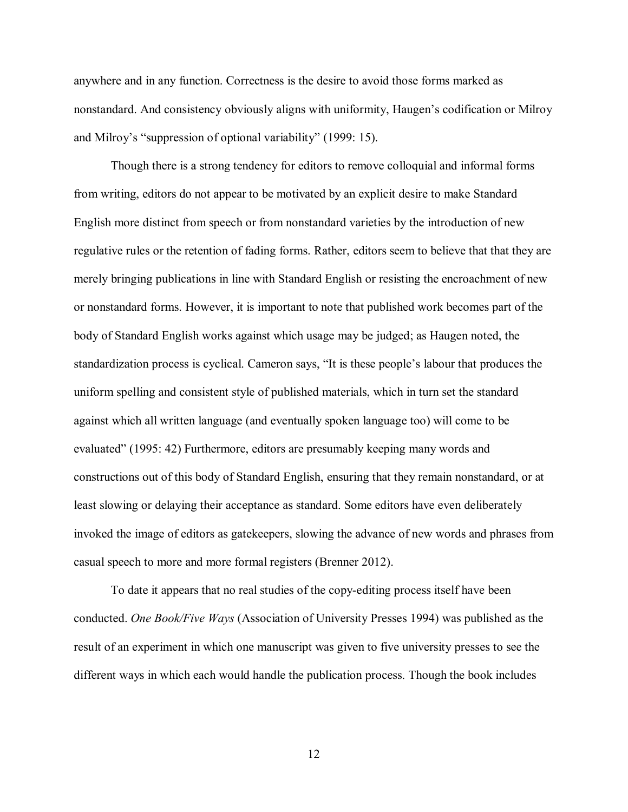anywhere and in any function. Correctness is the desire to avoid those forms marked as nonstandard. And consistency obviously aligns with uniformity, Haugen's codification or Milroy and Milroy's "suppression of optional variability" (1999: 15).

Though there is a strong tendency for editors to remove colloquial and informal forms from writing, editors do not appear to be motivated by an explicit desire to make Standard English more distinct from speech or from nonstandard varieties by the introduction of new regulative rules or the retention of fading forms. Rather, editors seem to believe that that they are merely bringing publications in line with Standard English or resisting the encroachment of new or nonstandard forms. However, it is important to note that published work becomes part of the body of Standard English works against which usage may be judged; as Haugen noted, the standardization process is cyclical. Cameron says, "It is these people's labour that produces the uniform spelling and consistent style of published materials, which in turn set the standard against which all written language (and eventually spoken language too) will come to be evaluated" (1995: 42) Furthermore, editors are presumably keeping many words and constructions out of this body of Standard English, ensuring that they remain nonstandard, or at least slowing or delaying their acceptance as standard. Some editors have even deliberately invoked the image of editors as gatekeepers, slowing the advance of new words and phrases from casual speech to more and more formal registers (Brenner 2012).

To date it appears that no real studies of the copy-editing process itself have been conducted. *One Book/Five Ways* (Association of University Presses 1994) was published as the result of an experiment in which one manuscript was given to five university presses to see the different ways in which each would handle the publication process. Though the book includes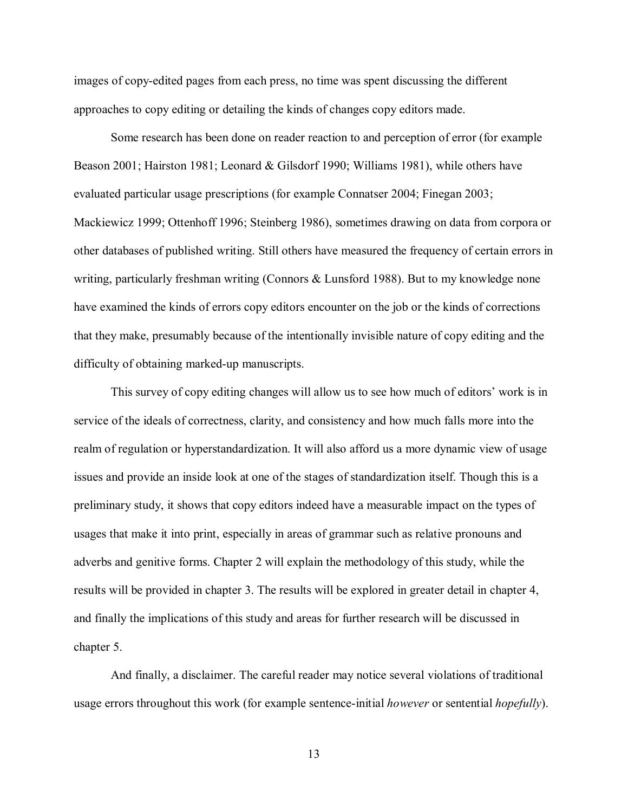images of copy-edited pages from each press, no time was spent discussing the different approaches to copy editing or detailing the kinds of changes copy editors made.

Some research has been done on reader reaction to and perception of error (for example Beason 2001; Hairston 1981; Leonard & Gilsdorf 1990; Williams 1981), while others have evaluated particular usage prescriptions (for example Connatser 2004; Finegan 2003; Mackiewicz 1999; Ottenhoff 1996; Steinberg 1986), sometimes drawing on data from corpora or other databases of published writing. Still others have measured the frequency of certain errors in writing, particularly freshman writing (Connors & Lunsford 1988). But to my knowledge none have examined the kinds of errors copy editors encounter on the job or the kinds of corrections that they make, presumably because of the intentionally invisible nature of copy editing and the difficulty of obtaining marked-up manuscripts.

This survey of copy editing changes will allow us to see how much of editors' work is in service of the ideals of correctness, clarity, and consistency and how much falls more into the realm of regulation or hyperstandardization. It will also afford us a more dynamic view of usage issues and provide an inside look at one of the stages of standardization itself. Though this is a preliminary study, it shows that copy editors indeed have a measurable impact on the types of usages that make it into print, especially in areas of grammar such as relative pronouns and adverbs and genitive forms. Chapter 2 will explain the methodology of this study, while the results will be provided in chapter 3. The results will be explored in greater detail in chapter 4, and finally the implications of this study and areas for further research will be discussed in chapter 5.

And finally, a disclaimer. The careful reader may notice several violations of traditional usage errors throughout this work (for example sentence-initial *however* or sentential *hopefully*).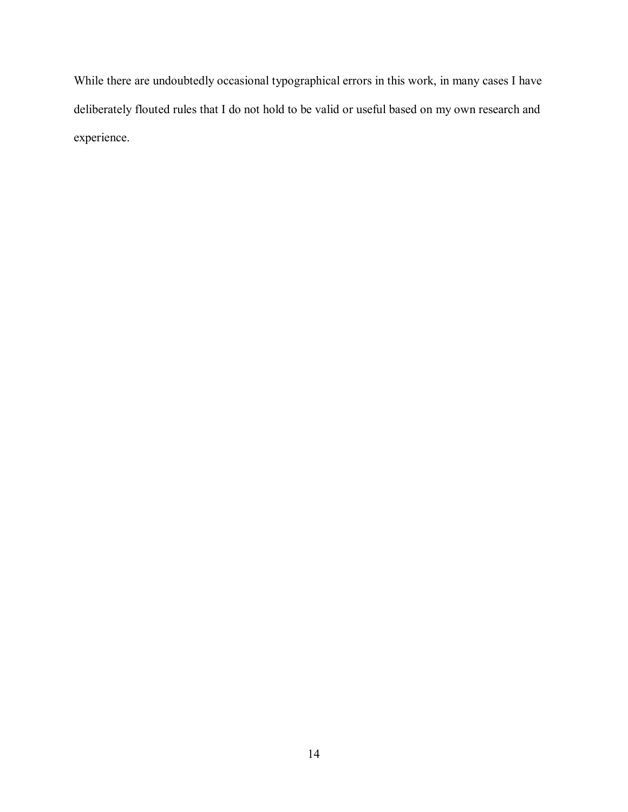While there are undoubtedly occasional typographical errors in this work, in many cases I have deliberately flouted rules that I do not hold to be valid or useful based on my own research and experience.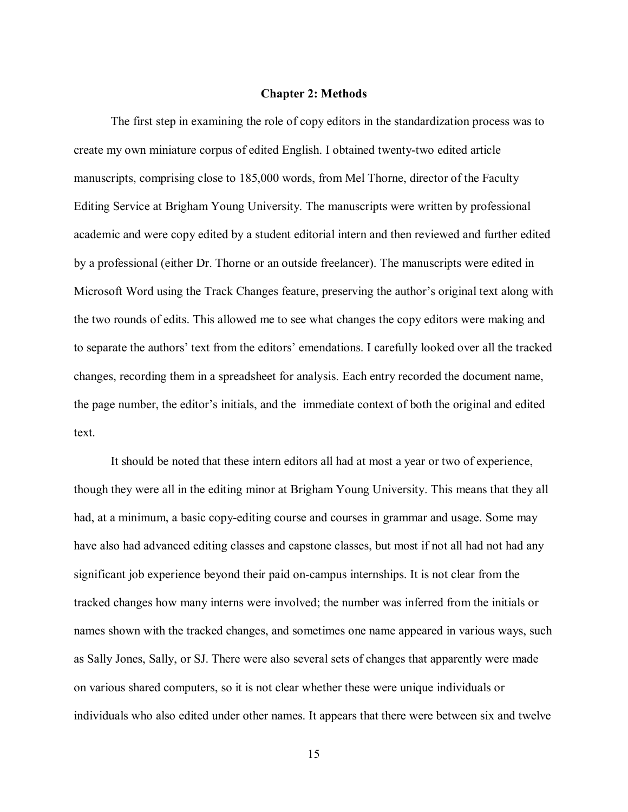#### **Chapter 2: Methods**

<span id="page-21-0"></span>The first step in examining the role of copy editors in the standardization process was to create my own miniature corpus of edited English. I obtained twenty-two edited article manuscripts, comprising close to 185,000 words, from Mel Thorne, director of the Faculty Editing Service at Brigham Young University. The manuscripts were written by professional academic and were copy edited by a student editorial intern and then reviewed and further edited by a professional (either Dr. Thorne or an outside freelancer). The manuscripts were edited in Microsoft Word using the Track Changes feature, preserving the author's original text along with the two rounds of edits. This allowed me to see what changes the copy editors were making and to separate the authors' text from the editors' emendations. I carefully looked over all the tracked changes, recording them in a spreadsheet for analysis. Each entry recorded the document name, the page number, the editor's initials, and the immediate context of both the original and edited text.

It should be noted that these intern editors all had at most a year or two of experience, though they were all in the editing minor at Brigham Young University. This means that they all had, at a minimum, a basic copy-editing course and courses in grammar and usage. Some may have also had advanced editing classes and capstone classes, but most if not all had not had any significant job experience beyond their paid on-campus internships. It is not clear from the tracked changes how many interns were involved; the number was inferred from the initials or names shown with the tracked changes, and sometimes one name appeared in various ways, such as Sally Jones, Sally, or SJ. There were also several sets of changes that apparently were made on various shared computers, so it is not clear whether these were unique individuals or individuals who also edited under other names. It appears that there were between six and twelve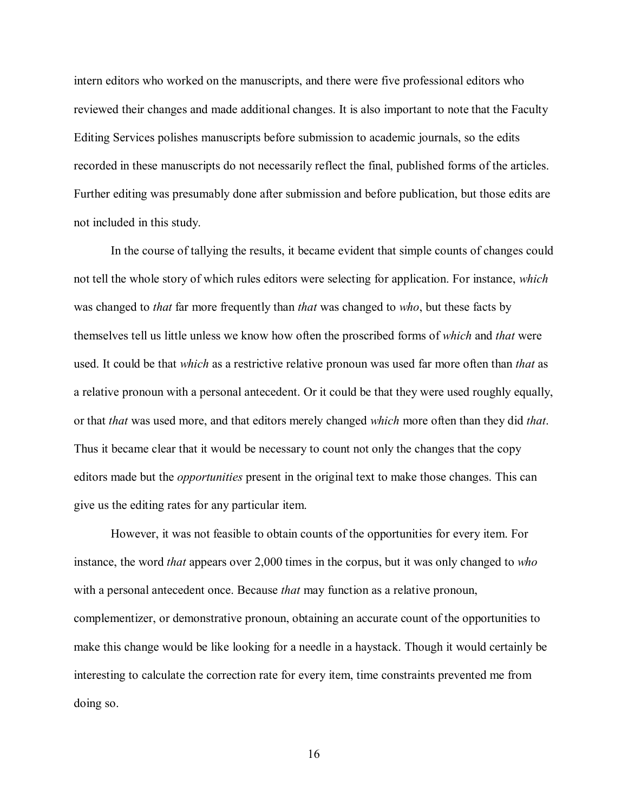intern editors who worked on the manuscripts, and there were five professional editors who reviewed their changes and made additional changes. It is also important to note that the Faculty Editing Services polishes manuscripts before submission to academic journals, so the edits recorded in these manuscripts do not necessarily reflect the final, published forms of the articles. Further editing was presumably done after submission and before publication, but those edits are not included in this study.

In the course of tallying the results, it became evident that simple counts of changes could not tell the whole story of which rules editors were selecting for application. For instance, *which* was changed to *that* far more frequently than *that* was changed to *who*, but these facts by themselves tell us little unless we know how often the proscribed forms of *which* and *that* were used. It could be that *which* as a restrictive relative pronoun was used far more often than *that* as a relative pronoun with a personal antecedent. Or it could be that they were used roughly equally, or that *that* was used more, and that editors merely changed *which* more often than they did *that*. Thus it became clear that it would be necessary to count not only the changes that the copy editors made but the *opportunities* present in the original text to make those changes. This can give us the editing rates for any particular item.

However, it was not feasible to obtain counts of the opportunities for every item. For instance, the word *that* appears over 2,000 times in the corpus, but it was only changed to *who* with a personal antecedent once. Because *that* may function as a relative pronoun, complementizer, or demonstrative pronoun, obtaining an accurate count of the opportunities to make this change would be like looking for a needle in a haystack. Though it would certainly be interesting to calculate the correction rate for every item, time constraints prevented me from doing so.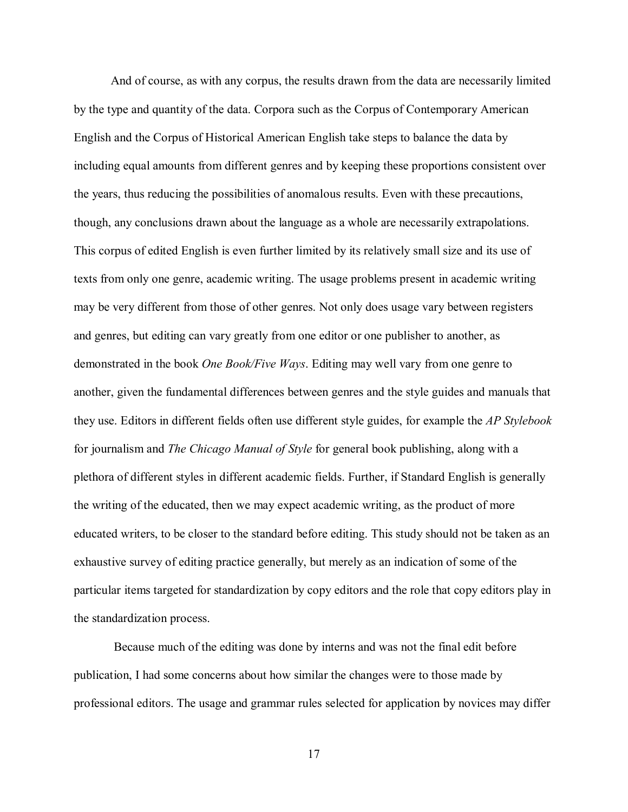And of course, as with any corpus, the results drawn from the data are necessarily limited by the type and quantity of the data. Corpora such as the Corpus of Contemporary American English and the Corpus of Historical American English take steps to balance the data by including equal amounts from different genres and by keeping these proportions consistent over the years, thus reducing the possibilities of anomalous results. Even with these precautions, though, any conclusions drawn about the language as a whole are necessarily extrapolations. This corpus of edited English is even further limited by its relatively small size and its use of texts from only one genre, academic writing. The usage problems present in academic writing may be very different from those of other genres. Not only does usage vary between registers and genres, but editing can vary greatly from one editor or one publisher to another, as demonstrated in the book *One Book/Five Ways*. Editing may well vary from one genre to another, given the fundamental differences between genres and the style guides and manuals that they use. Editors in different fields often use different style guides, for example the *AP Stylebook* for journalism and *The Chicago Manual of Style* for general book publishing, along with a plethora of different styles in different academic fields. Further, if Standard English is generally the writing of the educated, then we may expect academic writing, as the product of more educated writers, to be closer to the standard before editing. This study should not be taken as an exhaustive survey of editing practice generally, but merely as an indication of some of the particular items targeted for standardization by copy editors and the role that copy editors play in the standardization process.

Because much of the editing was done by interns and was not the final edit before publication, I had some concerns about how similar the changes were to those made by professional editors. The usage and grammar rules selected for application by novices may differ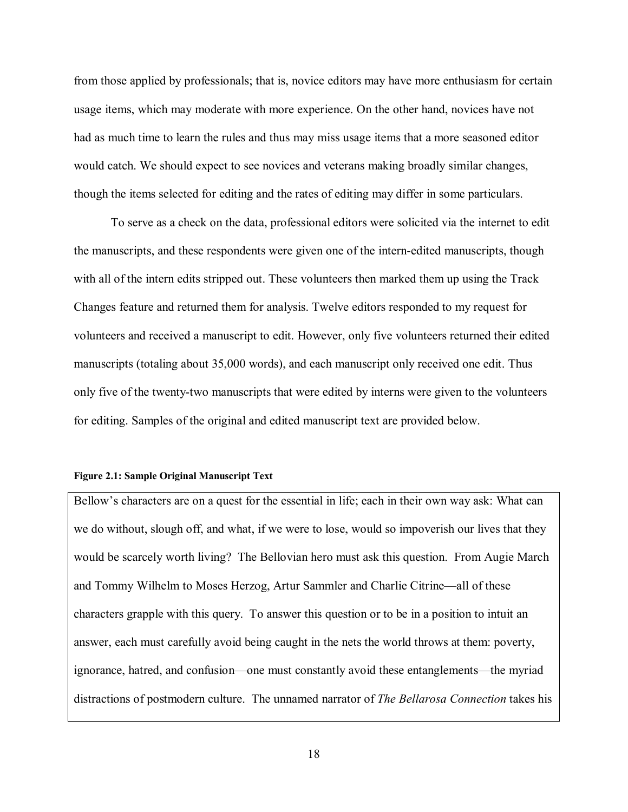from those applied by professionals; that is, novice editors may have more enthusiasm for certain usage items, which may moderate with more experience. On the other hand, novices have not had as much time to learn the rules and thus may miss usage items that a more seasoned editor would catch. We should expect to see novices and veterans making broadly similar changes, though the items selected for editing and the rates of editing may differ in some particulars.

To serve as a check on the data, professional editors were solicited via the internet to edit the manuscripts, and these respondents were given one of the intern-edited manuscripts, though with all of the intern edits stripped out. These volunteers then marked them up using the Track Changes feature and returned them for analysis. Twelve editors responded to my request for volunteers and received a manuscript to edit. However, only five volunteers returned their edited manuscripts (totaling about 35,000 words), and each manuscript only received one edit. Thus only five of the twenty-two manuscripts that were edited by interns were given to the volunteers for editing. Samples of the original and edited manuscript text are provided below.

#### <span id="page-24-0"></span>**Figure 2.1: Sample Original Manuscript Text**

Bellow's characters are on a quest for the essential in life; each in their own way ask: What can we do without, slough off, and what, if we were to lose, would so impoverish our lives that they would be scarcely worth living? The Bellovian hero must ask this question. From Augie March and Tommy Wilhelm to Moses Herzog, Artur Sammler and Charlie Citrine—all of these characters grapple with this query. To answer this question or to be in a position to intuit an answer, each must carefully avoid being caught in the nets the world throws at them: poverty, ignorance, hatred, and confusion—one must constantly avoid these entanglements—the myriad distractions of postmodern culture. The unnamed narrator of *The Bellarosa Connection* takes his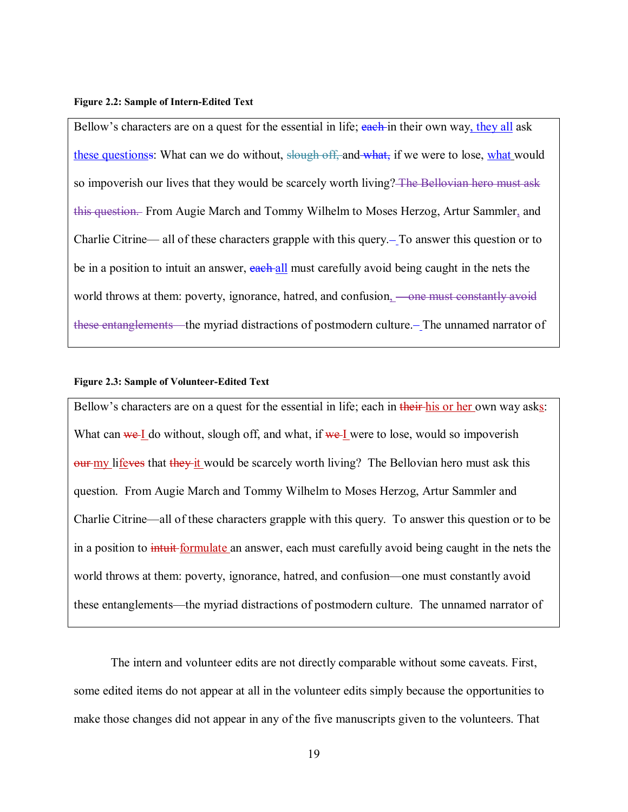#### <span id="page-25-0"></span>**Figure 2.2: Sample of Intern-Edited Text**

Bellow's characters are on a quest for the essential in life; each in their own way, they all ask these questionss: What can we do without, slough off, and what, if we were to lose, what would so impoverish our lives that they would be scarcely worth living? The Bellovian hero must ask this question. From Augie March and Tommy Wilhelm to Moses Herzog, Artur Sammler, and Charlie Citrine— all of these characters grapple with this query. To answer this question or to be in a position to intuit an answer, each all must carefully avoid being caught in the nets the world throws at them: poverty, ignorance, hatred, and confusion, <del>—one must constantly avoid</del> these entanglements—the myriad distractions of postmodern culture.—The unnamed narrator of

#### <span id="page-25-1"></span>**Figure 2.3: Sample of Volunteer-Edited Text**

Bellow's characters are on a quest for the essential in life; each in their his or her own way asks: What can we I do without, slough off, and what, if we I were to lose, would so impoverish  $_{\text{out-my}}$  lifeves that they it would be scarcely worth living? The Bellovian hero must ask this question. From Augie March and Tommy Wilhelm to Moses Herzog, Artur Sammler and Charlie Citrine—all of these characters grapple with this query. To answer this question or to be in a position to *intuit*-formulate an answer, each must carefully avoid being caught in the nets the world throws at them: poverty, ignorance, hatred, and confusion—one must constantly avoid these entanglements—the myriad distractions of postmodern culture. The unnamed narrator of

The intern and volunteer edits are not directly comparable without some caveats. First, some edited items do not appear at all in the volunteer edits simply because the opportunities to make those changes did not appear in any of the five manuscripts given to the volunteers. That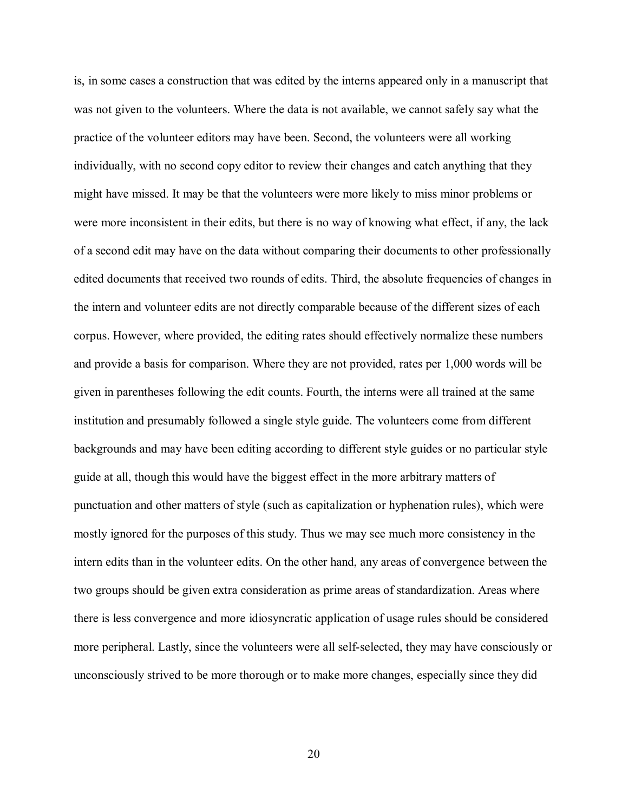is, in some cases a construction that was edited by the interns appeared only in a manuscript that was not given to the volunteers. Where the data is not available, we cannot safely say what the practice of the volunteer editors may have been. Second, the volunteers were all working individually, with no second copy editor to review their changes and catch anything that they might have missed. It may be that the volunteers were more likely to miss minor problems or were more inconsistent in their edits, but there is no way of knowing what effect, if any, the lack of a second edit may have on the data without comparing their documents to other professionally edited documents that received two rounds of edits. Third, the absolute frequencies of changes in the intern and volunteer edits are not directly comparable because of the different sizes of each corpus. However, where provided, the editing rates should effectively normalize these numbers and provide a basis for comparison. Where they are not provided, rates per 1,000 words will be given in parentheses following the edit counts. Fourth, the interns were all trained at the same institution and presumably followed a single style guide. The volunteers come from different backgrounds and may have been editing according to different style guides or no particular style guide at all, though this would have the biggest effect in the more arbitrary matters of punctuation and other matters of style (such as capitalization or hyphenation rules), which were mostly ignored for the purposes of this study. Thus we may see much more consistency in the intern edits than in the volunteer edits. On the other hand, any areas of convergence between the two groups should be given extra consideration as prime areas of standardization. Areas where there is less convergence and more idiosyncratic application of usage rules should be considered more peripheral. Lastly, since the volunteers were all self-selected, they may have consciously or unconsciously strived to be more thorough or to make more changes, especially since they did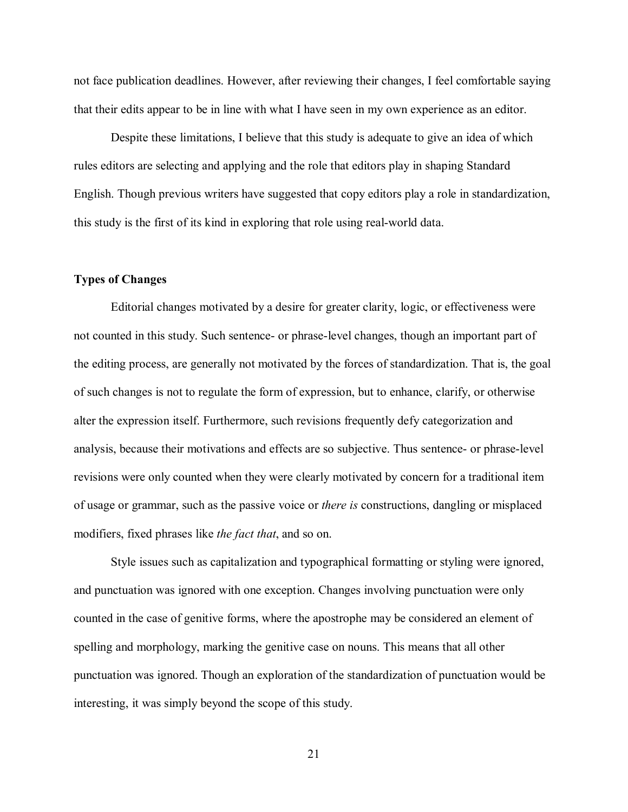not face publication deadlines. However, after reviewing their changes, I feel comfortable saying that their edits appear to be in line with what I have seen in my own experience as an editor.

Despite these limitations, I believe that this study is adequate to give an idea of which rules editors are selecting and applying and the role that editors play in shaping Standard English. Though previous writers have suggested that copy editors play a role in standardization, this study is the first of its kind in exploring that role using real-world data.

## <span id="page-27-0"></span>**Types of Changes**

Editorial changes motivated by a desire for greater clarity, logic, or effectiveness were not counted in this study. Such sentence- or phrase-level changes, though an important part of the editing process, are generally not motivated by the forces of standardization. That is, the goal of such changes is not to regulate the form of expression, but to enhance, clarify, or otherwise alter the expression itself. Furthermore, such revisions frequently defy categorization and analysis, because their motivations and effects are so subjective. Thus sentence- or phrase-level revisions were only counted when they were clearly motivated by concern for a traditional item of usage or grammar, such as the passive voice or *there is* constructions, dangling or misplaced modifiers, fixed phrases like *the fact that*, and so on.

Style issues such as capitalization and typographical formatting or styling were ignored, and punctuation was ignored with one exception. Changes involving punctuation were only counted in the case of genitive forms, where the apostrophe may be considered an element of spelling and morphology, marking the genitive case on nouns. This means that all other punctuation was ignored. Though an exploration of the standardization of punctuation would be interesting, it was simply beyond the scope of this study.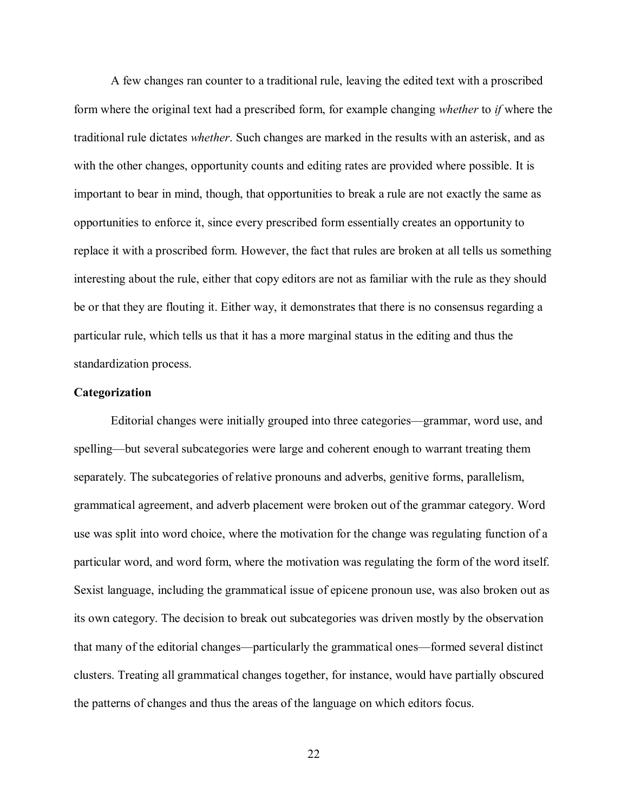A few changes ran counter to a traditional rule, leaving the edited text with a proscribed form where the original text had a prescribed form, for example changing *whether* to *if* where the traditional rule dictates *whether*. Such changes are marked in the results with an asterisk, and as with the other changes, opportunity counts and editing rates are provided where possible. It is important to bear in mind, though, that opportunities to break a rule are not exactly the same as opportunities to enforce it, since every prescribed form essentially creates an opportunity to replace it with a proscribed form. However, the fact that rules are broken at all tells us something interesting about the rule, either that copy editors are not as familiar with the rule as they should be or that they are flouting it. Either way, it demonstrates that there is no consensus regarding a particular rule, which tells us that it has a more marginal status in the editing and thus the standardization process.

### <span id="page-28-0"></span>**Categorization**

Editorial changes were initially grouped into three categories—grammar, word use, and spelling—but several subcategories were large and coherent enough to warrant treating them separately. The subcategories of relative pronouns and adverbs, genitive forms, parallelism, grammatical agreement, and adverb placement were broken out of the grammar category. Word use was split into word choice, where the motivation for the change was regulating function of a particular word, and word form, where the motivation was regulating the form of the word itself. Sexist language, including the grammatical issue of epicene pronoun use, was also broken out as its own category. The decision to break out subcategories was driven mostly by the observation that many of the editorial changes—particularly the grammatical ones—formed several distinct clusters. Treating all grammatical changes together, for instance, would have partially obscured the patterns of changes and thus the areas of the language on which editors focus.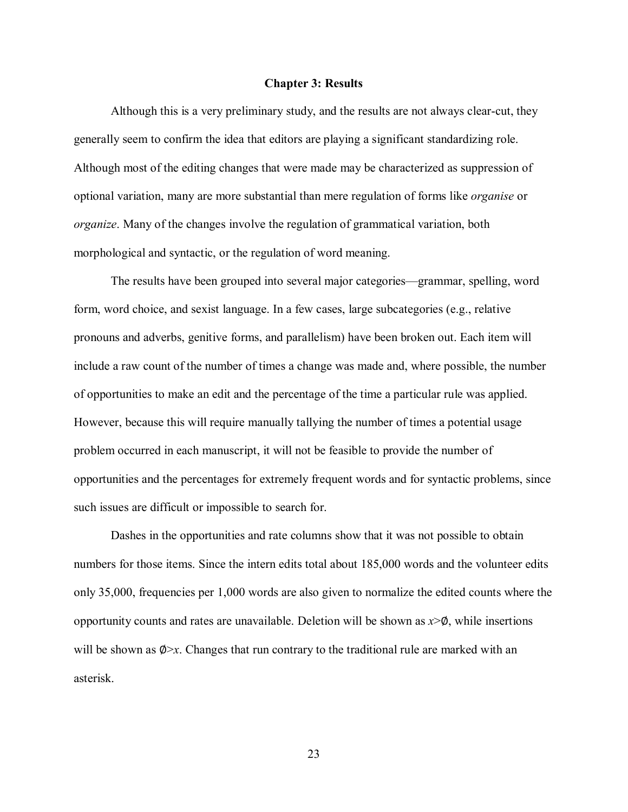#### **Chapter 3: Results**

<span id="page-29-0"></span>Although this is a very preliminary study, and the results are not always clear-cut, they generally seem to confirm the idea that editors are playing a significant standardizing role. Although most of the editing changes that were made may be characterized as suppression of optional variation, many are more substantial than mere regulation of forms like *organise* or *organize*. Many of the changes involve the regulation of grammatical variation, both morphological and syntactic, or the regulation of word meaning.

The results have been grouped into several major categories—grammar, spelling, word form, word choice, and sexist language. In a few cases, large subcategories (e.g., relative pronouns and adverbs, genitive forms, and parallelism) have been broken out. Each item will include a raw count of the number of times a change was made and, where possible, the number of opportunities to make an edit and the percentage of the time a particular rule was applied. However, because this will require manually tallying the number of times a potential usage problem occurred in each manuscript, it will not be feasible to provide the number of opportunities and the percentages for extremely frequent words and for syntactic problems, since such issues are difficult or impossible to search for.

Dashes in the opportunities and rate columns show that it was not possible to obtain numbers for those items. Since the intern edits total about 185,000 words and the volunteer edits only 35,000, frequencies per 1,000 words are also given to normalize the edited counts where the opportunity counts and rates are unavailable. Deletion will be shown as  $x > \phi$ , while insertions will be shown as  $\Phi$ >*x*. Changes that run contrary to the traditional rule are marked with an asterisk.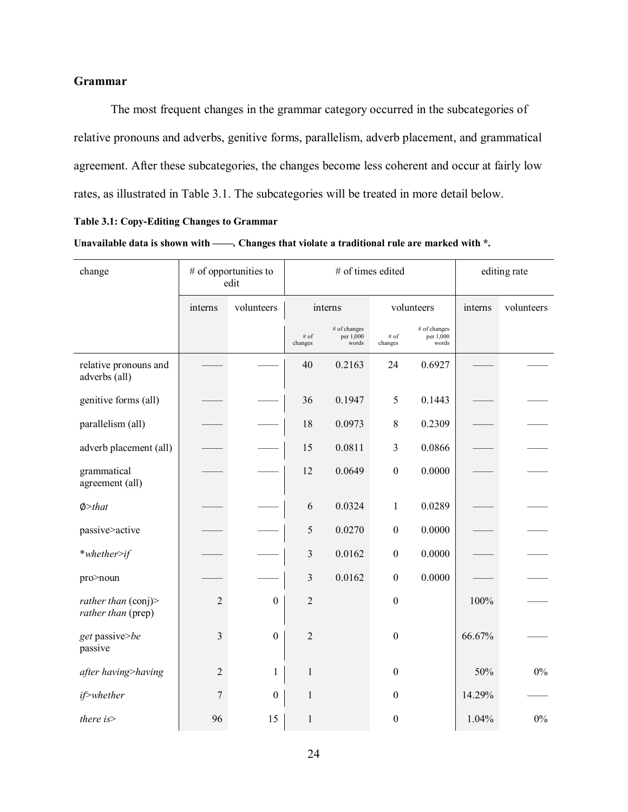# <span id="page-30-0"></span>**Grammar**

The most frequent changes in the grammar category occurred in the subcategories of relative pronouns and adverbs, genitive forms, parallelism, adverb placement, and grammatical agreement. After these subcategories, the changes become less coherent and occur at fairly low rates, as illustrated in Table 3.1. The subcategories will be treated in more detail below.

#### <span id="page-30-1"></span>**Table 3.1: Copy-Editing Changes to Grammar**

| Unavailable data is shown with – |  | -. Changes that violate a traditional rule are marked with *. |
|----------------------------------|--|---------------------------------------------------------------|
|----------------------------------|--|---------------------------------------------------------------|

| change                                            |                | # of opportunities to<br>edit |                   | # of times edited                  | editing rate     |                                    |         |            |
|---------------------------------------------------|----------------|-------------------------------|-------------------|------------------------------------|------------------|------------------------------------|---------|------------|
|                                                   | interns        | volunteers                    |                   | interns                            | volunteers       |                                    | interns | volunteers |
|                                                   |                |                               | $#$ of<br>changes | # of changes<br>per 1,000<br>words | # of<br>changes  | # of changes<br>per 1,000<br>words |         |            |
| relative pronouns and<br>adverbs (all)            |                |                               | 40                | 0.2163                             | 24               | 0.6927                             |         |            |
| genitive forms (all)                              |                |                               | 36                | 0.1947                             | 5                | 0.1443                             |         |            |
| parallelism (all)                                 |                |                               | 18                | 0.0973                             | 8                | 0.2309                             |         |            |
| adverb placement (all)                            |                |                               | 15                | 0.0811                             | 3                | 0.0866                             |         |            |
| grammatical<br>agreement (all)                    |                |                               | 12                | 0.0649                             | $\boldsymbol{0}$ | 0.0000                             |         |            |
| $\phi$ >that                                      |                |                               | 6                 | 0.0324                             | $\mathbf{1}$     | 0.0289                             |         |            |
| passive>active                                    |                |                               | 5                 | 0.0270                             | $\boldsymbol{0}$ | 0.0000                             |         |            |
| *whether>if                                       |                |                               | 3                 | 0.0162                             | $\boldsymbol{0}$ | 0.0000                             |         |            |
| pro>noun                                          |                |                               | 3                 | 0.0162                             | $\boldsymbol{0}$ | 0.0000                             |         |            |
| rather than $\text{(conj)}$<br>rather than (prep) | $\overline{2}$ | $\mathbf{0}$                  | $\overline{2}$    |                                    | $\boldsymbol{0}$ |                                    | 100%    |            |
| get passive>be<br>passive                         | $\mathfrak{Z}$ | $\boldsymbol{0}$              | $\overline{2}$    |                                    | $\boldsymbol{0}$ |                                    | 66.67%  |            |
| after having>having                               | $\overline{2}$ | 1                             | $\mathbf{1}$      |                                    | $\boldsymbol{0}$ |                                    | 50%     | $0\%$      |
| if>whether                                        | 7              | $\mathbf{0}$                  | $\mathbf{1}$      |                                    | $\theta$         |                                    | 14.29%  |            |
| there is>                                         | 96             | 15                            | $\mathbf{1}$      |                                    | $\boldsymbol{0}$ |                                    | 1.04%   | $0\%$      |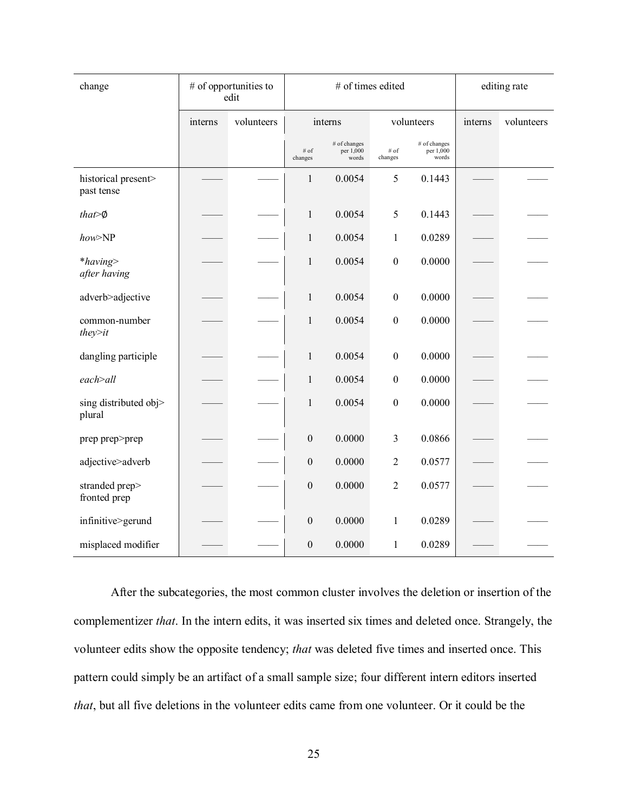| change                            |         | # of opportunities to<br>edit |                  |                                    | # of times edited  |                                    | editing rate |            |  |
|-----------------------------------|---------|-------------------------------|------------------|------------------------------------|--------------------|------------------------------------|--------------|------------|--|
|                                   | interns | volunteers                    |                  | interns                            | volunteers         |                                    | interns      | volunteers |  |
|                                   |         |                               | # of<br>changes  | # of changes<br>per 1,000<br>words | $\#$ of<br>changes | # of changes<br>per 1,000<br>words |              |            |  |
| historical present><br>past tense |         |                               | $\mathbf{1}$     | 0.0054                             | 5                  | 0.1443                             |              |            |  |
| $that \geq \emptyset$             |         |                               | $\mathbf{1}$     | 0.0054                             | 5                  | 0.1443                             |              |            |  |
| how>NP                            |         |                               | 1                | 0.0054                             | 1                  | 0.0289                             |              |            |  |
| *having><br>after having          |         |                               | 1                | 0.0054                             | $\mathbf{0}$       | 0.0000                             |              |            |  |
| adverb>adjective                  |         |                               | $\mathbf{1}$     | 0.0054                             | $\boldsymbol{0}$   | 0.0000                             |              |            |  |
| common-number<br>they>it          |         |                               | $\mathbf{1}$     | 0.0054                             | $\boldsymbol{0}$   | 0.0000                             |              |            |  |
| dangling participle               |         |                               | $\mathbf{1}$     | 0.0054                             | $\boldsymbol{0}$   | 0.0000                             |              |            |  |
| each > all                        |         |                               | $\mathbf{1}$     | 0.0054                             | $\boldsymbol{0}$   | 0.0000                             |              |            |  |
| sing distributed obj><br>plural   |         |                               | $\mathbf{1}$     | 0.0054                             | $\boldsymbol{0}$   | 0.0000                             |              |            |  |
| prep prep>prep                    |         |                               | $\boldsymbol{0}$ | 0.0000                             | 3                  | 0.0866                             |              |            |  |
| adjective>adverb                  |         |                               | $\boldsymbol{0}$ | 0.0000                             | $\overline{c}$     | 0.0577                             |              |            |  |
| stranded prep><br>fronted prep    |         |                               | $\boldsymbol{0}$ | 0.0000                             | $\overline{2}$     | 0.0577                             |              |            |  |
| infinitive>gerund                 |         |                               | $\boldsymbol{0}$ | 0.0000                             | 1                  | 0.0289                             |              |            |  |
| misplaced modifier                |         |                               | $\boldsymbol{0}$ | 0.0000                             | $\mathbf{1}$       | 0.0289                             |              |            |  |

After the subcategories, the most common cluster involves the deletion or insertion of the complementizer *that*. In the intern edits, it was inserted six times and deleted once. Strangely, the volunteer edits show the opposite tendency; *that* was deleted five times and inserted once. This pattern could simply be an artifact of a small sample size; four different intern editors inserted *that*, but all five deletions in the volunteer edits came from one volunteer. Or it could be the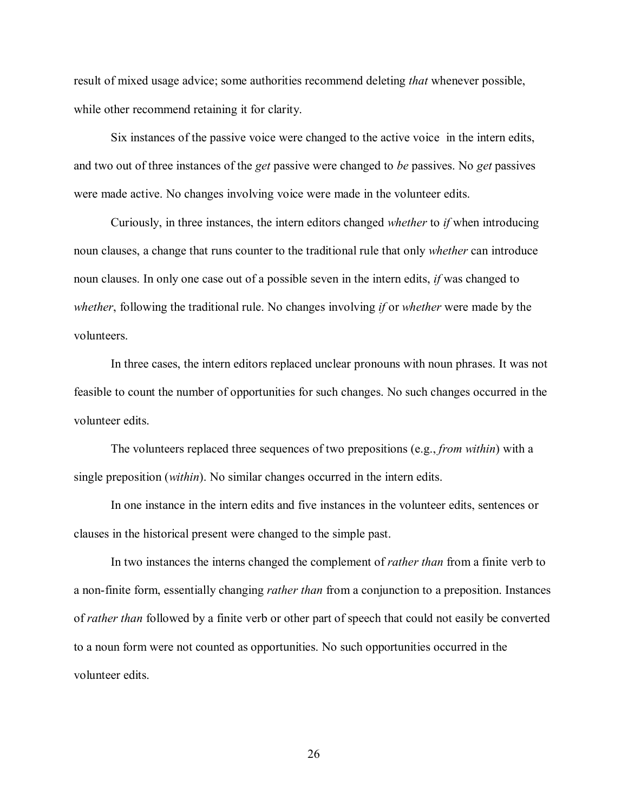result of mixed usage advice; some authorities recommend deleting *that* whenever possible, while other recommend retaining it for clarity.

Six instances of the passive voice were changed to the active voice in the intern edits, and two out of three instances of the *get* passive were changed to *be* passives. No *get* passives were made active. No changes involving voice were made in the volunteer edits.

Curiously, in three instances, the intern editors changed *whether* to *if* when introducing noun clauses, a change that runs counter to the traditional rule that only *whether* can introduce noun clauses. In only one case out of a possible seven in the intern edits, *if* was changed to *whether*, following the traditional rule. No changes involving *if* or *whether* were made by the volunteers.

In three cases, the intern editors replaced unclear pronouns with noun phrases. It was not feasible to count the number of opportunities for such changes. No such changes occurred in the volunteer edits.

The volunteers replaced three sequences of two prepositions (e.g., *from within*) with a single preposition (*within*). No similar changes occurred in the intern edits.

In one instance in the intern edits and five instances in the volunteer edits, sentences or clauses in the historical present were changed to the simple past.

In two instances the interns changed the complement of *rather than* from a finite verb to a non-finite form, essentially changing *rather than* from a conjunction to a preposition. Instances of *rather than* followed by a finite verb or other part of speech that could not easily be converted to a noun form were not counted as opportunities. No such opportunities occurred in the volunteer edits.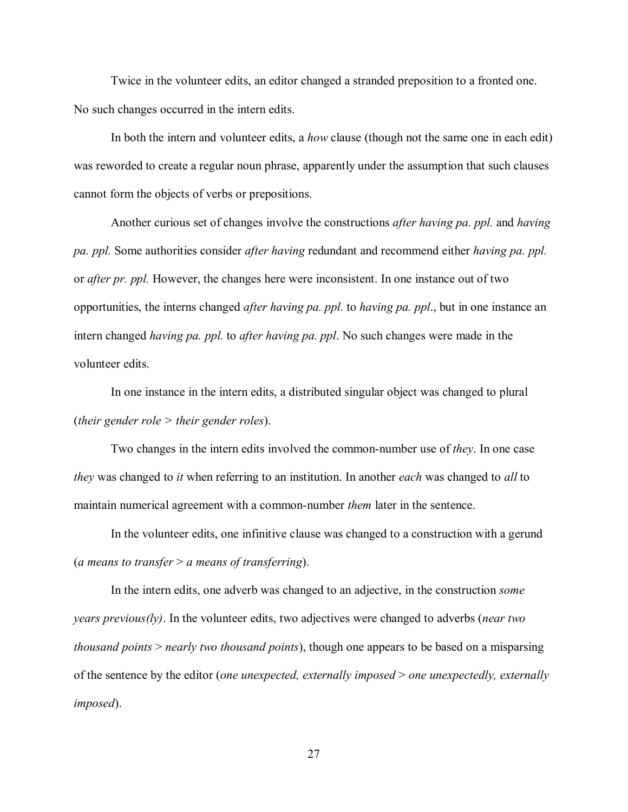Twice in the volunteer edits, an editor changed a stranded preposition to a fronted one. No such changes occurred in the intern edits.

In both the intern and volunteer edits, a *how* clause (though not the same one in each edit) was reworded to create a regular noun phrase, apparently under the assumption that such clauses cannot form the objects of verbs or prepositions.

Another curious set of changes involve the constructions *after having pa. ppl.* and *having pa. ppl.* Some authorities consider *after having* redundant and recommend either *having pa. ppl.*  or *after pr. ppl.* However, the changes here were inconsistent. In one instance out of two opportunities, the interns changed *after having pa. ppl.* to *having pa. ppl*., but in one instance an intern changed *having pa. ppl.* to *after having pa. ppl*. No such changes were made in the volunteer edits.

In one instance in the intern edits, a distributed singular object was changed to plural (*their gender role > their gender roles*).

Two changes in the intern edits involved the common-number use of *they*. In one case *they* was changed to *it* when referring to an institution. In another *each* was changed to *all* to maintain numerical agreement with a common-number *them* later in the sentence.

In the volunteer edits, one infinitive clause was changed to a construction with a gerund (*a means to transfer* > *a means of transferring*).

In the intern edits, one adverb was changed to an adjective, in the construction *some years previous(ly)*. In the volunteer edits, two adjectives were changed to adverbs (*near two thousand points* > *nearly two thousand points*), though one appears to be based on a misparsing of the sentence by the editor (*one unexpected, externally imposed* > *one unexpectedly, externally imposed*).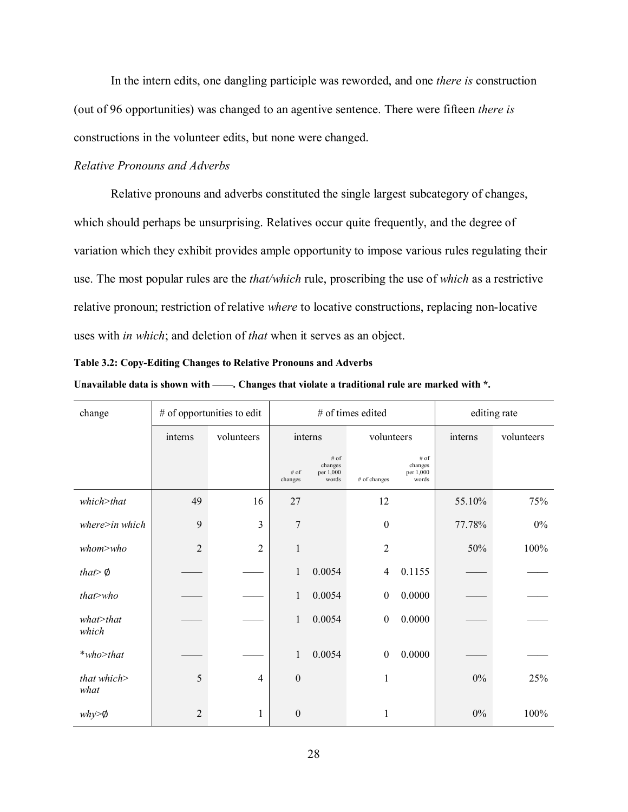In the intern edits, one dangling participle was reworded, and one *there is* construction (out of 96 opportunities) was changed to an agentive sentence. There were fifteen *there is* constructions in the volunteer edits, but none were changed.

## <span id="page-34-0"></span>*Relative Pronouns and Adverbs*

Relative pronouns and adverbs constituted the single largest subcategory of changes, which should perhaps be unsurprising. Relatives occur quite frequently, and the degree of variation which they exhibit provides ample opportunity to impose various rules regulating their use. The most popular rules are the *that/which* rule, proscribing the use of *which* as a restrictive relative pronoun; restriction of relative *where* to locative constructions, replacing non-locative uses with *in which*; and deletion of *that* when it serves as an object.

#### <span id="page-34-1"></span>**Table 3.2: Copy-Editing Changes to Relative Pronouns and Adverbs**

| change                 | # of opportunities to edit |                |                                                            | # of times edited | editing rate     |                                       |         |            |
|------------------------|----------------------------|----------------|------------------------------------------------------------|-------------------|------------------|---------------------------------------|---------|------------|
|                        | interns                    | volunteers     |                                                            | interns           |                  | volunteers                            | interns | volunteers |
|                        |                            |                | # of<br>changes<br>$#$ of<br>per 1,000<br>words<br>changes |                   | # of changes     | # of<br>changes<br>per 1,000<br>words |         |            |
| which>that             | 49                         | 16             | 27                                                         |                   | 12               |                                       | 55.10%  | 75%        |
| $where\geq in which$   | 9                          | 3              | 7                                                          |                   | $\boldsymbol{0}$ |                                       | 77.78%  | $0\%$      |
| whom> who              | $\overline{2}$             | $\overline{c}$ | 1                                                          |                   | $\overline{2}$   |                                       | 50%     | 100%       |
| that $\emptyset$       |                            |                | 1                                                          | 0.0054            | 4                | 0.1155                                |         |            |
| that>who               |                            |                | $\mathbf{1}$                                               | 0.0054            | $\boldsymbol{0}$ | 0.0000                                |         |            |
| $what$ > that<br>which |                            |                | $\mathbf{1}$                                               | 0.0054            | $\boldsymbol{0}$ | 0.0000                                |         |            |
| $*$ who>that           |                            |                | 1                                                          | 0.0054            | $\boldsymbol{0}$ | 0.0000                                |         |            |
| that which><br>what    | 5                          | $\overline{4}$ | $\mathbf{0}$                                               |                   | 1                |                                       | $0\%$   | 25%        |
| $why>\phi$             | $\overline{2}$             | 1              | $\mathbf{0}$                                               |                   | 1                |                                       | $0\%$   | 100%       |

| Unavailable data is shown with - | -. Changes that violate a traditional rule are marked with *. |  |  |  |
|----------------------------------|---------------------------------------------------------------|--|--|--|
|                                  |                                                               |  |  |  |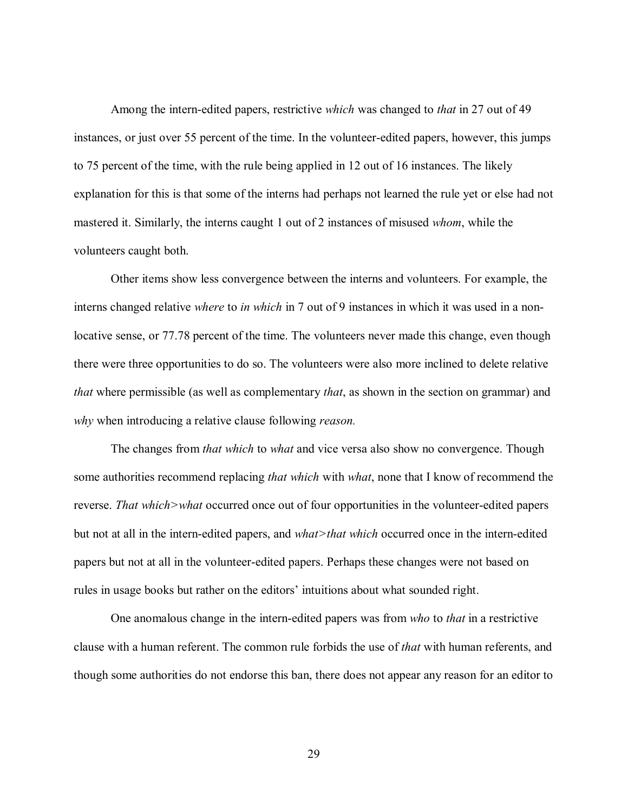Among the intern-edited papers, restrictive *which* was changed to *that* in 27 out of 49 instances, or just over 55 percent of the time. In the volunteer-edited papers, however, this jumps to 75 percent of the time, with the rule being applied in 12 out of 16 instances. The likely explanation for this is that some of the interns had perhaps not learned the rule yet or else had not mastered it. Similarly, the interns caught 1 out of 2 instances of misused *whom*, while the volunteers caught both.

Other items show less convergence between the interns and volunteers. For example, the interns changed relative *where* to *in which* in 7 out of 9 instances in which it was used in a nonlocative sense, or 77.78 percent of the time. The volunteers never made this change, even though there were three opportunities to do so. The volunteers were also more inclined to delete relative *that* where permissible (as well as complementary *that*, as shown in the section on grammar) and *why* when introducing a relative clause following *reason.* 

The changes from *that which* to *what* and vice versa also show no convergence. Though some authorities recommend replacing *that which* with *what*, none that I know of recommend the reverse. *That which>what* occurred once out of four opportunities in the volunteer-edited papers but not at all in the intern-edited papers, and *what>that which* occurred once in the intern-edited papers but not at all in the volunteer-edited papers. Perhaps these changes were not based on rules in usage books but rather on the editors' intuitions about what sounded right.

One anomalous change in the intern-edited papers was from *who* to *that* in a restrictive clause with a human referent. The common rule forbids the use of *that* with human referents, and though some authorities do not endorse this ban, there does not appear any reason for an editor to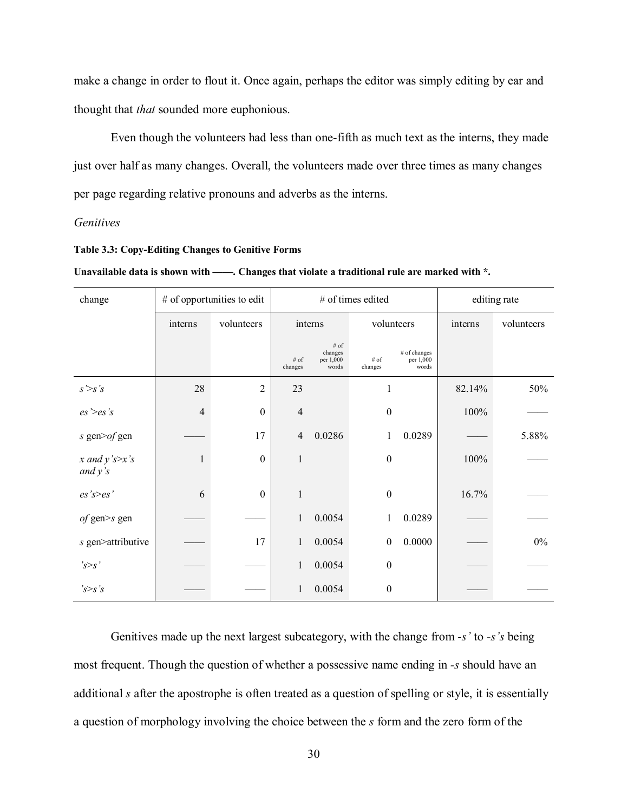make a change in order to flout it. Once again, perhaps the editor was simply editing by ear and thought that *that* sounded more euphonious.

Even though the volunteers had less than one-fifth as much text as the interns, they made just over half as many changes. Overall, the volunteers made over three times as many changes per page regarding relative pronouns and adverbs as the interns.

#### *Genitives*

#### **Table 3.3: Copy-Editing Changes to Genitive Forms**

Unavailable data is shown with ——. Changes that violate a traditional rule are marked with \*.

| change                        | $#$ of opportunities to edit |                  |                    | # of times edited                        | editing rate     |                                    |         |            |
|-------------------------------|------------------------------|------------------|--------------------|------------------------------------------|------------------|------------------------------------|---------|------------|
|                               | interns                      | volunteers       |                    | interns                                  |                  | volunteers                         | interns | volunteers |
|                               |                              |                  | $\#$ of<br>changes | $\#$ of<br>changes<br>per 1,000<br>words | # of<br>changes  | # of changes<br>per 1,000<br>words |         |            |
| s > s's                       | 28                           | $\overline{2}$   | 23                 |                                          | 1                |                                    | 82.14%  | 50%        |
| $es$ '> $es$ 's               | 4                            | $\boldsymbol{0}$ | $\overline{4}$     |                                          | $\boldsymbol{0}$ |                                    | 100%    |            |
| s gen $\geq$ of gen           |                              | 17               | $\overline{4}$     | 0.0286                                   | 1                | 0.0289                             |         | 5.88%      |
| x and $y$ 's>x's<br>and $y's$ | 1                            | $\theta$         | $\mathbf{1}$       |                                          | $\boldsymbol{0}$ |                                    | 100%    |            |
| es's>es'                      | 6                            | $\boldsymbol{0}$ | $\mathbf{1}$       |                                          | $\boldsymbol{0}$ |                                    | 16.7%   |            |
| <i>of</i> gen>s gen           |                              |                  | 1                  | 0.0054                                   | 1                | 0.0289                             |         |            |
| s gen>attributive             |                              | 17               | $\mathbf{1}$       | 0.0054                                   | $\boldsymbol{0}$ | 0.0000                             |         | $0\%$      |
| s>s'                          |                              |                  | 1                  | 0.0054                                   | $\boldsymbol{0}$ |                                    |         |            |
| $s$ 's $\geq s$ 's            |                              |                  | 1                  | 0.0054                                   | $\boldsymbol{0}$ |                                    |         |            |

Genitives made up the next largest subcategory, with the change from -*s'* to *-s's* being most frequent. Though the question of whether a possessive name ending in *-s* should have an additional *s* after the apostrophe is often treated as a question of spelling or style, it is essentially a question of morphology involving the choice between the *s* form and the zero form of the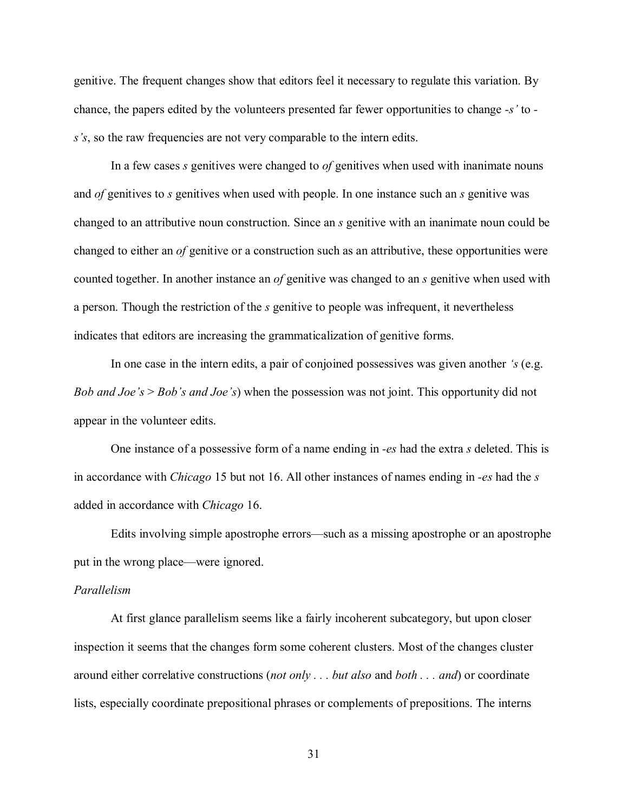genitive. The frequent changes show that editors feel it necessary to regulate this variation. By chance, the papers edited by the volunteers presented far fewer opportunities to change *-s'* to  *s's*, so the raw frequencies are not very comparable to the intern edits.

In a few cases *s* genitives were changed to *of* genitives when used with inanimate nouns and *of* genitives to *s* genitives when used with people. In one instance such an *s* genitive was changed to an attributive noun construction. Since an *s* genitive with an inanimate noun could be changed to either an *of* genitive or a construction such as an attributive, these opportunities were counted together. In another instance an *of* genitive was changed to an *s* genitive when used with a person. Though the restriction of the *s* genitive to people was infrequent, it nevertheless indicates that editors are increasing the grammaticalization of genitive forms.

In one case in the intern edits, a pair of conjoined possessives was given another *'s* (e.g. *Bob and Joe's* > *Bob's and Joe's*) when the possession was not joint. This opportunity did not appear in the volunteer edits.

One instance of a possessive form of a name ending in *-es* had the extra *s* deleted. This is in accordance with *Chicago* 15 but not 16. All other instances of names ending in *-es* had the *s* added in accordance with *Chicago* 16.

Edits involving simple apostrophe errors—such as a missing apostrophe or an apostrophe put in the wrong place—were ignored.

## *Parallelism*

At first glance parallelism seems like a fairly incoherent subcategory, but upon closer inspection it seems that the changes form some coherent clusters. Most of the changes cluster around either correlative constructions (*not only . . . but also* and *both . . . and*) or coordinate lists, especially coordinate prepositional phrases or complements of prepositions. The interns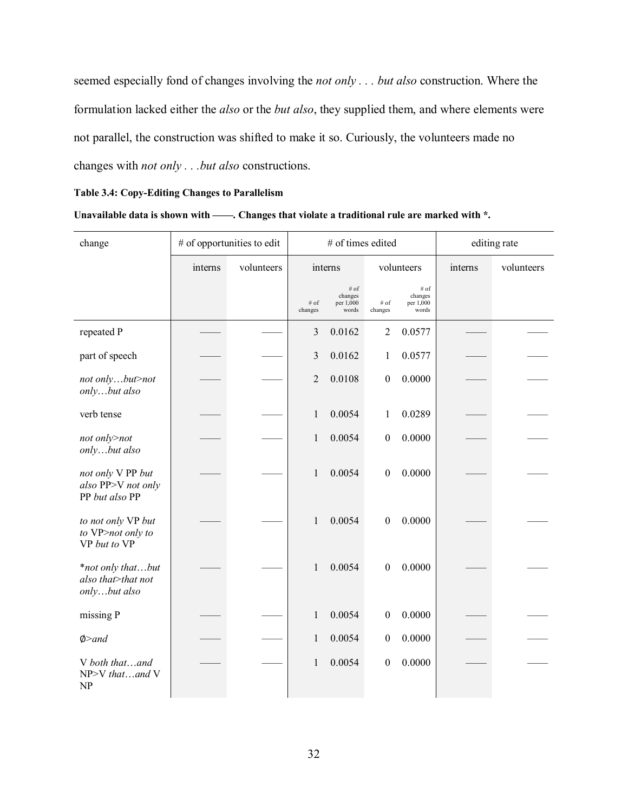seemed especially fond of changes involving the *not only . . . but also* construction. Where the formulation lacked either the *also* or the *but also*, they supplied them, and where elements were not parallel, the construction was shifted to make it so. Curiously, the volunteers made no changes with *not only . . .but also* constructions.

#### **Table 3.4: Copy-Editing Changes to Parallelism**

#### **Unavailable data is shown with ——. Changes that violate a traditional rule are marked with \*.**

| change                                                    |         | # of opportunities to edit |                 | # of times edited                     |                    |                                       | editing rate |            |  |
|-----------------------------------------------------------|---------|----------------------------|-----------------|---------------------------------------|--------------------|---------------------------------------|--------------|------------|--|
|                                                           | interns | volunteers                 |                 | interns                               |                    | volunteers                            | interns      | volunteers |  |
|                                                           |         |                            | # of<br>changes | # of<br>changes<br>per 1,000<br>words | $\#$ of<br>changes | # of<br>changes<br>per 1,000<br>words |              |            |  |
| repeated P                                                |         |                            | 3               | 0.0162                                | $\sqrt{2}$         | 0.0577                                |              |            |  |
| part of speech                                            |         |                            | 3               | 0.0162                                | $\mathbf{1}$       | 0.0577                                |              |            |  |
| not onlybut>not<br>onlybut also                           |         |                            | $\overline{2}$  | 0.0108                                | $\boldsymbol{0}$   | 0.0000                                |              |            |  |
| verb tense                                                |         |                            | 1               | 0.0054                                | 1                  | 0.0289                                |              |            |  |
| not only>not<br>onlybut also                              |         |                            | 1               | 0.0054                                | $\boldsymbol{0}$   | 0.0000                                |              |            |  |
| not only V PP but<br>also PP>V not only<br>PP but also PP |         |                            | 1               | 0.0054                                | $\boldsymbol{0}$   | 0.0000                                |              |            |  |
| to not only VP but<br>to VP>not only to<br>VP but to VP   |         |                            | 1               | 0.0054                                | $\boldsymbol{0}$   | 0.0000                                |              |            |  |
| *not only thatbut<br>also that>that not<br>onlybut also   |         |                            | 1               | 0.0054                                | $\boldsymbol{0}$   | 0.0000                                |              |            |  |
| missing P                                                 |         |                            | 1               | 0.0054                                | $\boldsymbol{0}$   | 0.0000                                |              |            |  |
| $\phi$ >and                                               |         |                            | 1               | 0.0054                                | $\boldsymbol{0}$   | 0.0000                                |              |            |  |
| V both thatand<br>NP>V thatand V<br>NP                    |         |                            | 1               | 0.0054                                | $\boldsymbol{0}$   | 0.0000                                |              |            |  |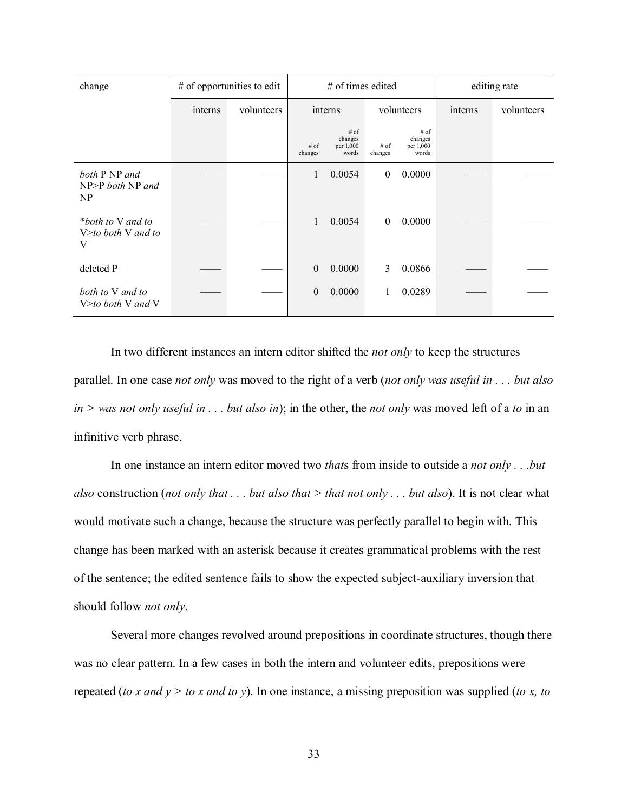| change                                        | $#$ of opportunities to edit |            | $#$ of times edited |                                         |                   | editing rate                            |         |            |
|-----------------------------------------------|------------------------------|------------|---------------------|-----------------------------------------|-------------------|-----------------------------------------|---------|------------|
|                                               | interns                      | volunteers |                     | interns                                 |                   | volunteers                              | interns | volunteers |
|                                               |                              |            | $#$ of<br>changes   | $#$ of<br>changes<br>per 1,000<br>words | $#$ of<br>changes | $#$ of<br>changes<br>per 1,000<br>words |         |            |
| both P NP and<br>$NP > P$ both $NP$ and<br>NP |                              |            | 1                   | 0.0054                                  | $\mathbf{0}$      | 0.0000                                  |         |            |
| *both to V and to<br>$V$ both V and to<br>V   |                              |            | 1                   | 0.0054                                  | $\mathbf{0}$      | 0.0000                                  |         |            |
| deleted P                                     |                              |            | $\mathbf{0}$        | 0.0000                                  | 3                 | 0.0866                                  |         |            |
| both to V and to<br>$V$ both V and V          |                              |            | $\mathbf{0}$        | 0.0000                                  |                   | 0.0289                                  |         |            |

In two different instances an intern editor shifted the *not only* to keep the structures parallel. In one case *not only* was moved to the right of a verb (*not only was useful in . . . but also in > was not only useful in . . . but also in*); in the other, the *not only* was moved left of a *to* in an infinitive verb phrase.

In one instance an intern editor moved two *that*s from inside to outside a *not only . . .but also* construction (*not only that . . . but also that > that not only . . . but also*). It is not clear what would motivate such a change, because the structure was perfectly parallel to begin with. This change has been marked with an asterisk because it creates grammatical problems with the rest of the sentence; the edited sentence fails to show the expected subject-auxiliary inversion that should follow *not only*.

Several more changes revolved around prepositions in coordinate structures, though there was no clear pattern. In a few cases in both the intern and volunteer edits, prepositions were repeated (*to x and y > to x and to y*). In one instance, a missing preposition was supplied (*to x, to*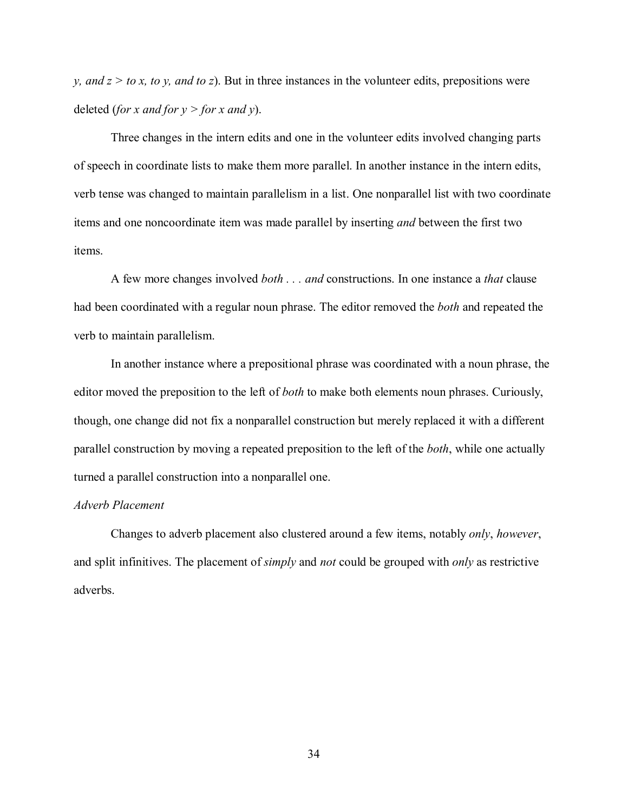*y, and*  $z > to x$ *, to y, and to z*). But in three instances in the volunteer edits, prepositions were deleted (*for x and for y > for x and y*).

Three changes in the intern edits and one in the volunteer edits involved changing parts of speech in coordinate lists to make them more parallel. In another instance in the intern edits, verb tense was changed to maintain parallelism in a list. One nonparallel list with two coordinate items and one noncoordinate item was made parallel by inserting *and* between the first two items.

A few more changes involved *both . . . and* constructions. In one instance a *that* clause had been coordinated with a regular noun phrase. The editor removed the *both* and repeated the verb to maintain parallelism.

In another instance where a prepositional phrase was coordinated with a noun phrase, the editor moved the preposition to the left of *both* to make both elements noun phrases. Curiously, though, one change did not fix a nonparallel construction but merely replaced it with a different parallel construction by moving a repeated preposition to the left of the *both*, while one actually turned a parallel construction into a nonparallel one.

# *Adverb Placement*

Changes to adverb placement also clustered around a few items, notably *only*, *however*, and split infinitives. The placement of *simply* and *not* could be grouped with *only* as restrictive adverbs.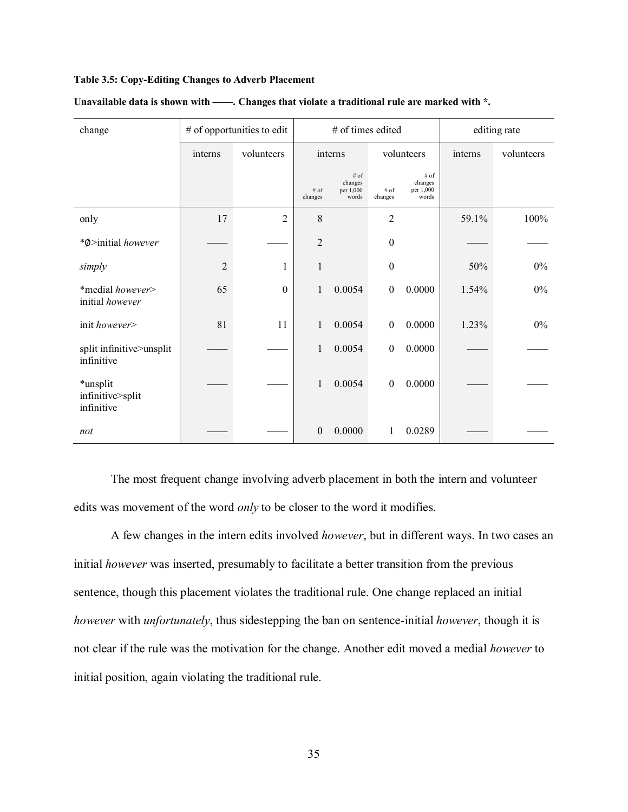### **Table 3.5: Copy-Editing Changes to Adverb Placement**

| change                                     | # of opportunities to edit |                  | # of times edited |                                       |                  |                                       | editing rate |            |
|--------------------------------------------|----------------------------|------------------|-------------------|---------------------------------------|------------------|---------------------------------------|--------------|------------|
|                                            | interns                    | volunteers       |                   | interns                               | volunteers       |                                       | interns      | volunteers |
|                                            |                            |                  | $#$ of<br>changes | # of<br>changes<br>per 1,000<br>words | # of<br>changes  | # of<br>changes<br>per 1,000<br>words |              |            |
| only                                       | 17                         | $\overline{2}$   | 8                 |                                       | $\overline{2}$   |                                       | 59.1%        | 100%       |
| *Ø>initial however                         |                            |                  | $\overline{2}$    |                                       | $\boldsymbol{0}$ |                                       |              |            |
| simply                                     | $\overline{2}$             | 1                | $\mathbf{1}$      |                                       | $\boldsymbol{0}$ |                                       | 50%          | $0\%$      |
| *medial however><br>initial however        | 65                         | $\boldsymbol{0}$ | 1                 | 0.0054                                | $\boldsymbol{0}$ | 0.0000                                | 1.54%        | $0\%$      |
| init however>                              | 81                         | 11               | $\mathbf{1}$      | 0.0054                                | $\boldsymbol{0}$ | 0.0000                                | 1.23%        | $0\%$      |
| split infinitive>unsplit<br>infinitive     |                            |                  | $\mathbf{1}$      | 0.0054                                | $\boldsymbol{0}$ | 0.0000                                |              |            |
| *unsplit<br>infinitive>split<br>infinitive |                            |                  | 1                 | 0.0054                                | $\boldsymbol{0}$ | 0.0000                                |              |            |
| not                                        |                            |                  | $\boldsymbol{0}$  | 0.0000                                | 1                | 0.0289                                |              |            |

#### Unavailable data is shown with ——. Changes that violate a traditional rule are marked with \*.

The most frequent change involving adverb placement in both the intern and volunteer edits was movement of the word *only* to be closer to the word it modifies.

A few changes in the intern edits involved *however*, but in different ways. In two cases an initial *however* was inserted, presumably to facilitate a better transition from the previous sentence, though this placement violates the traditional rule. One change replaced an initial *however* with *unfortunately*, thus sidestepping the ban on sentence-initial *however*, though it is not clear if the rule was the motivation for the change. Another edit moved a medial *however* to initial position, again violating the traditional rule.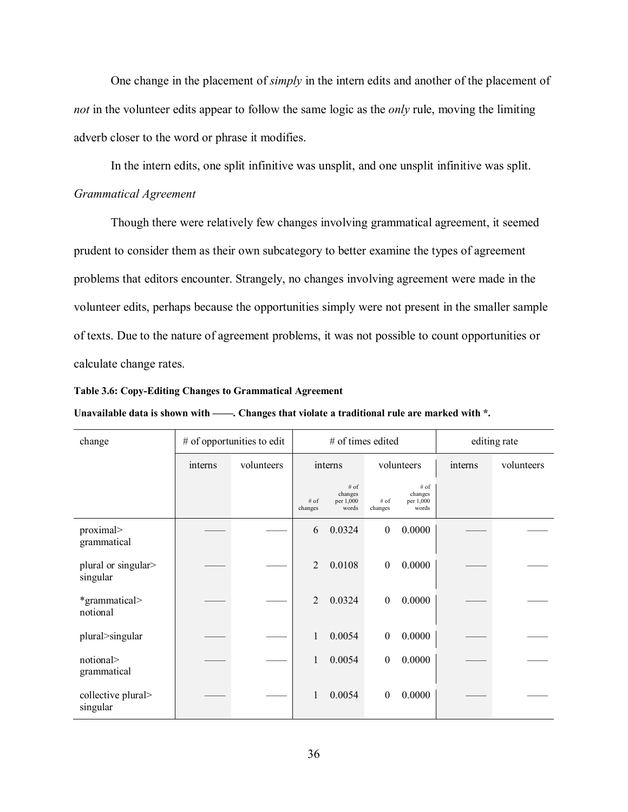One change in the placement of *simply* in the intern edits and another of the placement of *not* in the volunteer edits appear to follow the same logic as the *only* rule, moving the limiting adverb closer to the word or phrase it modifies.

In the intern edits, one split infinitive was unsplit, and one unsplit infinitive was split. *Grammatical Agreement*

Though there were relatively few changes involving grammatical agreement, it seemed prudent to consider them as their own subcategory to better examine the types of agreement problems that editors encounter. Strangely, no changes involving agreement were made in the volunteer edits, perhaps because the opportunities simply were not present in the smaller sample of texts. Due to the nature of agreement problems, it was not possible to count opportunities or calculate change rates.

### **Table 3.6: Copy-Editing Changes to Grammatical Agreement**

| Unavailable data is shown with – | -. Changes that violate a traditional rule are marked with *. |  |
|----------------------------------|---------------------------------------------------------------|--|
|----------------------------------|---------------------------------------------------------------|--|

| change                          | $#$ of opportunities to edit |            | # of times edited |                                       |                  | editing rate                          |         |            |
|---------------------------------|------------------------------|------------|-------------------|---------------------------------------|------------------|---------------------------------------|---------|------------|
|                                 | interns                      | volunteers |                   | interns                               |                  | volunteers                            | interns | volunteers |
|                                 |                              |            | $#$ of<br>changes | # of<br>changes<br>per 1,000<br>words | # of<br>changes  | # of<br>changes<br>per 1,000<br>words |         |            |
| proximal><br>grammatical        |                              |            | 6                 | 0.0324                                | $\boldsymbol{0}$ | 0.0000                                |         |            |
| plural or singular><br>singular |                              |            | $\overline{2}$    | 0.0108                                | $\boldsymbol{0}$ | 0.0000                                |         |            |
| *grammatical><br>notional       |                              |            | 2                 | 0.0324                                | $\boldsymbol{0}$ | 0.0000                                |         |            |
| plural>singular                 |                              |            | 1                 | 0.0054                                | $\boldsymbol{0}$ | 0.0000                                |         |            |
| notional><br>grammatical        |                              |            | 1                 | 0.0054                                | $\mathbf{0}$     | 0.0000                                |         |            |
| collective plural><br>singular  |                              |            | 1                 | 0.0054                                | $\boldsymbol{0}$ | 0.0000                                |         |            |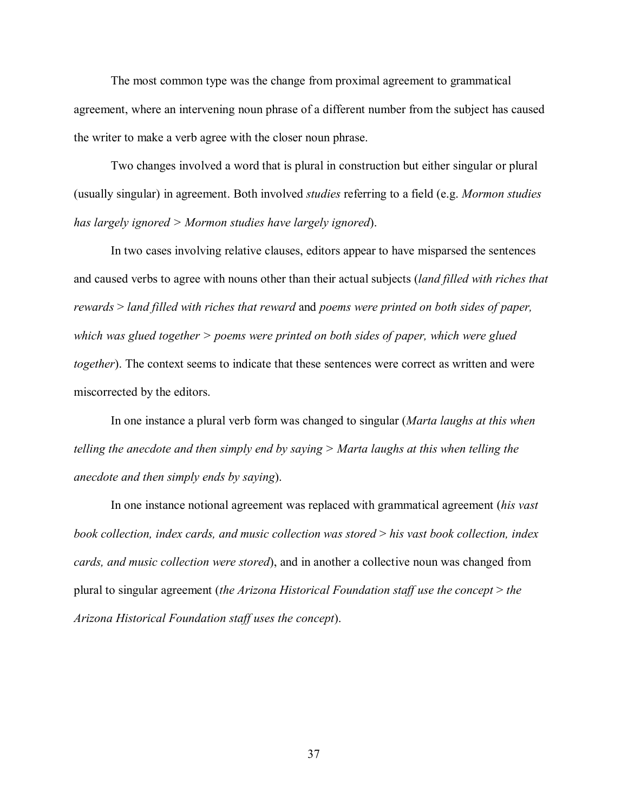The most common type was the change from proximal agreement to grammatical agreement, where an intervening noun phrase of a different number from the subject has caused the writer to make a verb agree with the closer noun phrase.

Two changes involved a word that is plural in construction but either singular or plural (usually singular) in agreement. Both involved *studies* referring to a field (e.g. *Mormon studies has largely ignored > Mormon studies have largely ignored*).

In two cases involving relative clauses, editors appear to have misparsed the sentences and caused verbs to agree with nouns other than their actual subjects (*land filled with riches that rewards* > *land filled with riches that reward* and *poems were printed on both sides of paper, which was glued together > poems were printed on both sides of paper, which were glued together*). The context seems to indicate that these sentences were correct as written and were miscorrected by the editors.

In one instance a plural verb form was changed to singular (*Marta laughs at this when telling the anecdote and then simply end by saying > Marta laughs at this when telling the anecdote and then simply ends by saying*).

In one instance notional agreement was replaced with grammatical agreement (*his vast book collection, index cards, and music collection was stored* > *his vast book collection, index cards, and music collection were stored*), and in another a collective noun was changed from plural to singular agreement (*the Arizona Historical Foundation staff use the concept* > *the Arizona Historical Foundation staff uses the concept*).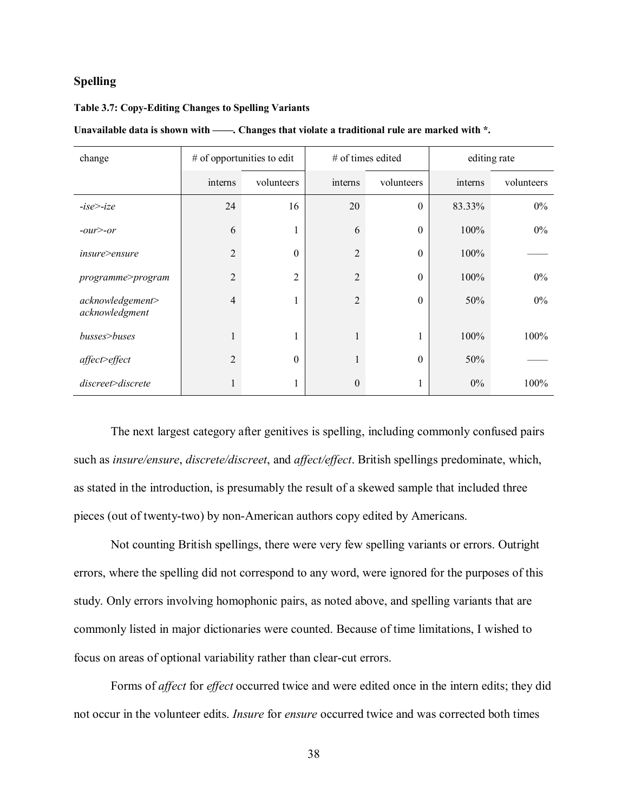# **Spelling**

#### **Table 3.7: Copy-Editing Changes to Spelling Variants**

| change                             |                | $#$ of opportunities to edit |                | # of times edited | editing rate |            |  |
|------------------------------------|----------------|------------------------------|----------------|-------------------|--------------|------------|--|
|                                    | interns        | volunteers                   | interns        | volunteers        | interns      | volunteers |  |
| $-ise$ $-ize$                      | 24             | 16                           | 20             | $\boldsymbol{0}$  | 83.33%       | $0\%$      |  |
| $-our$ $\geq -or$                  | 6              | $\mathbf{1}$                 | 6              | $\boldsymbol{0}$  | 100%         | $0\%$      |  |
| insure>ensure                      | $\overline{2}$ | $\boldsymbol{0}$             | $\overline{2}$ | $\boldsymbol{0}$  | 100%         |            |  |
| programme>program                  | $\overline{2}$ | $\overline{2}$               | $\overline{2}$ | $\boldsymbol{0}$  | 100%         | $0\%$      |  |
| acknowledgement><br>acknowledgment | 4              | 1                            | $\overline{2}$ | $\theta$          | 50%          | $0\%$      |  |
| busses>buses                       |                | 1                            | 1              | 1                 | 100%         | 100%       |  |
| affect>effect                      | $\overline{2}$ | $\theta$                     | $\mathbf{1}$   | $\boldsymbol{0}$  | 50%          |            |  |
| $discrete \geq discrete$           |                | 1                            | $\theta$       | 1                 | $0\%$        | 100%       |  |

Unavailable data is shown with ——. Changes that violate a traditional rule are marked with \*.

The next largest category after genitives is spelling, including commonly confused pairs such as *insure/ensure*, *discrete/discreet*, and *affect/effect*. British spellings predominate, which, as stated in the introduction, is presumably the result of a skewed sample that included three pieces (out of twenty-two) by non-American authors copy edited by Americans.

Not counting British spellings, there were very few spelling variants or errors. Outright errors, where the spelling did not correspond to any word, were ignored for the purposes of this study. Only errors involving homophonic pairs, as noted above, and spelling variants that are commonly listed in major dictionaries were counted. Because of time limitations, I wished to focus on areas of optional variability rather than clear-cut errors.

Forms of *affect* for *effect* occurred twice and were edited once in the intern edits; they did not occur in the volunteer edits. *Insure* for *ensure* occurred twice and was corrected both times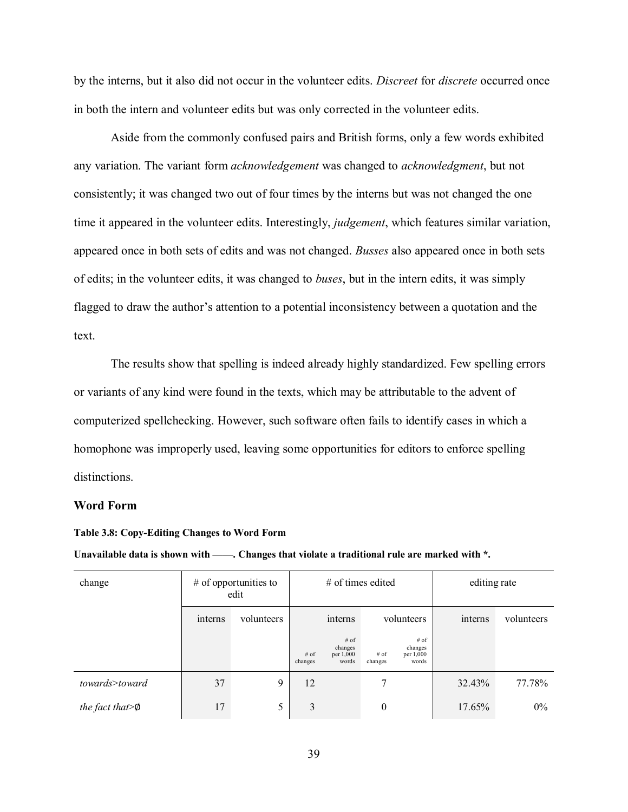by the interns, but it also did not occur in the volunteer edits. *Discreet* for *discrete* occurred once in both the intern and volunteer edits but was only corrected in the volunteer edits.

Aside from the commonly confused pairs and British forms, only a few words exhibited any variation. The variant form *acknowledgement* was changed to *acknowledgment*, but not consistently; it was changed two out of four times by the interns but was not changed the one time it appeared in the volunteer edits. Interestingly, *judgement*, which features similar variation, appeared once in both sets of edits and was not changed. *Busses* also appeared once in both sets of edits; in the volunteer edits, it was changed to *buses*, but in the intern edits, it was simply flagged to draw the author's attention to a potential inconsistency between a quotation and the text.

The results show that spelling is indeed already highly standardized. Few spelling errors or variants of any kind were found in the texts, which may be attributable to the advent of computerized spellchecking. However, such software often fails to identify cases in which a homophone was improperly used, leaving some opportunities for editors to enforce spelling distinctions.

## **Word Form**

**Table 3.8: Copy-Editing Changes to Word Form**

Unavailable data is shown with ——. Changes that violate a traditional rule are marked with \*.

| change                  |         | $#$ of opportunities to<br>edit | $\#$ of times edited |                                                                                                       |            |  | editing rate |            |
|-------------------------|---------|---------------------------------|----------------------|-------------------------------------------------------------------------------------------------------|------------|--|--------------|------------|
|                         | interns | volunteers                      | interns              |                                                                                                       | volunteers |  | interns      | volunteers |
|                         |         |                                 | $#$ of<br>changes    | $#$ of<br># of<br>changes<br>changes<br>$#$ of<br>per 1,000<br>per 1,000<br>words<br>words<br>changes |            |  |              |            |
| towards>toward          | 37      | 9                               | 12                   |                                                                                                       | 7          |  | 32.43%       | 77.78%     |
| the fact that $\varphi$ | 17      | 5                               | 3                    |                                                                                                       | $\theta$   |  | 17.65%       | $0\%$      |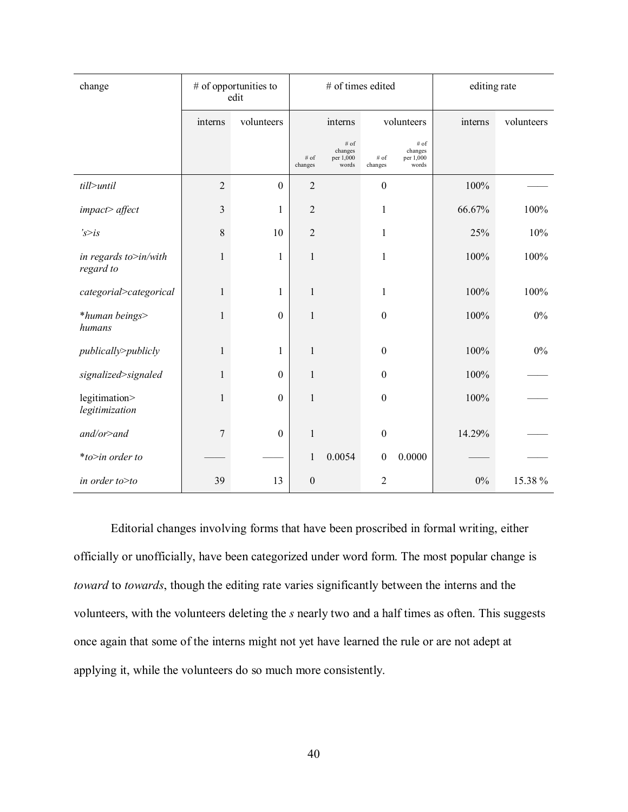| change                             |                | $#$ of opportunities to<br>edit |                  | # of times edited                     |                  |                                       |            | editing rate |  |
|------------------------------------|----------------|---------------------------------|------------------|---------------------------------------|------------------|---------------------------------------|------------|--------------|--|
|                                    | interns        | volunteers                      |                  | volunteers<br>interns                 |                  | interns                               | volunteers |              |  |
|                                    |                |                                 | # of<br>changes  | # of<br>changes<br>per 1,000<br>words | # of<br>changes  | # of<br>changes<br>per 1,000<br>words |            |              |  |
| till>until                         | $\overline{2}$ | $\boldsymbol{0}$                | $\overline{2}$   |                                       | $\boldsymbol{0}$ |                                       | 100%       |              |  |
| impact> affect                     | $\mathfrak{Z}$ | 1                               | $\overline{2}$   |                                       | $\mathbf{1}$     |                                       | 66.67%     | 100%         |  |
| s > is                             | $8\,$          | 10                              | $\overline{2}$   |                                       | 1                |                                       | 25%        | 10%          |  |
| in regards to>in/with<br>regard to | $\mathbf{1}$   | $\mathbf{1}$                    | $\mathbf{1}$     |                                       | $\mathbf{1}$     |                                       | 100%       | 100%         |  |
| categorial>categorical             | $\mathbf{1}$   | 1                               | $\mathbf{1}$     |                                       | 1                |                                       | 100%       | 100%         |  |
| *human beings><br>humans           | 1              | $\boldsymbol{0}$                | 1                |                                       | $\boldsymbol{0}$ |                                       | 100%       | $0\%$        |  |
| publically>publicly                | 1              | 1                               | 1                |                                       | $\boldsymbol{0}$ |                                       | 100%       | $0\%$        |  |
| signalized>signaled                | 1              | $\boldsymbol{0}$                | $\mathbf{1}$     |                                       | $\boldsymbol{0}$ |                                       | 100%       |              |  |
| legitimation><br>legitimization    | $\mathbf{1}$   | $\boldsymbol{0}$                | $\mathbf{1}$     |                                       | $\boldsymbol{0}$ |                                       | 100%       |              |  |
| $and/or$ >and                      | $\overline{7}$ | $\boldsymbol{0}$                | 1                |                                       | $\boldsymbol{0}$ |                                       | 14.29%     |              |  |
| *to>in order to                    |                |                                 | 1                | 0.0054                                | $\boldsymbol{0}$ | 0.0000                                |            |              |  |
| in order to>to                     | 39             | 13                              | $\boldsymbol{0}$ |                                       | 2                |                                       | $0\%$      | 15.38%       |  |

Editorial changes involving forms that have been proscribed in formal writing, either officially or unofficially, have been categorized under word form. The most popular change is *toward* to *towards*, though the editing rate varies significantly between the interns and the volunteers, with the volunteers deleting the *s* nearly two and a half times as often. This suggests once again that some of the interns might not yet have learned the rule or are not adept at applying it, while the volunteers do so much more consistently.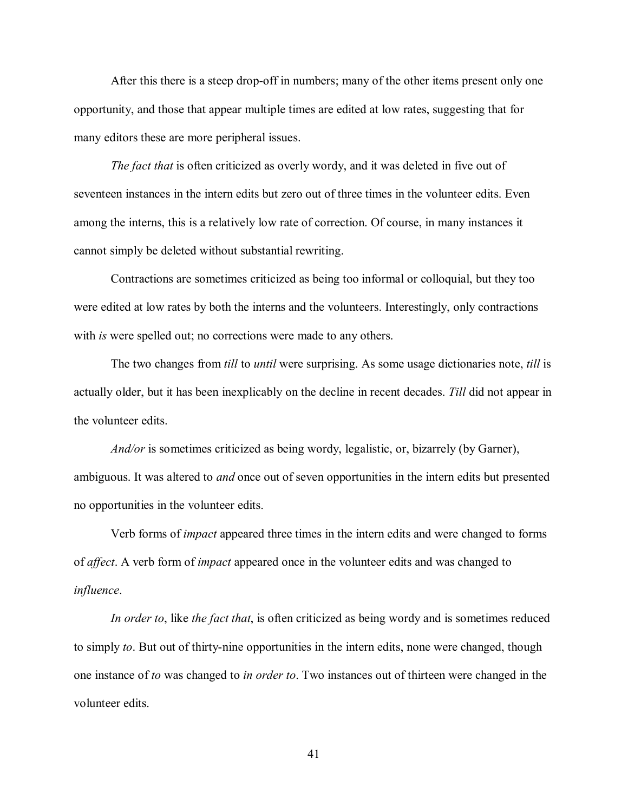After this there is a steep drop-off in numbers; many of the other items present only one opportunity, and those that appear multiple times are edited at low rates, suggesting that for many editors these are more peripheral issues.

*The fact that* is often criticized as overly wordy, and it was deleted in five out of seventeen instances in the intern edits but zero out of three times in the volunteer edits. Even among the interns, this is a relatively low rate of correction. Of course, in many instances it cannot simply be deleted without substantial rewriting.

Contractions are sometimes criticized as being too informal or colloquial, but they too were edited at low rates by both the interns and the volunteers. Interestingly, only contractions with *is* were spelled out; no corrections were made to any others.

The two changes from *till* to *until* were surprising. As some usage dictionaries note, *till* is actually older, but it has been inexplicably on the decline in recent decades. *Till* did not appear in the volunteer edits.

*And/or* is sometimes criticized as being wordy, legalistic, or, bizarrely (by Garner), ambiguous. It was altered to *and* once out of seven opportunities in the intern edits but presented no opportunities in the volunteer edits.

Verb forms of *impact* appeared three times in the intern edits and were changed to forms of *affect*. A verb form of *impact* appeared once in the volunteer edits and was changed to *influence*.

*In order to*, like *the fact that*, is often criticized as being wordy and is sometimes reduced to simply *to*. But out of thirty-nine opportunities in the intern edits, none were changed, though one instance of *to* was changed to *in order to*. Two instances out of thirteen were changed in the volunteer edits.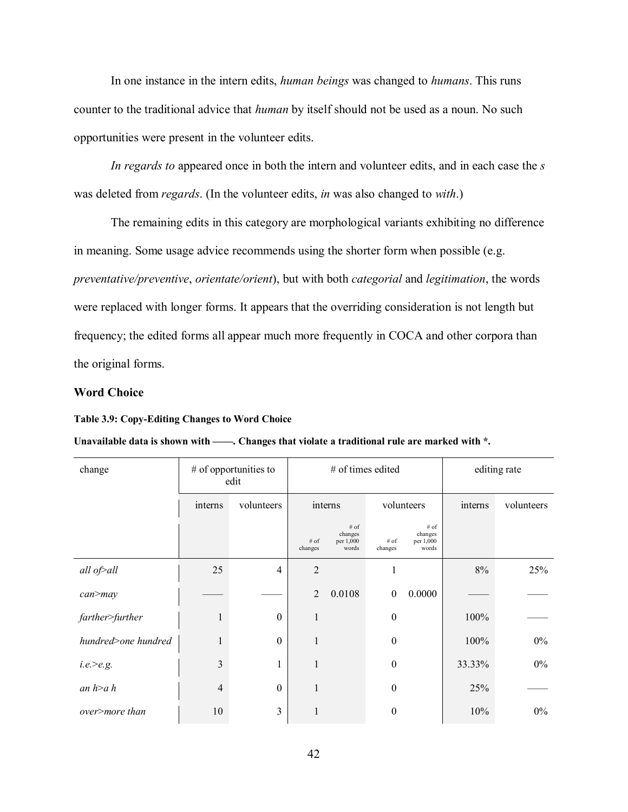In one instance in the intern edits, *human beings* was changed to *humans*. This runs counter to the traditional advice that *human* by itself should not be used as a noun. No such opportunities were present in the volunteer edits.

*In regards to* appeared once in both the intern and volunteer edits, and in each case the *s* was deleted from *regards*. (In the volunteer edits, *in* was also changed to *with*.)

The remaining edits in this category are morphological variants exhibiting no difference in meaning. Some usage advice recommends using the shorter form when possible (e.g. *preventative/preventive*, *orientate/orient*), but with both *categorial* and *legitimation*, the words were replaced with longer forms. It appears that the overriding consideration is not length but frequency; the edited forms all appear much more frequently in COCA and other corpora than the original forms.

## **Word Choice**

#### **Table 3.9: Copy-Editing Changes to Word Choice**

## Unavailable data is shown with ——. Changes that violate a traditional rule are marked with \*.

| change              |              | $#$ of opportunities to<br>edit |                   | # of times edited                       |                  | editing rate                          |         |            |
|---------------------|--------------|---------------------------------|-------------------|-----------------------------------------|------------------|---------------------------------------|---------|------------|
|                     | interns      | volunteers                      | interns           |                                         | volunteers       |                                       | interns | volunteers |
|                     |              |                                 | $#$ of<br>changes | $#$ of<br>changes<br>per 1,000<br>words | # of<br>changes  | # of<br>changes<br>per 1,000<br>words |         |            |
| all of>all          | 25           | $\overline{4}$                  | $\overline{2}$    |                                         | 1                |                                       | 8%      | 25%        |
| $can$ >may          |              |                                 | $\overline{2}$    | 0.0108                                  | $\mathbf{0}$     | 0.0000                                |         |            |
| farther>further     | $\mathbf{1}$ | $\boldsymbol{0}$                | $\mathbf{1}$      |                                         | $\boldsymbol{0}$ |                                       | 100%    |            |
| hundred>one hundred | $\mathbf{1}$ | $\boldsymbol{0}$                | 1                 |                                         | $\boldsymbol{0}$ |                                       | 100%    | $0\%$      |
| $i.e. \ge e.g.$     | 3            | 1                               | $\mathbf{1}$      |                                         | $\boldsymbol{0}$ |                                       | 33.33%  | $0\%$      |
| an $h$ >a h         | 4            | $\boldsymbol{0}$                | $\mathbf{1}$      |                                         | $\boldsymbol{0}$ |                                       | 25%     |            |
| over>more than      | 10           | 3                               | 1                 |                                         | $\mathbf{0}$     |                                       | 10%     | $0\%$      |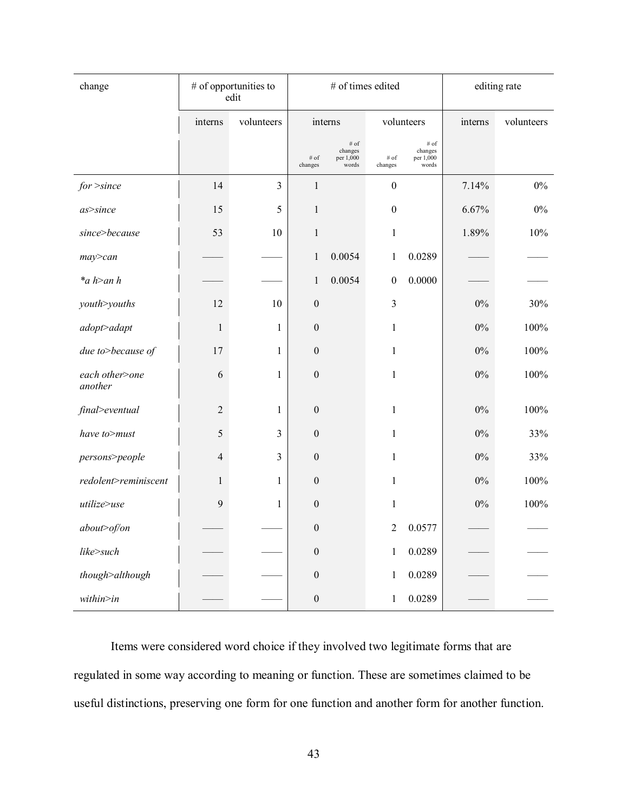| change                    |                | # of opportunities to<br>edit |                    | # of times edited                     |                    | editing rate                          |         |            |
|---------------------------|----------------|-------------------------------|--------------------|---------------------------------------|--------------------|---------------------------------------|---------|------------|
|                           | interns        | volunteers                    |                    | interns                               |                    | volunteers                            | interns | volunteers |
|                           |                |                               | $\#$ of<br>changes | # of<br>changes<br>per 1,000<br>words | $\#$ of<br>changes | # of<br>changes<br>per 1,000<br>words |         |            |
| $for$ >since              | 14             | $\overline{3}$                | $\mathbf{1}$       |                                       | $\boldsymbol{0}$   |                                       | 7.14%   | $0\%$      |
| $as$ >since               | 15             | 5                             | $\mathbf{1}$       |                                       | $\boldsymbol{0}$   |                                       | 6.67%   | $0\%$      |
| since>because             | 53             | 10                            | $\mathbf{1}$       |                                       | $\mathbf{1}$       |                                       | 1.89%   | 10%        |
| $may$ $> can$             |                |                               | 1                  | 0.0054                                | 1                  | 0.0289                                |         |            |
| $a h$ >an h               |                |                               | $\mathbf{1}$       | 0.0054                                | $\boldsymbol{0}$   | 0.0000                                |         |            |
| youth>youths              | 12             | 10                            | $\boldsymbol{0}$   |                                       | $\mathfrak{Z}$     |                                       | $0\%$   | 30%        |
| adopt>adapt               | $\,1$          | 1                             | $\boldsymbol{0}$   |                                       | $\mathbf{1}$       |                                       | $0\%$   | 100%       |
| due to>because of         | 17             | 1                             | $\boldsymbol{0}$   |                                       | $\mathbf{1}$       |                                       | $0\%$   | 100%       |
| each other>one<br>another | 6              | 1                             | $\boldsymbol{0}$   |                                       | $\mathbf{1}$       |                                       | $0\%$   | 100%       |
| final>eventual            | $\overline{2}$ | 1                             | $\boldsymbol{0}$   |                                       | $\mathbf{1}$       |                                       | $0\%$   | $100\%$    |
| have to>must              | 5              | 3                             | $\boldsymbol{0}$   |                                       | $\mathbf{1}$       |                                       | $0\%$   | 33%        |
| persons>people            | 4              | 3                             | $\boldsymbol{0}$   |                                       | $\mathbf{1}$       |                                       | $0\%$   | 33%        |
| redolent>reminiscent      | $\mathbf{1}$   | 1                             | $\boldsymbol{0}$   |                                       | $\mathbf{1}$       |                                       | $0\%$   | 100%       |
| utilize>use               | 9              | 1                             | $\mathbf{0}$       |                                       | $\mathbf{1}$       |                                       | $0\%$   | 100%       |
| about>of/on               |                |                               | $\boldsymbol{0}$   |                                       | $\overline{2}$     | 0.0577                                |         |            |
| like>such                 |                |                               | $\boldsymbol{0}$   |                                       | $\mathbf{1}$       | 0.0289                                |         |            |
| though>although           |                |                               | $\mathbf{0}$       |                                       | 1                  | 0.0289                                |         |            |
| $within\geq in$           |                |                               | $\boldsymbol{0}$   |                                       | $\mathbf{1}$       | 0.0289                                |         |            |

Items were considered word choice if they involved two legitimate forms that are regulated in some way according to meaning or function. These are sometimes claimed to be useful distinctions, preserving one form for one function and another form for another function.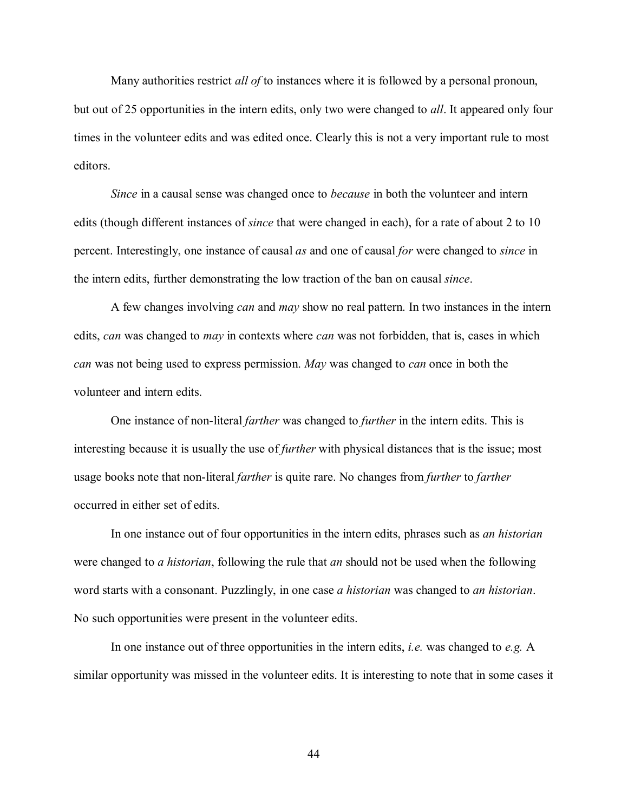Many authorities restrict *all of* to instances where it is followed by a personal pronoun, but out of 25 opportunities in the intern edits, only two were changed to *all*. It appeared only four times in the volunteer edits and was edited once. Clearly this is not a very important rule to most editors.

*Since* in a causal sense was changed once to *because* in both the volunteer and intern edits (though different instances of *since* that were changed in each), for a rate of about 2 to 10 percent. Interestingly, one instance of causal *as* and one of causal *for* were changed to *since* in the intern edits, further demonstrating the low traction of the ban on causal *since*.

A few changes involving *can* and *may* show no real pattern. In two instances in the intern edits, *can* was changed to *may* in contexts where *can* was not forbidden, that is, cases in which *can* was not being used to express permission. *May* was changed to *can* once in both the volunteer and intern edits.

One instance of non-literal *farther* was changed to *further* in the intern edits. This is interesting because it is usually the use of *further* with physical distances that is the issue; most usage books note that non-literal *farther* is quite rare. No changes from *further* to *farther* occurred in either set of edits.

In one instance out of four opportunities in the intern edits, phrases such as *an historian* were changed to *a historian*, following the rule that *an* should not be used when the following word starts with a consonant. Puzzlingly, in one case *a historian* was changed to *an historian*. No such opportunities were present in the volunteer edits.

In one instance out of three opportunities in the intern edits, *i.e.* was changed to *e.g.* A similar opportunity was missed in the volunteer edits. It is interesting to note that in some cases it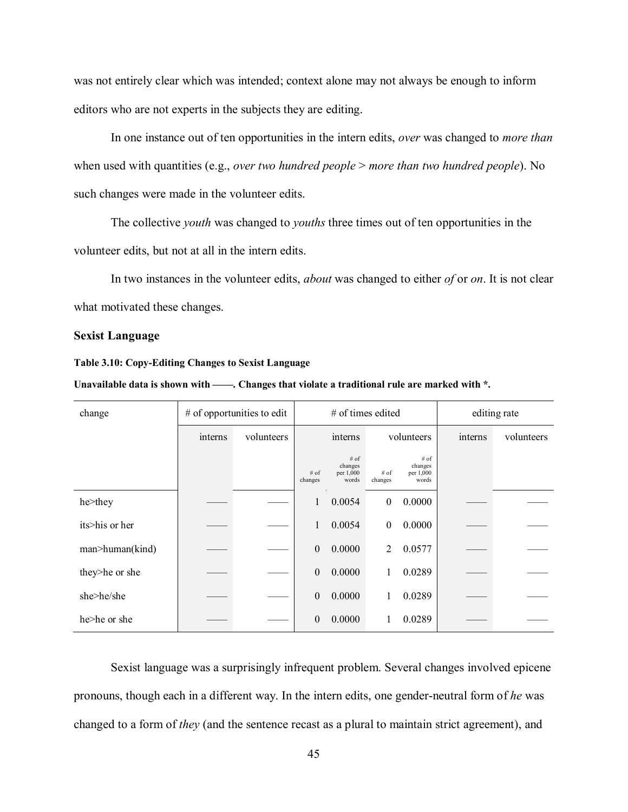was not entirely clear which was intended; context alone may not always be enough to inform editors who are not experts in the subjects they are editing.

In one instance out of ten opportunities in the intern edits, *over* was changed to *more than* when used with quantities (e.g., *over two hundred people* > *more than two hundred people*). No such changes were made in the volunteer edits.

The collective *youth* was changed to *youths* three times out of ten opportunities in the volunteer edits, but not at all in the intern edits.

In two instances in the volunteer edits, *about* was changed to either *of* or *on*. It is not clear what motivated these changes.

# **Sexist Language**

#### **Table 3.10: Copy-Editing Changes to Sexist Language**

**Unavailable data is shown with ——. Changes that violate a traditional rule are marked with \*.**

| change          |         | # of opportunities to edit |                   | # of times edited                     |                   | editing rate                          |         |            |
|-----------------|---------|----------------------------|-------------------|---------------------------------------|-------------------|---------------------------------------|---------|------------|
|                 | interns | volunteers                 | interns           |                                       | volunteers        |                                       | interns | volunteers |
|                 |         |                            | $#$ of<br>changes | # of<br>changes<br>per 1,000<br>words | $#$ of<br>changes | # of<br>changes<br>per 1,000<br>words |         |            |
| he>they         |         |                            | 1                 | 0.0054                                | $\mathbf{0}$      | 0.0000                                |         |            |
| its>his or her  |         |                            | 1                 | 0.0054                                | $\mathbf{0}$      | 0.0000                                |         |            |
| man>human(kind) |         |                            | $\boldsymbol{0}$  | 0.0000                                | 2                 | 0.0577                                |         |            |
| they>he or she  |         |                            | $\boldsymbol{0}$  | 0.0000                                |                   | 0.0289                                |         |            |
| she>he/she      |         |                            | $\theta$          | 0.0000                                |                   | 0.0289                                |         |            |
| he>he or she    |         |                            | $\mathbf{0}$      | 0.0000                                |                   | 0.0289                                |         |            |

Sexist language was a surprisingly infrequent problem. Several changes involved epicene pronouns, though each in a different way. In the intern edits, one gender-neutral form of *he* was changed to a form of *they* (and the sentence recast as a plural to maintain strict agreement), and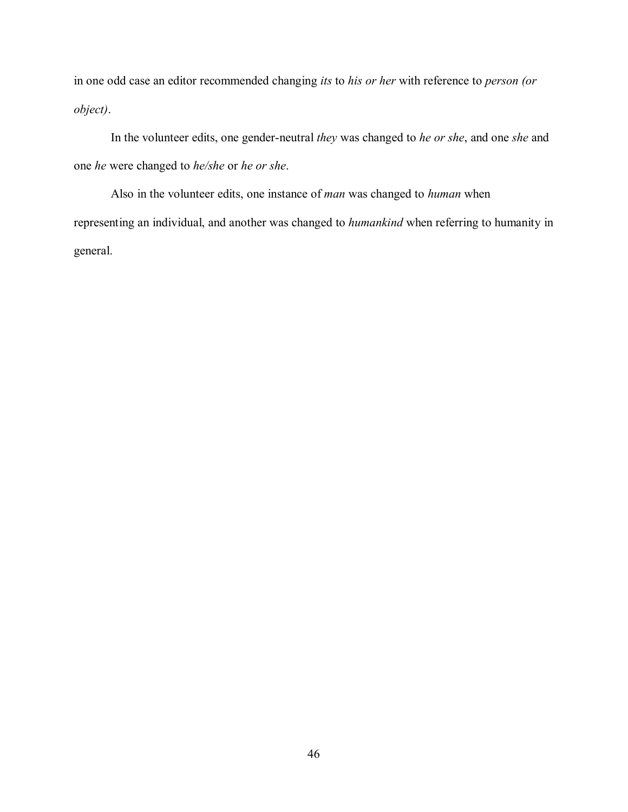in one odd case an editor recommended changing *its* to *his or her* with reference to *person (or object)*.

In the volunteer edits, one gender-neutral *they* was changed to *he or she*, and one *she* and one *he* were changed to *he/she* or *he or she*.

Also in the volunteer edits, one instance of *man* was changed to *human* when representing an individual, and another was changed to *humankind* when referring to humanity in general.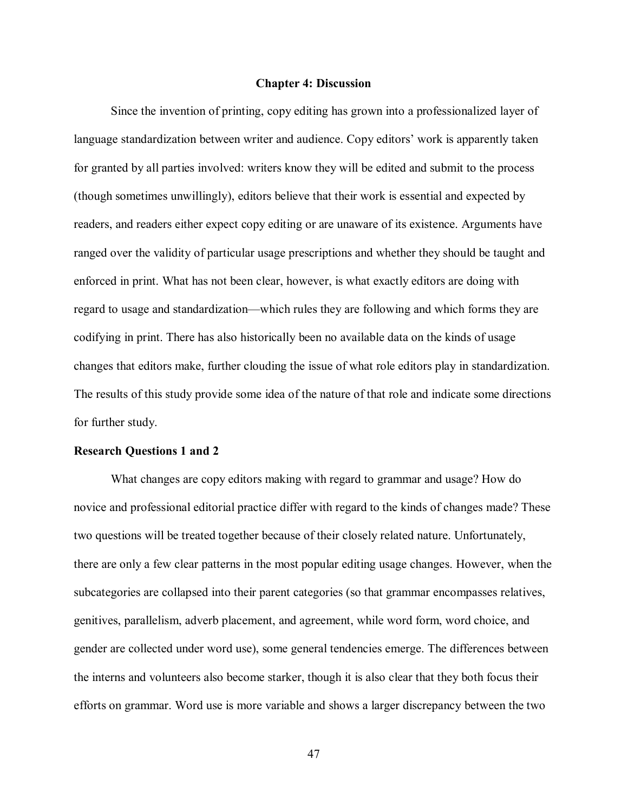### **Chapter 4: Discussion**

Since the invention of printing, copy editing has grown into a professionalized layer of language standardization between writer and audience. Copy editors' work is apparently taken for granted by all parties involved: writers know they will be edited and submit to the process (though sometimes unwillingly), editors believe that their work is essential and expected by readers, and readers either expect copy editing or are unaware of its existence. Arguments have ranged over the validity of particular usage prescriptions and whether they should be taught and enforced in print. What has not been clear, however, is what exactly editors are doing with regard to usage and standardization—which rules they are following and which forms they are codifying in print. There has also historically been no available data on the kinds of usage changes that editors make, further clouding the issue of what role editors play in standardization. The results of this study provide some idea of the nature of that role and indicate some directions for further study.

# **Research Questions 1 and 2**

What changes are copy editors making with regard to grammar and usage? How do novice and professional editorial practice differ with regard to the kinds of changes made? These two questions will be treated together because of their closely related nature. Unfortunately, there are only a few clear patterns in the most popular editing usage changes. However, when the subcategories are collapsed into their parent categories (so that grammar encompasses relatives, genitives, parallelism, adverb placement, and agreement, while word form, word choice, and gender are collected under word use), some general tendencies emerge. The differences between the interns and volunteers also become starker, though it is also clear that they both focus their efforts on grammar. Word use is more variable and shows a larger discrepancy between the two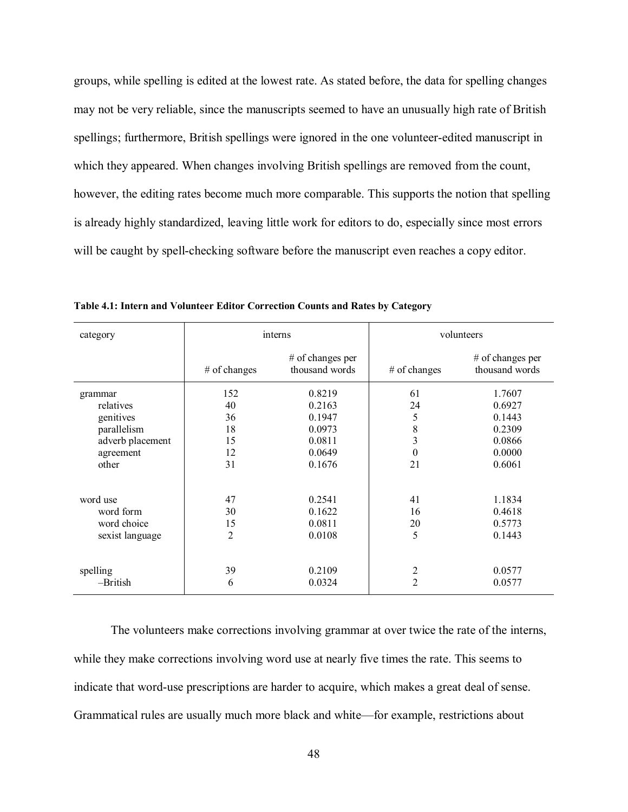groups, while spelling is edited at the lowest rate. As stated before, the data for spelling changes may not be very reliable, since the manuscripts seemed to have an unusually high rate of British spellings; furthermore, British spellings were ignored in the one volunteer-edited manuscript in which they appeared. When changes involving British spellings are removed from the count, however, the editing rates become much more comparable. This supports the notion that spelling is already highly standardized, leaving little work for editors to do, especially since most errors will be caught by spell-checking software before the manuscript even reaches a copy editor.

| category         |                | interns                            | volunteers     |                                                |  |  |
|------------------|----------------|------------------------------------|----------------|------------------------------------------------|--|--|
|                  | $#$ of changes | # of changes per<br>thousand words | $#$ of changes | $#$ of changes per<br>thousand words           |  |  |
| grammar          | 152            | 0.8219                             | 61             | 1.7607                                         |  |  |
| relatives        | 40             | 0.2163                             | 24             | 0.6927<br>0.1443<br>0.2309<br>0.0866<br>0.0000 |  |  |
| genitives        | 36             | 0.1947                             | 5              |                                                |  |  |
| parallelism      | 18             | 0.0973                             | 8              |                                                |  |  |
| adverb placement | 15             | 0.0811                             | 3              |                                                |  |  |
| agreement        | 12             | 0.0649                             | $\theta$       |                                                |  |  |
| other            | 31             | 0.1676                             | 21             | 0.6061                                         |  |  |
| word use         | 47             | 0.2541                             | 41             | 1.1834                                         |  |  |
| word form        | 30             | 0.1622                             | 16             | 0.4618                                         |  |  |
| word choice      | 15             | 0.0811                             | 20             | 0.5773                                         |  |  |
| sexist language  | $\overline{2}$ | 0.0108                             | 5              | 0.1443                                         |  |  |
|                  |                |                                    |                |                                                |  |  |
| spelling         | 39             | 0.2109                             | $\overline{c}$ | 0.0577                                         |  |  |
| -British         | 6              | 0.0324                             | $\overline{2}$ | 0.0577                                         |  |  |

**Table 4.1: Intern and Volunteer Editor Correction Counts and Rates by Category**

The volunteers make corrections involving grammar at over twice the rate of the interns, while they make corrections involving word use at nearly five times the rate. This seems to indicate that word-use prescriptions are harder to acquire, which makes a great deal of sense. Grammatical rules are usually much more black and white—for example, restrictions about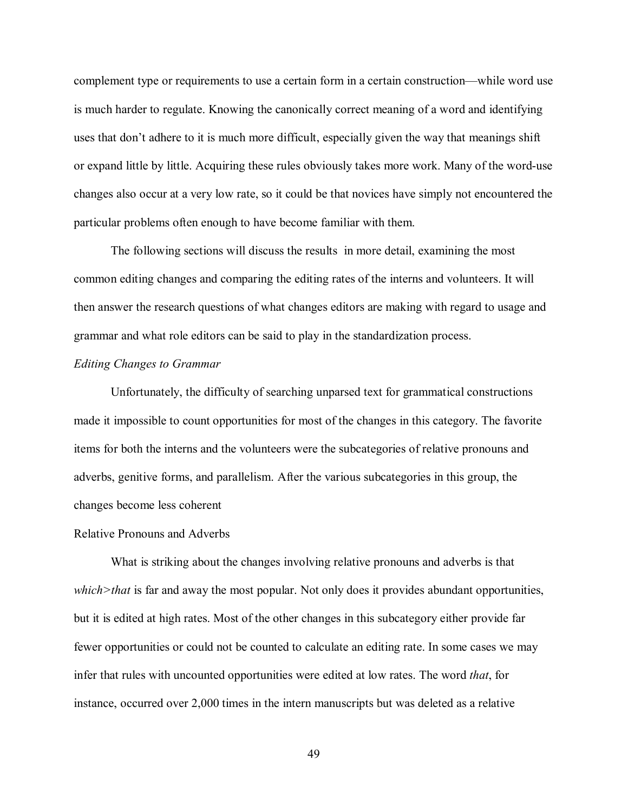complement type or requirements to use a certain form in a certain construction—while word use is much harder to regulate. Knowing the canonically correct meaning of a word and identifying uses that don't adhere to it is much more difficult, especially given the way that meanings shift or expand little by little. Acquiring these rules obviously takes more work. Many of the word-use changes also occur at a very low rate, so it could be that novices have simply not encountered the particular problems often enough to have become familiar with them.

The following sections will discuss the results in more detail, examining the most common editing changes and comparing the editing rates of the interns and volunteers. It will then answer the research questions of what changes editors are making with regard to usage and grammar and what role editors can be said to play in the standardization process.

## *Editing Changes to Grammar*

Unfortunately, the difficulty of searching unparsed text for grammatical constructions made it impossible to count opportunities for most of the changes in this category. The favorite items for both the interns and the volunteers were the subcategories of relative pronouns and adverbs, genitive forms, and parallelism. After the various subcategories in this group, the changes become less coherent

#### Relative Pronouns and Adverbs

What is striking about the changes involving relative pronouns and adverbs is that *which>that* is far and away the most popular. Not only does it provides abundant opportunities, but it is edited at high rates. Most of the other changes in this subcategory either provide far fewer opportunities or could not be counted to calculate an editing rate. In some cases we may infer that rules with uncounted opportunities were edited at low rates. The word *that*, for instance, occurred over 2,000 times in the intern manuscripts but was deleted as a relative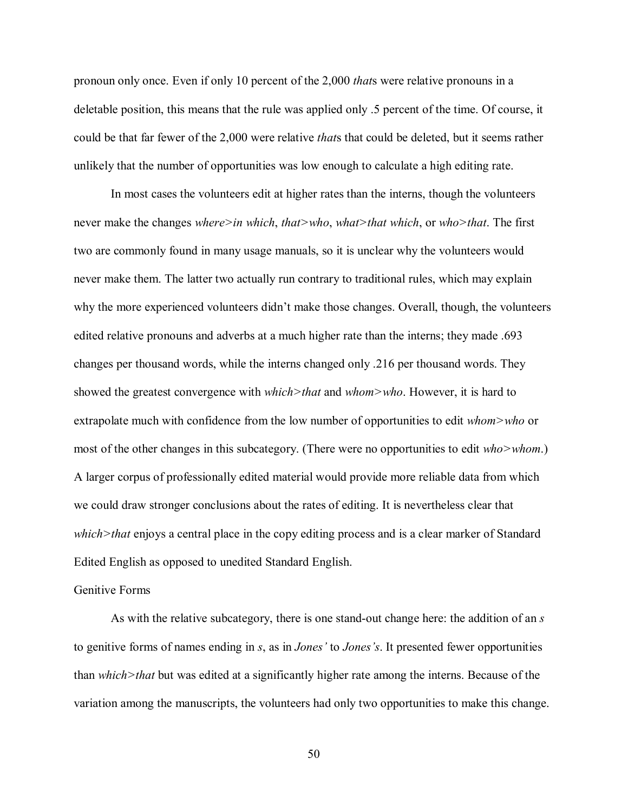pronoun only once. Even if only 10 percent of the 2,000 *that*s were relative pronouns in a deletable position, this means that the rule was applied only .5 percent of the time. Of course, it could be that far fewer of the 2,000 were relative *that*s that could be deleted, but it seems rather unlikely that the number of opportunities was low enough to calculate a high editing rate.

In most cases the volunteers edit at higher rates than the interns, though the volunteers never make the changes *where>in which*, *that>who*, *what>that which*, or *who>that*. The first two are commonly found in many usage manuals, so it is unclear why the volunteers would never make them. The latter two actually run contrary to traditional rules, which may explain why the more experienced volunteers didn't make those changes. Overall, though, the volunteers edited relative pronouns and adverbs at a much higher rate than the interns; they made .693 changes per thousand words, while the interns changed only .216 per thousand words. They showed the greatest convergence with *which>that* and *whom>who*. However, it is hard to extrapolate much with confidence from the low number of opportunities to edit *whom>who* or most of the other changes in this subcategory. (There were no opportunities to edit *who>whom*.) A larger corpus of professionally edited material would provide more reliable data from which we could draw stronger conclusions about the rates of editing. It is nevertheless clear that *which>that* enjoys a central place in the copy editing process and is a clear marker of Standard Edited English as opposed to unedited Standard English.

## Genitive Forms

As with the relative subcategory, there is one stand-out change here: the addition of an *s* to genitive forms of names ending in *s*, as in *Jones'* to *Jones's*. It presented fewer opportunities than *which>that* but was edited at a significantly higher rate among the interns. Because of the variation among the manuscripts, the volunteers had only two opportunities to make this change.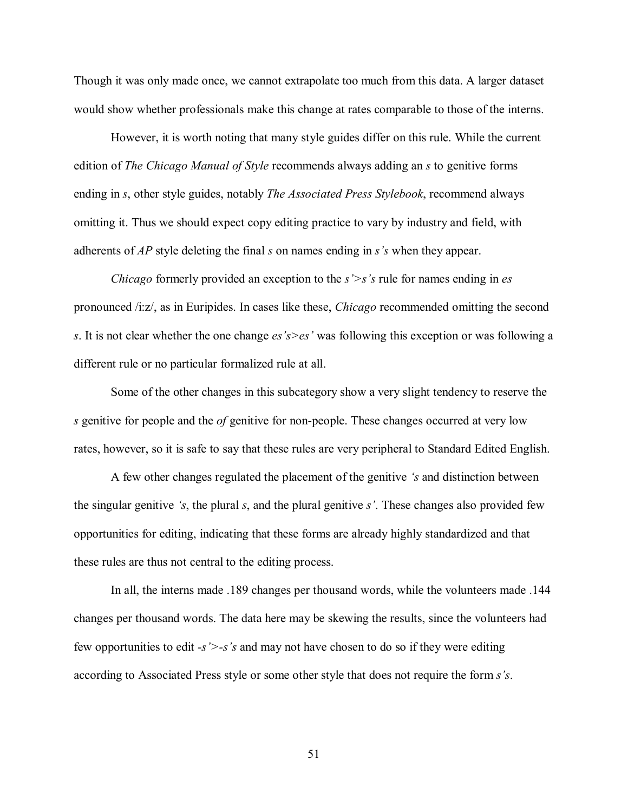Though it was only made once, we cannot extrapolate too much from this data. A larger dataset would show whether professionals make this change at rates comparable to those of the interns.

However, it is worth noting that many style guides differ on this rule. While the current edition of *The Chicago Manual of Style* recommends always adding an *s* to genitive forms ending in *s*, other style guides, notably *The Associated Press Stylebook*, recommend always omitting it. Thus we should expect copy editing practice to vary by industry and field, with adherents of *AP* style deleting the final *s* on names ending in *s's* when they appear.

*Chicago* formerly provided an exception to the *s'>s's* rule for names ending in *es* pronounced /i:z/, as in Euripides. In cases like these, *Chicago* recommended omitting the second *s*. It is not clear whether the one change *es's>es'* was following this exception or was following a different rule or no particular formalized rule at all.

Some of the other changes in this subcategory show a very slight tendency to reserve the *s* genitive for people and the *of* genitive for non-people. These changes occurred at very low rates, however, so it is safe to say that these rules are very peripheral to Standard Edited English.

A few other changes regulated the placement of the genitive *'s* and distinction between the singular genitive *'s*, the plural *s*, and the plural genitive *s'*. These changes also provided few opportunities for editing, indicating that these forms are already highly standardized and that these rules are thus not central to the editing process.

In all, the interns made .189 changes per thousand words, while the volunteers made .144 changes per thousand words. The data here may be skewing the results, since the volunteers had few opportunities to edit *-s'>-s's* and may not have chosen to do so if they were editing according to Associated Press style or some other style that does not require the form *s's*.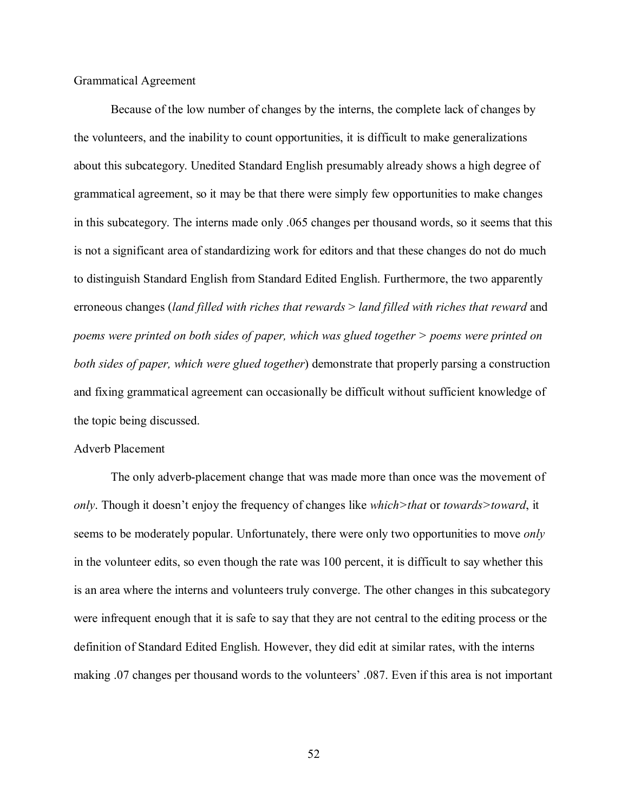Grammatical Agreement

Because of the low number of changes by the interns, the complete lack of changes by the volunteers, and the inability to count opportunities, it is difficult to make generalizations about this subcategory. Unedited Standard English presumably already shows a high degree of grammatical agreement, so it may be that there were simply few opportunities to make changes in this subcategory. The interns made only .065 changes per thousand words, so it seems that this is not a significant area of standardizing work for editors and that these changes do not do much to distinguish Standard English from Standard Edited English. Furthermore, the two apparently erroneous changes (*land filled with riches that rewards* > *land filled with riches that reward* and *poems were printed on both sides of paper, which was glued together > poems were printed on both sides of paper, which were glued together*) demonstrate that properly parsing a construction and fixing grammatical agreement can occasionally be difficult without sufficient knowledge of the topic being discussed.

### Adverb Placement

The only adverb-placement change that was made more than once was the movement of *only*. Though it doesn't enjoy the frequency of changes like *which>that* or *towards>toward*, it seems to be moderately popular. Unfortunately, there were only two opportunities to move *only* in the volunteer edits, so even though the rate was 100 percent, it is difficult to say whether this is an area where the interns and volunteers truly converge. The other changes in this subcategory were infrequent enough that it is safe to say that they are not central to the editing process or the definition of Standard Edited English. However, they did edit at similar rates, with the interns making .07 changes per thousand words to the volunteers' .087. Even if this area is not important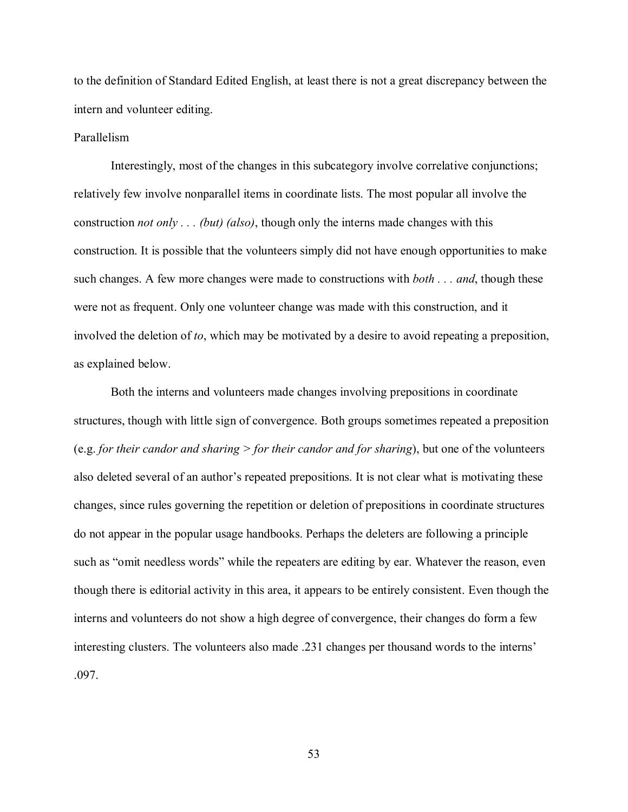to the definition of Standard Edited English, at least there is not a great discrepancy between the intern and volunteer editing.

# Parallelism

Interestingly, most of the changes in this subcategory involve correlative conjunctions; relatively few involve nonparallel items in coordinate lists. The most popular all involve the construction *not only . . . (but) (also)*, though only the interns made changes with this construction. It is possible that the volunteers simply did not have enough opportunities to make such changes. A few more changes were made to constructions with *both . . . and*, though these were not as frequent. Only one volunteer change was made with this construction, and it involved the deletion of *to*, which may be motivated by a desire to avoid repeating a preposition, as explained below.

Both the interns and volunteers made changes involving prepositions in coordinate structures, though with little sign of convergence. Both groups sometimes repeated a preposition (e.g. *for their candor and sharing > for their candor and for sharing*), but one of the volunteers also deleted several of an author's repeated prepositions. It is not clear what is motivating these changes, since rules governing the repetition or deletion of prepositions in coordinate structures do not appear in the popular usage handbooks. Perhaps the deleters are following a principle such as "omit needless words" while the repeaters are editing by ear. Whatever the reason, even though there is editorial activity in this area, it appears to be entirely consistent. Even though the interns and volunteers do not show a high degree of convergence, their changes do form a few interesting clusters. The volunteers also made .231 changes per thousand words to the interns' .097.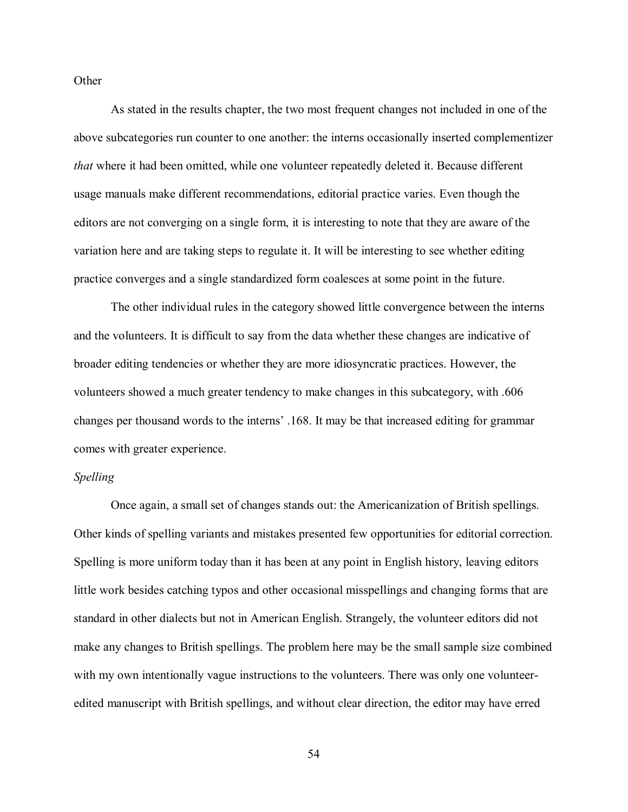**Other** 

As stated in the results chapter, the two most frequent changes not included in one of the above subcategories run counter to one another: the interns occasionally inserted complementizer *that* where it had been omitted, while one volunteer repeatedly deleted it. Because different usage manuals make different recommendations, editorial practice varies. Even though the editors are not converging on a single form, it is interesting to note that they are aware of the variation here and are taking steps to regulate it. It will be interesting to see whether editing practice converges and a single standardized form coalesces at some point in the future.

The other individual rules in the category showed little convergence between the interns and the volunteers. It is difficult to say from the data whether these changes are indicative of broader editing tendencies or whether they are more idiosyncratic practices. However, the volunteers showed a much greater tendency to make changes in this subcategory, with .606 changes per thousand words to the interns' .168. It may be that increased editing for grammar comes with greater experience.

# *Spelling*

Once again, a small set of changes stands out: the Americanization of British spellings. Other kinds of spelling variants and mistakes presented few opportunities for editorial correction. Spelling is more uniform today than it has been at any point in English history, leaving editors little work besides catching typos and other occasional misspellings and changing forms that are standard in other dialects but not in American English. Strangely, the volunteer editors did not make any changes to British spellings. The problem here may be the small sample size combined with my own intentionally vague instructions to the volunteers. There was only one volunteeredited manuscript with British spellings, and without clear direction, the editor may have erred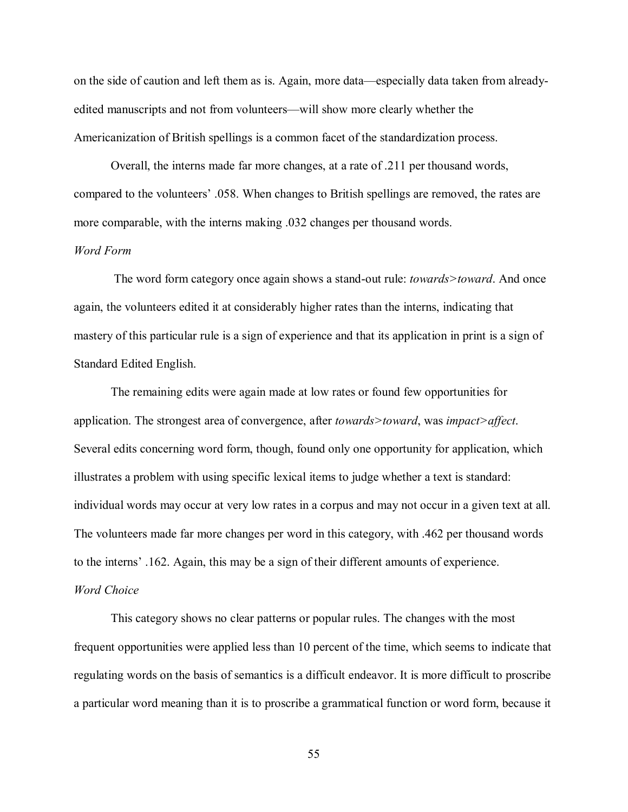on the side of caution and left them as is. Again, more data—especially data taken from alreadyedited manuscripts and not from volunteers—will show more clearly whether the Americanization of British spellings is a common facet of the standardization process.

Overall, the interns made far more changes, at a rate of .211 per thousand words, compared to the volunteers' .058. When changes to British spellings are removed, the rates are more comparable, with the interns making .032 changes per thousand words.

# *Word Form*

The word form category once again shows a stand-out rule: *towards>toward*. And once again, the volunteers edited it at considerably higher rates than the interns, indicating that mastery of this particular rule is a sign of experience and that its application in print is a sign of Standard Edited English.

The remaining edits were again made at low rates or found few opportunities for application. The strongest area of convergence, after *towards>toward*, was *impact>affect*. Several edits concerning word form, though, found only one opportunity for application, which illustrates a problem with using specific lexical items to judge whether a text is standard: individual words may occur at very low rates in a corpus and may not occur in a given text at all. The volunteers made far more changes per word in this category, with .462 per thousand words to the interns' .162. Again, this may be a sign of their different amounts of experience.

# *Word Choice*

This category shows no clear patterns or popular rules. The changes with the most frequent opportunities were applied less than 10 percent of the time, which seems to indicate that regulating words on the basis of semantics is a difficult endeavor. It is more difficult to proscribe a particular word meaning than it is to proscribe a grammatical function or word form, because it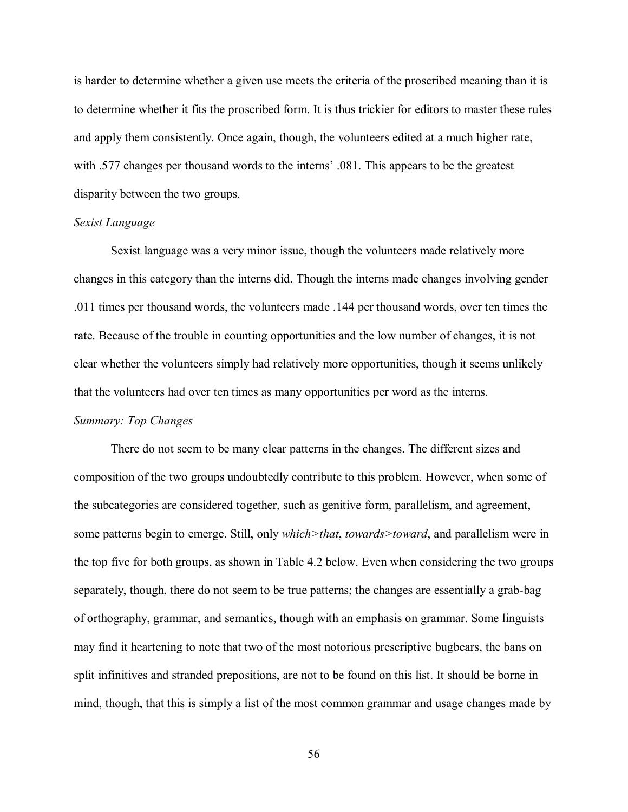is harder to determine whether a given use meets the criteria of the proscribed meaning than it is to determine whether it fits the proscribed form. It is thus trickier for editors to master these rules and apply them consistently. Once again, though, the volunteers edited at a much higher rate, with .577 changes per thousand words to the interns' .081. This appears to be the greatest disparity between the two groups.

#### *Sexist Language*

Sexist language was a very minor issue, though the volunteers made relatively more changes in this category than the interns did. Though the interns made changes involving gender .011 times per thousand words, the volunteers made .144 per thousand words, over ten times the rate. Because of the trouble in counting opportunities and the low number of changes, it is not clear whether the volunteers simply had relatively more opportunities, though it seems unlikely that the volunteers had over ten times as many opportunities per word as the interns.

## *Summary: Top Changes*

There do not seem to be many clear patterns in the changes. The different sizes and composition of the two groups undoubtedly contribute to this problem. However, when some of the subcategories are considered together, such as genitive form, parallelism, and agreement, some patterns begin to emerge. Still, only *which>that*, *towards>toward*, and parallelism were in the top five for both groups, as shown in Table 4.2 below. Even when considering the two groups separately, though, there do not seem to be true patterns; the changes are essentially a grab-bag of orthography, grammar, and semantics, though with an emphasis on grammar. Some linguists may find it heartening to note that two of the most notorious prescriptive bugbears, the bans on split infinitives and stranded prepositions, are not to be found on this list. It should be borne in mind, though, that this is simply a list of the most common grammar and usage changes made by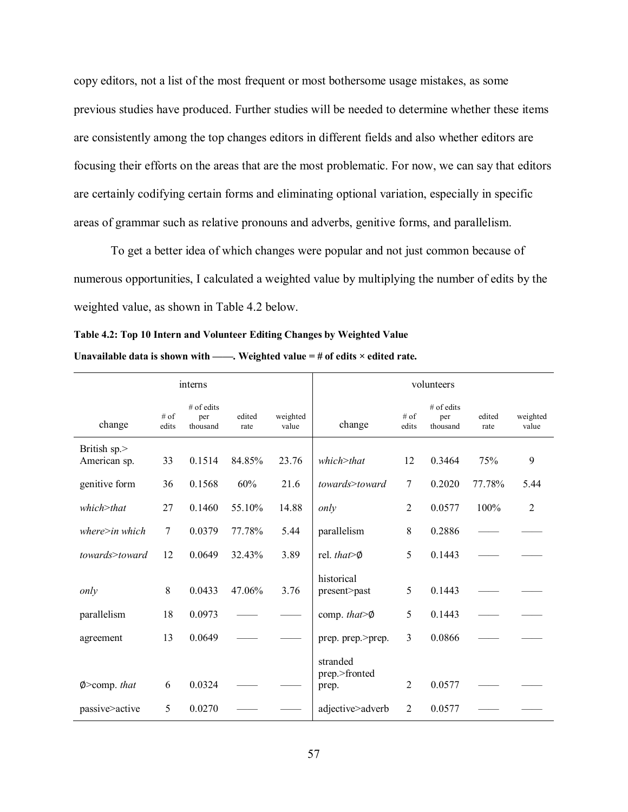copy editors, not a list of the most frequent or most bothersome usage mistakes, as some previous studies have produced. Further studies will be needed to determine whether these items are consistently among the top changes editors in different fields and also whether editors are focusing their efforts on the areas that are the most problematic. For now, we can say that editors are certainly codifying certain forms and eliminating optional variation, especially in specific areas of grammar such as relative pronouns and adverbs, genitive forms, and parallelism.

To get a better idea of which changes were popular and not just common because of numerous opportunities, I calculated a weighted value by multiplying the number of edits by the weighted value, as shown in Table 4.2 below.

| Table 4.2: Top 10 Intern and Volunteer Editing Changes by Weighted Value               |  |
|----------------------------------------------------------------------------------------|--|
| Unavailable data is shown with ——. Weighted value $=$ # of edits $\times$ edited rate. |  |

| interns                      |                 |                                 |                | volunteers        |                                    |                |                                 |                |                   |
|------------------------------|-----------------|---------------------------------|----------------|-------------------|------------------------------------|----------------|---------------------------------|----------------|-------------------|
| change                       | $#$ of<br>edits | $#$ of edits<br>per<br>thousand | edited<br>rate | weighted<br>value | change                             | # of<br>edits  | $#$ of edits<br>per<br>thousand | edited<br>rate | weighted<br>value |
| British sp.><br>American sp. | 33              | 0.1514                          | 84.85%         | 23.76             | $which$ $\geq$ that                | 12             | 0.3464                          | 75%            | 9                 |
| genitive form                | 36              | 0.1568                          | 60%            | 21.6              | towards>toward                     | $\overline{7}$ | 0.2020                          | 77.78%         | 5.44              |
| $which$ $\geq$ that          | 27              | 0.1460                          | 55.10%         | 14.88             | only                               | $\overline{2}$ | 0.0577                          | 100%           | $\overline{c}$    |
| $where\geq in which$         | 7               | 0.0379                          | 77.78%         | 5.44              | parallelism                        | 8              | 0.2886                          |                |                   |
| towards>toward               | 12              | 0.0649                          | 32.43%         | 3.89              | rel. that $\otimes$                | 5              | 0.1443                          |                |                   |
| only                         | 8               | 0.0433                          | 47.06%         | 3.76              | historical<br>present>past         | 5              | 0.1443                          |                |                   |
| parallelism                  | 18              | 0.0973                          |                |                   | comp. that $\otimes$               | 5              | 0.1443                          |                |                   |
| agreement                    | 13              | 0.0649                          |                |                   | prep. prep.>prep.                  | 3              | 0.0866                          |                |                   |
| $\emptyset$ > comp. that     | 6               | 0.0324                          |                |                   | stranded<br>prep.>fronted<br>prep. | 2              | 0.0577                          |                |                   |
| passive>active               | 5               | 0.0270                          |                |                   | adjective>adverb                   | $\overline{2}$ | 0.0577                          |                |                   |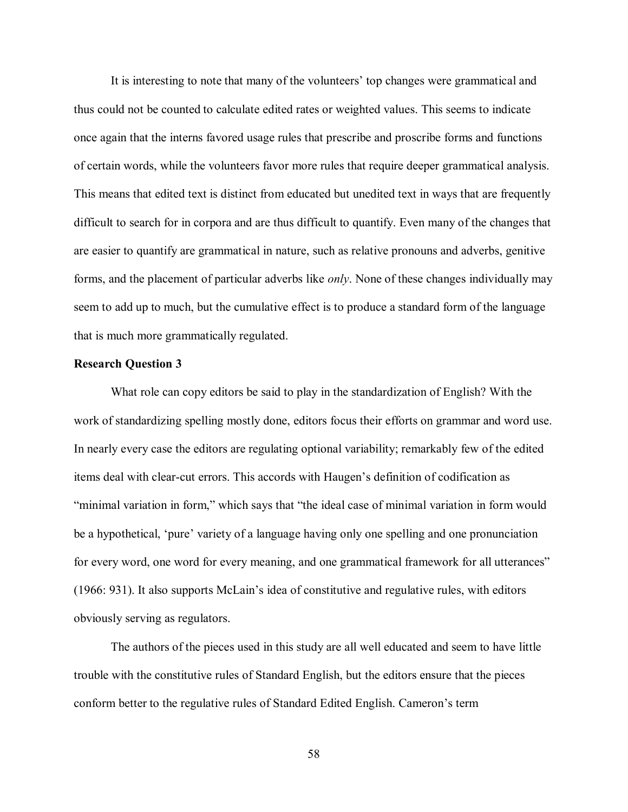It is interesting to note that many of the volunteers' top changes were grammatical and thus could not be counted to calculate edited rates or weighted values. This seems to indicate once again that the interns favored usage rules that prescribe and proscribe forms and functions of certain words, while the volunteers favor more rules that require deeper grammatical analysis. This means that edited text is distinct from educated but unedited text in ways that are frequently difficult to search for in corpora and are thus difficult to quantify. Even many of the changes that are easier to quantify are grammatical in nature, such as relative pronouns and adverbs, genitive forms, and the placement of particular adverbs like *only*. None of these changes individually may seem to add up to much, but the cumulative effect is to produce a standard form of the language that is much more grammatically regulated.

### **Research Question 3**

What role can copy editors be said to play in the standardization of English? With the work of standardizing spelling mostly done, editors focus their efforts on grammar and word use. In nearly every case the editors are regulating optional variability; remarkably few of the edited items deal with clear-cut errors. This accords with Haugen's definition of codification as "minimal variation in form," which says that "the ideal case of minimal variation in form would be a hypothetical, 'pure' variety of a language having only one spelling and one pronunciation for every word, one word for every meaning, and one grammatical framework for all utterances" (1966: 931). It also supports McLain's idea of constitutive and regulative rules, with editors obviously serving as regulators.

The authors of the pieces used in this study are all well educated and seem to have little trouble with the constitutive rules of Standard English, but the editors ensure that the pieces conform better to the regulative rules of Standard Edited English. Cameron's term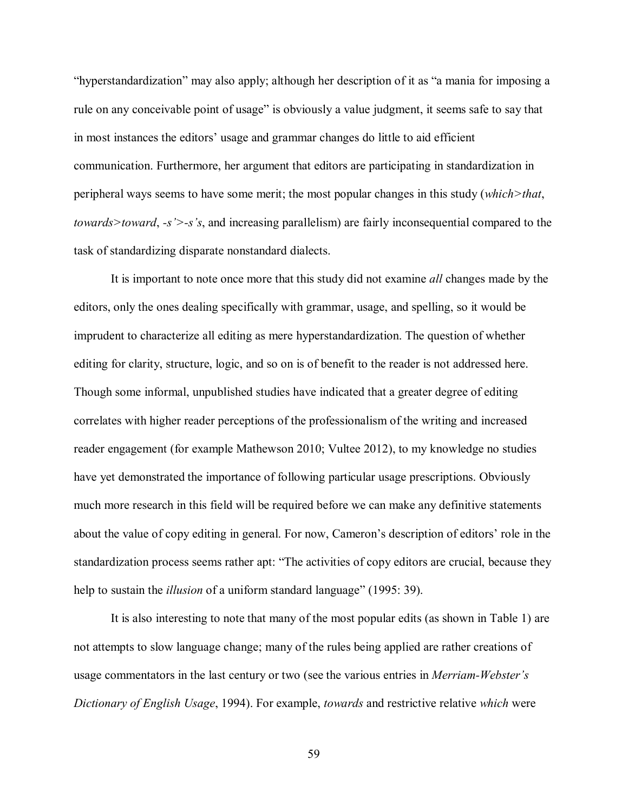"hyperstandardization" may also apply; although her description of it as "a mania for imposing a rule on any conceivable point of usage" is obviously a value judgment, it seems safe to say that in most instances the editors' usage and grammar changes do little to aid efficient communication. Furthermore, her argument that editors are participating in standardization in peripheral ways seems to have some merit; the most popular changes in this study (*which>that*, *towards>toward*, *-s'>-s's*, and increasing parallelism) are fairly inconsequential compared to the task of standardizing disparate nonstandard dialects.

It is important to note once more that this study did not examine *all* changes made by the editors, only the ones dealing specifically with grammar, usage, and spelling, so it would be imprudent to characterize all editing as mere hyperstandardization. The question of whether editing for clarity, structure, logic, and so on is of benefit to the reader is not addressed here. Though some informal, unpublished studies have indicated that a greater degree of editing correlates with higher reader perceptions of the professionalism of the writing and increased reader engagement (for example Mathewson 2010; Vultee 2012), to my knowledge no studies have yet demonstrated the importance of following particular usage prescriptions. Obviously much more research in this field will be required before we can make any definitive statements about the value of copy editing in general. For now, Cameron's description of editors' role in the standardization process seems rather apt: "The activities of copy editors are crucial, because they help to sustain the *illusion* of a uniform standard language" (1995: 39).

It is also interesting to note that many of the most popular edits (as shown in Table 1) are not attempts to slow language change; many of the rules being applied are rather creations of usage commentators in the last century or two (see the various entries in *Merriam-Webster's Dictionary of English Usage*, 1994). For example, *towards* and restrictive relative *which* were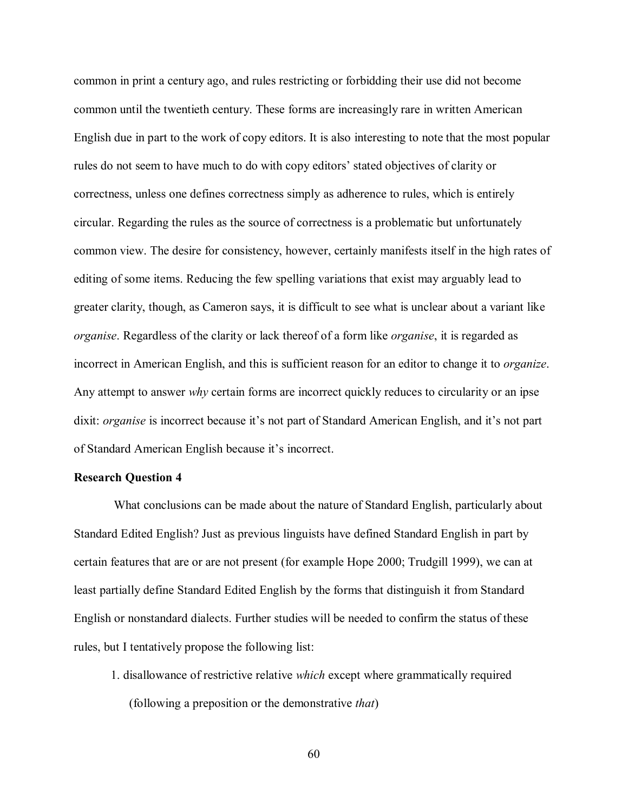common in print a century ago, and rules restricting or forbidding their use did not become common until the twentieth century. These forms are increasingly rare in written American English due in part to the work of copy editors. It is also interesting to note that the most popular rules do not seem to have much to do with copy editors' stated objectives of clarity or correctness, unless one defines correctness simply as adherence to rules, which is entirely circular. Regarding the rules as the source of correctness is a problematic but unfortunately common view. The desire for consistency, however, certainly manifests itself in the high rates of editing of some items. Reducing the few spelling variations that exist may arguably lead to greater clarity, though, as Cameron says, it is difficult to see what is unclear about a variant like *organise*. Regardless of the clarity or lack thereof of a form like *organise*, it is regarded as incorrect in American English, and this is sufficient reason for an editor to change it to *organize*. Any attempt to answer *why* certain forms are incorrect quickly reduces to circularity or an ipse dixit: *organise* is incorrect because it's not part of Standard American English, and it's not part of Standard American English because it's incorrect.

# **Research Question 4**

What conclusions can be made about the nature of Standard English, particularly about Standard Edited English? Just as previous linguists have defined Standard English in part by certain features that are or are not present (for example Hope 2000; Trudgill 1999), we can at least partially define Standard Edited English by the forms that distinguish it from Standard English or nonstandard dialects. Further studies will be needed to confirm the status of these rules, but I tentatively propose the following list:

1. disallowance of restrictive relative *which* except where grammatically required (following a preposition or the demonstrative *that*)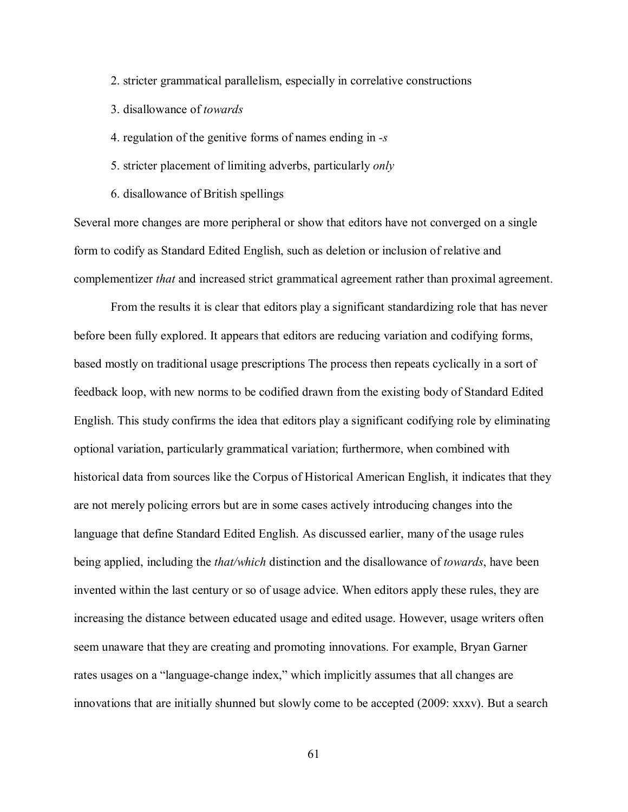- 2. stricter grammatical parallelism, especially in correlative constructions
- 3. disallowance of *towards*
- 4. regulation of the genitive forms of names ending in *-s*
- 5. stricter placement of limiting adverbs, particularly *only*
- 6. disallowance of British spellings

Several more changes are more peripheral or show that editors have not converged on a single form to codify as Standard Edited English, such as deletion or inclusion of relative and complementizer *that* and increased strict grammatical agreement rather than proximal agreement.

From the results it is clear that editors play a significant standardizing role that has never before been fully explored. It appears that editors are reducing variation and codifying forms, based mostly on traditional usage prescriptions The process then repeats cyclically in a sort of feedback loop, with new norms to be codified drawn from the existing body of Standard Edited English. This study confirms the idea that editors play a significant codifying role by eliminating optional variation, particularly grammatical variation; furthermore, when combined with historical data from sources like the Corpus of Historical American English, it indicates that they are not merely policing errors but are in some cases actively introducing changes into the language that define Standard Edited English. As discussed earlier, many of the usage rules being applied, including the *that/which* distinction and the disallowance of *towards*, have been invented within the last century or so of usage advice. When editors apply these rules, they are increasing the distance between educated usage and edited usage. However, usage writers often seem unaware that they are creating and promoting innovations. For example, Bryan Garner rates usages on a "language-change index," which implicitly assumes that all changes are innovations that are initially shunned but slowly come to be accepted (2009: xxxv). But a search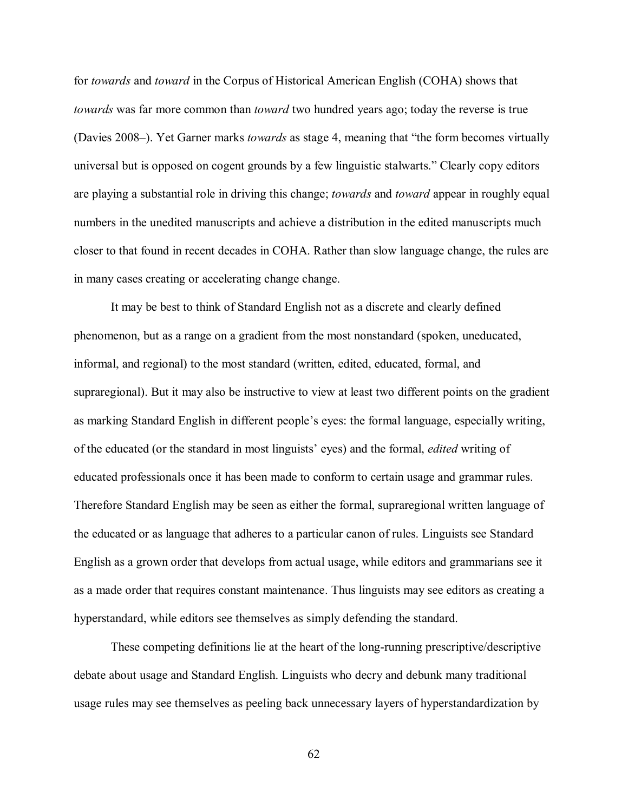for *towards* and *toward* in the Corpus of Historical American English (COHA) shows that *towards* was far more common than *toward* two hundred years ago; today the reverse is true (Davies 2008–). Yet Garner marks *towards* as stage 4, meaning that "the form becomes virtually universal but is opposed on cogent grounds by a few linguistic stalwarts." Clearly copy editors are playing a substantial role in driving this change; *towards* and *toward* appear in roughly equal numbers in the unedited manuscripts and achieve a distribution in the edited manuscripts much closer to that found in recent decades in COHA. Rather than slow language change, the rules are in many cases creating or accelerating change change.

It may be best to think of Standard English not as a discrete and clearly defined phenomenon, but as a range on a gradient from the most nonstandard (spoken, uneducated, informal, and regional) to the most standard (written, edited, educated, formal, and supraregional). But it may also be instructive to view at least two different points on the gradient as marking Standard English in different people's eyes: the formal language, especially writing, of the educated (or the standard in most linguists' eyes) and the formal, *edited* writing of educated professionals once it has been made to conform to certain usage and grammar rules. Therefore Standard English may be seen as either the formal, supraregional written language of the educated or as language that adheres to a particular canon of rules. Linguists see Standard English as a grown order that develops from actual usage, while editors and grammarians see it as a made order that requires constant maintenance. Thus linguists may see editors as creating a hyperstandard, while editors see themselves as simply defending the standard.

These competing definitions lie at the heart of the long-running prescriptive/descriptive debate about usage and Standard English. Linguists who decry and debunk many traditional usage rules may see themselves as peeling back unnecessary layers of hyperstandardization by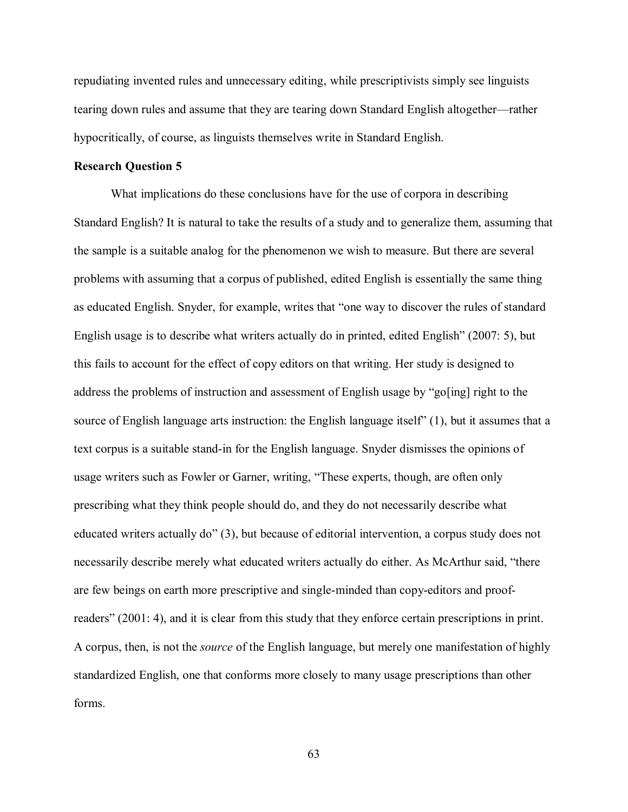repudiating invented rules and unnecessary editing, while prescriptivists simply see linguists tearing down rules and assume that they are tearing down Standard English altogether—rather hypocritically, of course, as linguists themselves write in Standard English.

## **Research Question 5**

What implications do these conclusions have for the use of corpora in describing Standard English? It is natural to take the results of a study and to generalize them, assuming that the sample is a suitable analog for the phenomenon we wish to measure. But there are several problems with assuming that a corpus of published, edited English is essentially the same thing as educated English. Snyder, for example, writes that "one way to discover the rules of standard English usage is to describe what writers actually do in printed, edited English" (2007: 5), but this fails to account for the effect of copy editors on that writing. Her study is designed to address the problems of instruction and assessment of English usage by "go[ing] right to the source of English language arts instruction: the English language itself" (1), but it assumes that a text corpus is a suitable stand-in for the English language. Snyder dismisses the opinions of usage writers such as Fowler or Garner, writing, "These experts, though, are often only prescribing what they think people should do, and they do not necessarily describe what educated writers actually do" (3), but because of editorial intervention, a corpus study does not necessarily describe merely what educated writers actually do either. As McArthur said, "there are few beings on earth more prescriptive and single-minded than copy-editors and proofreaders" (2001: 4), and it is clear from this study that they enforce certain prescriptions in print. A corpus, then, is not the *source* of the English language, but merely one manifestation of highly standardized English, one that conforms more closely to many usage prescriptions than other forms.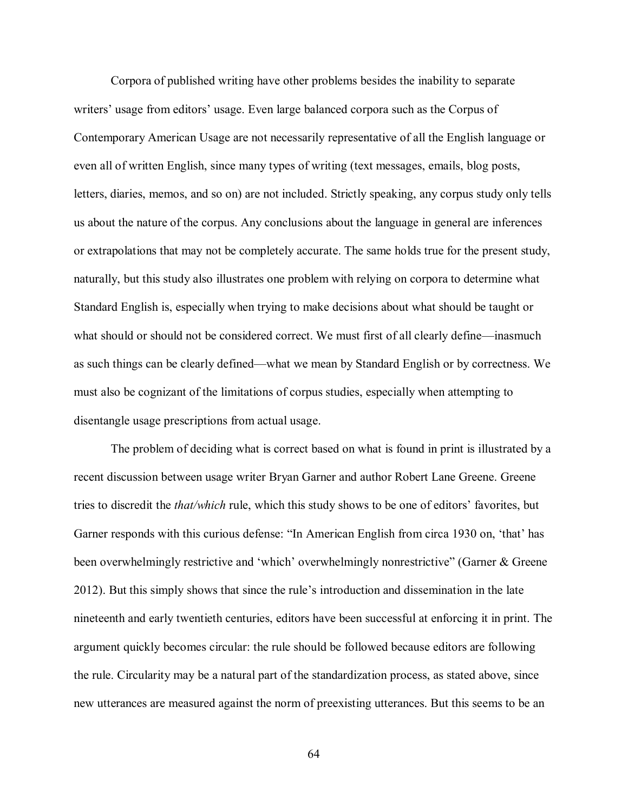Corpora of published writing have other problems besides the inability to separate writers' usage from editors' usage. Even large balanced corpora such as the Corpus of Contemporary American Usage are not necessarily representative of all the English language or even all of written English, since many types of writing (text messages, emails, blog posts, letters, diaries, memos, and so on) are not included. Strictly speaking, any corpus study only tells us about the nature of the corpus. Any conclusions about the language in general are inferences or extrapolations that may not be completely accurate. The same holds true for the present study, naturally, but this study also illustrates one problem with relying on corpora to determine what Standard English is, especially when trying to make decisions about what should be taught or what should or should not be considered correct. We must first of all clearly define—inasmuch as such things can be clearly defined—what we mean by Standard English or by correctness. We must also be cognizant of the limitations of corpus studies, especially when attempting to disentangle usage prescriptions from actual usage.

The problem of deciding what is correct based on what is found in print is illustrated by a recent discussion between usage writer Bryan Garner and author Robert Lane Greene. Greene tries to discredit the *that/which* rule, which this study shows to be one of editors' favorites, but Garner responds with this curious defense: "In American English from circa 1930 on, 'that' has been overwhelmingly restrictive and 'which' overwhelmingly nonrestrictive" (Garner & Greene 2012). But this simply shows that since the rule's introduction and dissemination in the late nineteenth and early twentieth centuries, editors have been successful at enforcing it in print. The argument quickly becomes circular: the rule should be followed because editors are following the rule. Circularity may be a natural part of the standardization process, as stated above, since new utterances are measured against the norm of preexisting utterances. But this seems to be an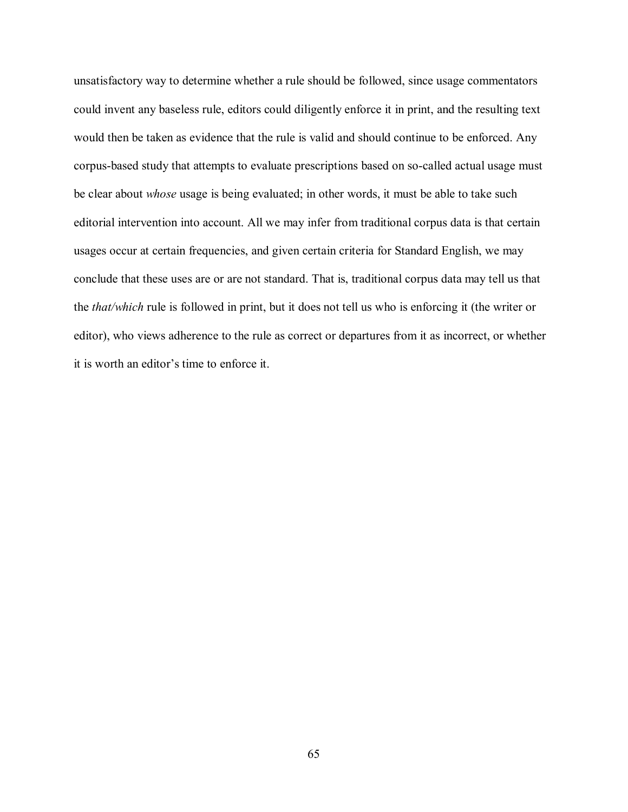unsatisfactory way to determine whether a rule should be followed, since usage commentators could invent any baseless rule, editors could diligently enforce it in print, and the resulting text would then be taken as evidence that the rule is valid and should continue to be enforced. Any corpus-based study that attempts to evaluate prescriptions based on so-called actual usage must be clear about *whose* usage is being evaluated; in other words, it must be able to take such editorial intervention into account. All we may infer from traditional corpus data is that certain usages occur at certain frequencies, and given certain criteria for Standard English, we may conclude that these uses are or are not standard. That is, traditional corpus data may tell us that the *that/which* rule is followed in print, but it does not tell us who is enforcing it (the writer or editor), who views adherence to the rule as correct or departures from it as incorrect, or whether it is worth an editor's time to enforce it.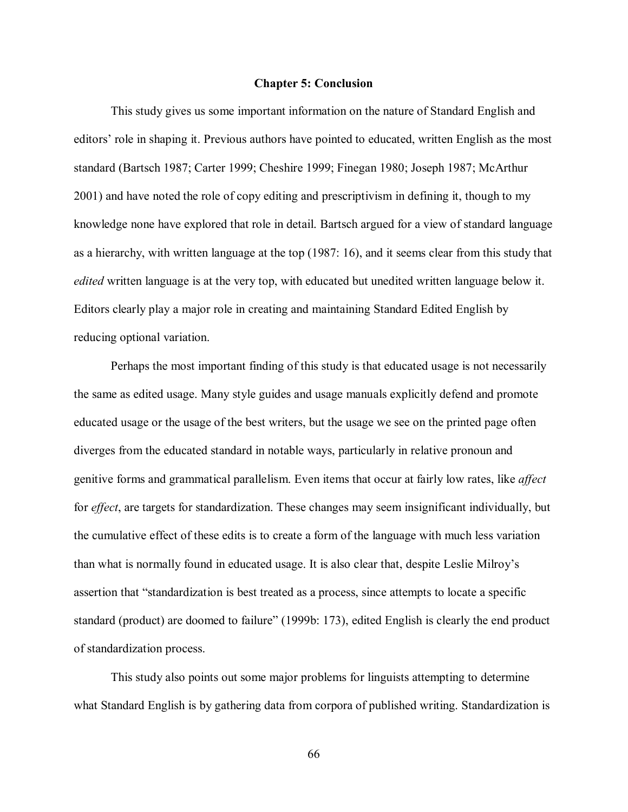## **Chapter 5: Conclusion**

This study gives us some important information on the nature of Standard English and editors' role in shaping it. Previous authors have pointed to educated, written English as the most standard (Bartsch 1987; Carter 1999; Cheshire 1999; Finegan 1980; Joseph 1987; McArthur 2001) and have noted the role of copy editing and prescriptivism in defining it, though to my knowledge none have explored that role in detail. Bartsch argued for a view of standard language as a hierarchy, with written language at the top (1987: 16), and it seems clear from this study that *edited* written language is at the very top, with educated but unedited written language below it. Editors clearly play a major role in creating and maintaining Standard Edited English by reducing optional variation.

Perhaps the most important finding of this study is that educated usage is not necessarily the same as edited usage. Many style guides and usage manuals explicitly defend and promote educated usage or the usage of the best writers, but the usage we see on the printed page often diverges from the educated standard in notable ways, particularly in relative pronoun and genitive forms and grammatical parallelism. Even items that occur at fairly low rates, like *affect* for *effect*, are targets for standardization. These changes may seem insignificant individually, but the cumulative effect of these edits is to create a form of the language with much less variation than what is normally found in educated usage. It is also clear that, despite Leslie Milroy's assertion that "standardization is best treated as a process, since attempts to locate a specific standard (product) are doomed to failure" (1999b: 173), edited English is clearly the end product of standardization process.

This study also points out some major problems for linguists attempting to determine what Standard English is by gathering data from corpora of published writing. Standardization is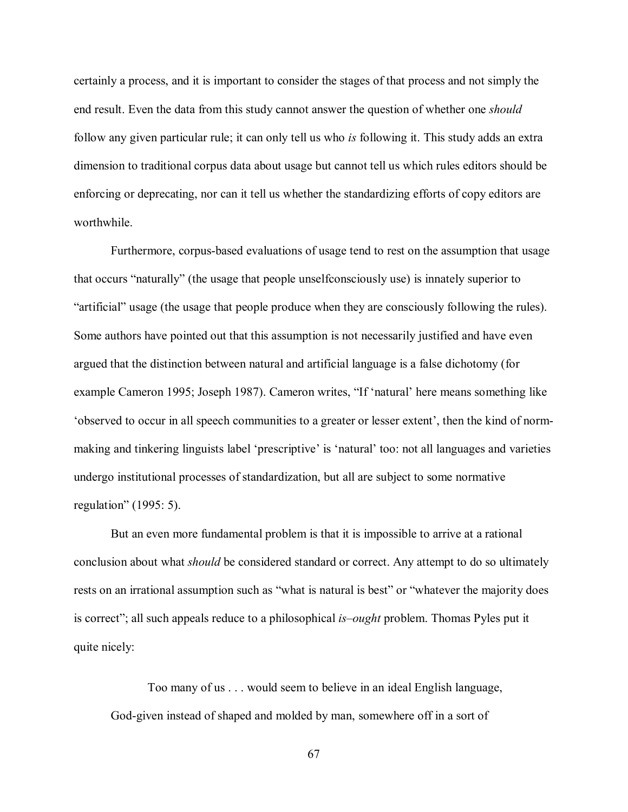certainly a process, and it is important to consider the stages of that process and not simply the end result. Even the data from this study cannot answer the question of whether one *should* follow any given particular rule; it can only tell us who *is* following it. This study adds an extra dimension to traditional corpus data about usage but cannot tell us which rules editors should be enforcing or deprecating, nor can it tell us whether the standardizing efforts of copy editors are worthwhile.

Furthermore, corpus-based evaluations of usage tend to rest on the assumption that usage that occurs "naturally" (the usage that people unselfconsciously use) is innately superior to "artificial" usage (the usage that people produce when they are consciously following the rules). Some authors have pointed out that this assumption is not necessarily justified and have even argued that the distinction between natural and artificial language is a false dichotomy (for example Cameron 1995; Joseph 1987). Cameron writes, "If 'natural' here means something like 'observed to occur in all speech communities to a greater or lesser extent', then the kind of normmaking and tinkering linguists label 'prescriptive' is 'natural' too: not all languages and varieties undergo institutional processes of standardization, but all are subject to some normative regulation" (1995: 5).

But an even more fundamental problem is that it is impossible to arrive at a rational conclusion about what *should* be considered standard or correct. Any attempt to do so ultimately rests on an irrational assumption such as "what is natural is best" or "whatever the majority does is correct"; all such appeals reduce to a philosophical *is–ought* problem. Thomas Pyles put it quite nicely:

Too many of us . . . would seem to believe in an ideal English language, God-given instead of shaped and molded by man, somewhere off in a sort of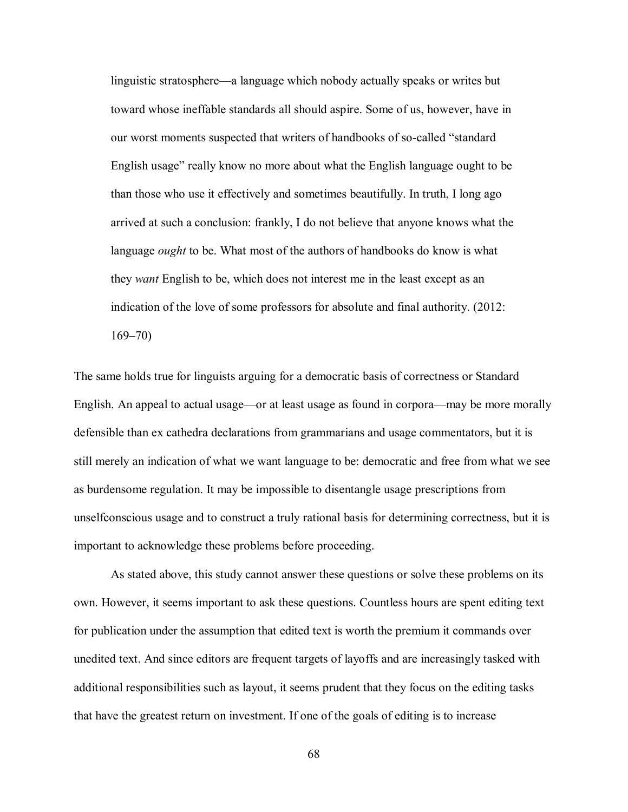linguistic stratosphere—a language which nobody actually speaks or writes but toward whose ineffable standards all should aspire. Some of us, however, have in our worst moments suspected that writers of handbooks of so-called "standard English usage" really know no more about what the English language ought to be than those who use it effectively and sometimes beautifully. In truth, I long ago arrived at such a conclusion: frankly, I do not believe that anyone knows what the language *ought* to be. What most of the authors of handbooks do know is what they *want* English to be, which does not interest me in the least except as an indication of the love of some professors for absolute and final authority. (2012: 169–70)

The same holds true for linguists arguing for a democratic basis of correctness or Standard English. An appeal to actual usage—or at least usage as found in corpora—may be more morally defensible than ex cathedra declarations from grammarians and usage commentators, but it is still merely an indication of what we want language to be: democratic and free from what we see as burdensome regulation. It may be impossible to disentangle usage prescriptions from unselfconscious usage and to construct a truly rational basis for determining correctness, but it is important to acknowledge these problems before proceeding.

As stated above, this study cannot answer these questions or solve these problems on its own. However, it seems important to ask these questions. Countless hours are spent editing text for publication under the assumption that edited text is worth the premium it commands over unedited text. And since editors are frequent targets of layoffs and are increasingly tasked with additional responsibilities such as layout, it seems prudent that they focus on the editing tasks that have the greatest return on investment. If one of the goals of editing is to increase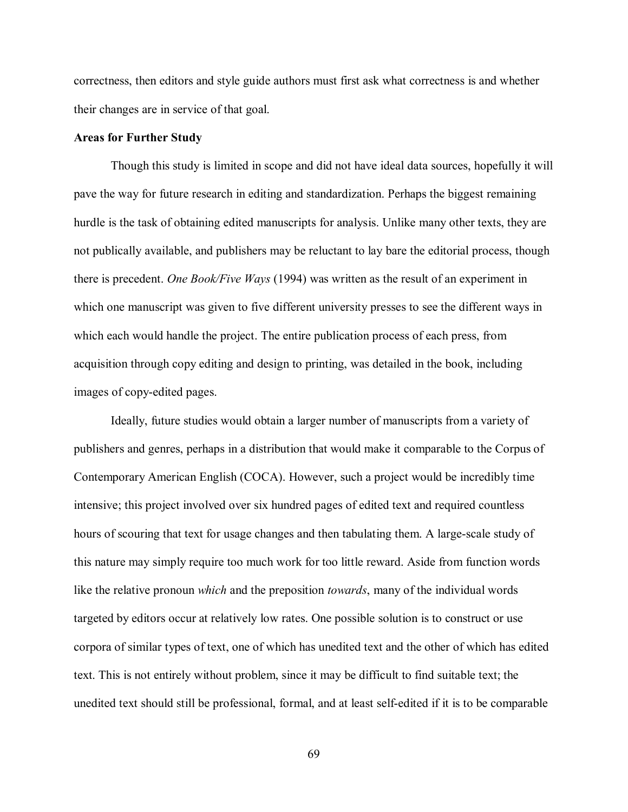correctness, then editors and style guide authors must first ask what correctness is and whether their changes are in service of that goal.

## **Areas for Further Study**

Though this study is limited in scope and did not have ideal data sources, hopefully it will pave the way for future research in editing and standardization. Perhaps the biggest remaining hurdle is the task of obtaining edited manuscripts for analysis. Unlike many other texts, they are not publically available, and publishers may be reluctant to lay bare the editorial process, though there is precedent. *One Book/Five Ways* (1994) was written as the result of an experiment in which one manuscript was given to five different university presses to see the different ways in which each would handle the project. The entire publication process of each press, from acquisition through copy editing and design to printing, was detailed in the book, including images of copy-edited pages.

Ideally, future studies would obtain a larger number of manuscripts from a variety of publishers and genres, perhaps in a distribution that would make it comparable to the Corpus of Contemporary American English (COCA). However, such a project would be incredibly time intensive; this project involved over six hundred pages of edited text and required countless hours of scouring that text for usage changes and then tabulating them. A large-scale study of this nature may simply require too much work for too little reward. Aside from function words like the relative pronoun *which* and the preposition *towards*, many of the individual words targeted by editors occur at relatively low rates. One possible solution is to construct or use corpora of similar types of text, one of which has unedited text and the other of which has edited text. This is not entirely without problem, since it may be difficult to find suitable text; the unedited text should still be professional, formal, and at least self-edited if it is to be comparable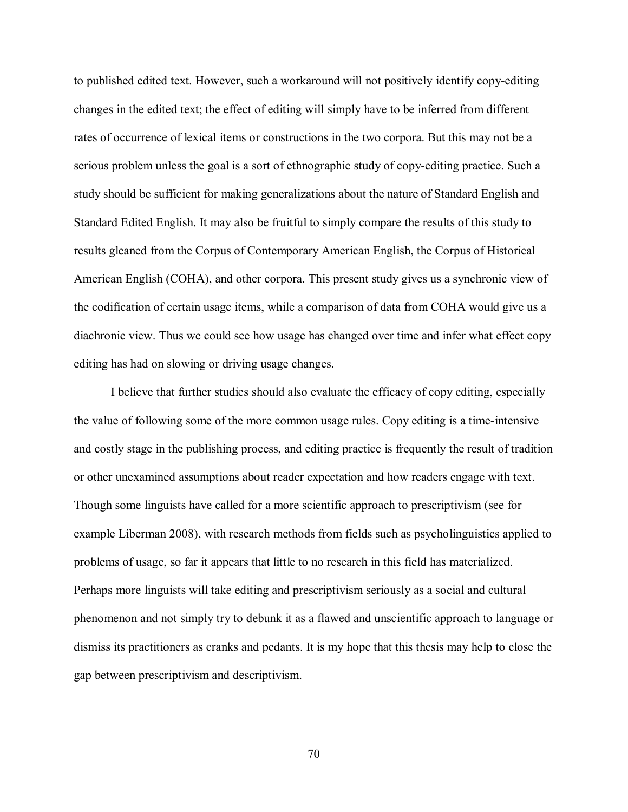to published edited text. However, such a workaround will not positively identify copy-editing changes in the edited text; the effect of editing will simply have to be inferred from different rates of occurrence of lexical items or constructions in the two corpora. But this may not be a serious problem unless the goal is a sort of ethnographic study of copy-editing practice. Such a study should be sufficient for making generalizations about the nature of Standard English and Standard Edited English. It may also be fruitful to simply compare the results of this study to results gleaned from the Corpus of Contemporary American English, the Corpus of Historical American English (COHA), and other corpora. This present study gives us a synchronic view of the codification of certain usage items, while a comparison of data from COHA would give us a diachronic view. Thus we could see how usage has changed over time and infer what effect copy editing has had on slowing or driving usage changes.

I believe that further studies should also evaluate the efficacy of copy editing, especially the value of following some of the more common usage rules. Copy editing is a time-intensive and costly stage in the publishing process, and editing practice is frequently the result of tradition or other unexamined assumptions about reader expectation and how readers engage with text. Though some linguists have called for a more scientific approach to prescriptivism (see for example Liberman 2008), with research methods from fields such as psycholinguistics applied to problems of usage, so far it appears that little to no research in this field has materialized. Perhaps more linguists will take editing and prescriptivism seriously as a social and cultural phenomenon and not simply try to debunk it as a flawed and unscientific approach to language or dismiss its practitioners as cranks and pedants. It is my hope that this thesis may help to close the gap between prescriptivism and descriptivism.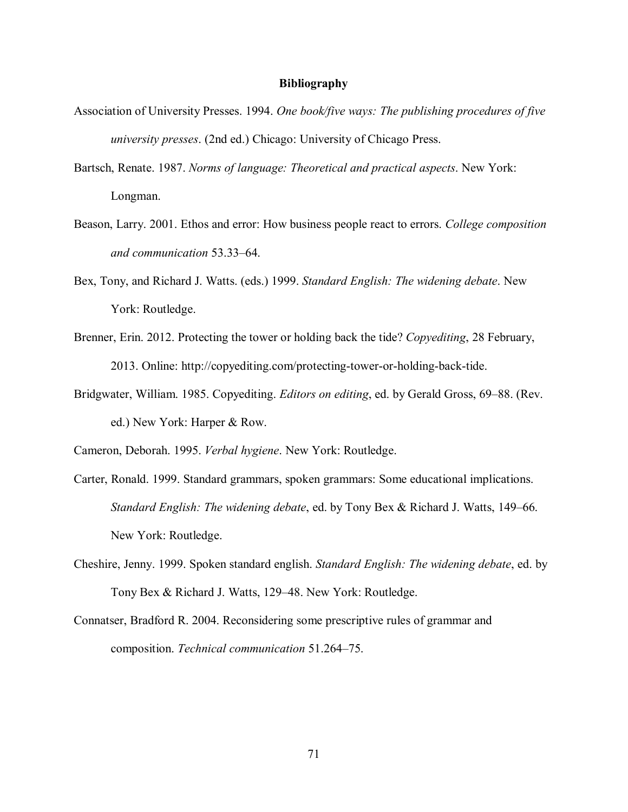## **Bibliography**

- Association of University Presses. 1994. *One book/five ways: The publishing procedures of five university presses*. (2nd ed.) Chicago: University of Chicago Press.
- Bartsch, Renate. 1987. *Norms of language: Theoretical and practical aspects*. New York: Longman.
- Beason, Larry. 2001. Ethos and error: How business people react to errors. *College composition and communication* 53.33–64.
- Bex, Tony, and Richard J. Watts. (eds.) 1999. *Standard English: The widening debate*. New York: Routledge.
- Brenner, Erin. 2012. Protecting the tower or holding back the tide? *Copyediting*, 28 February, 2013. Online: http://copyediting.com/protecting-tower-or-holding-back-tide.
- Bridgwater, William. 1985. Copyediting. *Editors on editing*, ed. by Gerald Gross, 69–88. (Rev. ed.) New York: Harper & Row.

Cameron, Deborah. 1995. *Verbal hygiene*. New York: Routledge.

- Carter, Ronald. 1999. Standard grammars, spoken grammars: Some educational implications. *Standard English: The widening debate*, ed. by Tony Bex & Richard J. Watts, 149–66. New York: Routledge.
- Cheshire, Jenny. 1999. Spoken standard english. *Standard English: The widening debate*, ed. by Tony Bex & Richard J. Watts, 129–48. New York: Routledge.
- Connatser, Bradford R. 2004. Reconsidering some prescriptive rules of grammar and composition. *Technical communication* 51.264–75.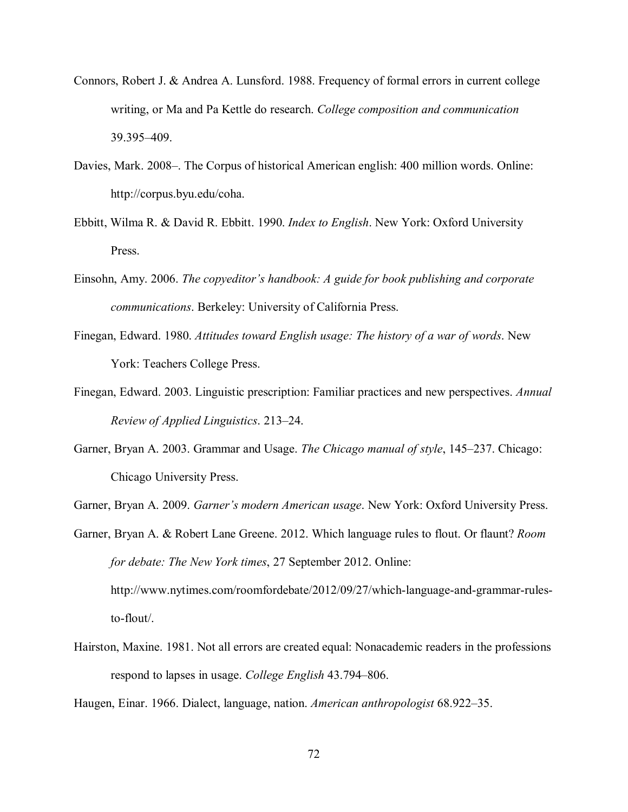- Connors, Robert J. & Andrea A. Lunsford. 1988. Frequency of formal errors in current college writing, or Ma and Pa Kettle do research. *College composition and communication* 39.395–409.
- Davies, Mark. 2008–. The Corpus of historical American english: 400 million words. Online: http://corpus.byu.edu/coha.
- Ebbitt, Wilma R. & David R. Ebbitt. 1990. *Index to English*. New York: Oxford University Press.
- Einsohn, Amy. 2006. *The copyeditor's handbook: A guide for book publishing and corporate communications*. Berkeley: University of California Press.
- Finegan, Edward. 1980. *Attitudes toward English usage: The history of a war of words*. New York: Teachers College Press.
- Finegan, Edward. 2003. Linguistic prescription: Familiar practices and new perspectives. *Annual Review of Applied Linguistics*. 213–24.
- Garner, Bryan A. 2003. Grammar and Usage. *The Chicago manual of style*, 145–237. Chicago: Chicago University Press.

Garner, Bryan A. 2009. *Garner's modern American usage*. New York: Oxford University Press.

Garner, Bryan A. & Robert Lane Greene. 2012. Which language rules to flout. Or flaunt? *Room for debate: The New York times*, 27 September 2012. Online: http://www.nytimes.com/roomfordebate/2012/09/27/which-language-and-grammar-rulesto-flout/.

Hairston, Maxine. 1981. Not all errors are created equal: Nonacademic readers in the professions respond to lapses in usage. *College English* 43.794–806.

Haugen, Einar. 1966. Dialect, language, nation. *American anthropologist* 68.922–35.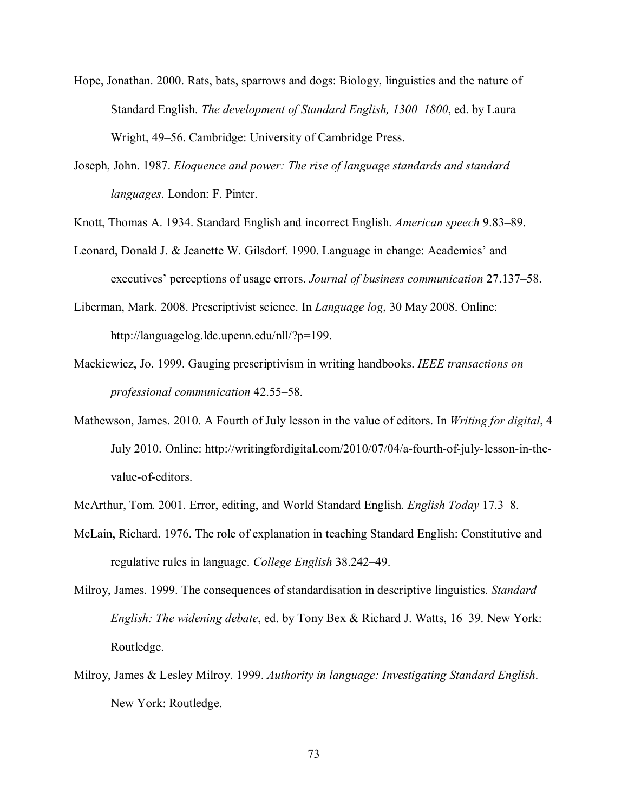- Hope, Jonathan. 2000. Rats, bats, sparrows and dogs: Biology, linguistics and the nature of Standard English. *The development of Standard English, 1300–1800*, ed. by Laura Wright, 49–56. Cambridge: University of Cambridge Press.
- Joseph, John. 1987. *Eloquence and power: The rise of language standards and standard languages*. London: F. Pinter.
- Knott, Thomas A. 1934. Standard English and incorrect English. *American speech* 9.83–89.
- Leonard, Donald J. & Jeanette W. Gilsdorf. 1990. Language in change: Academics' and executives' perceptions of usage errors. *Journal of business communication* 27.137–58.
- Liberman, Mark. 2008. Prescriptivist science. In *Language log*, 30 May 2008. Online: http://languagelog.ldc.upenn.edu/nll/?p=199.
- Mackiewicz, Jo. 1999. Gauging prescriptivism in writing handbooks. *IEEE transactions on professional communication* 42.55–58.
- Mathewson, James. 2010. A Fourth of July lesson in the value of editors. In *Writing for digital*, 4 July 2010. Online: http://writingfordigital.com/2010/07/04/a-fourth-of-july-lesson-in-thevalue-of-editors.
- McArthur, Tom. 2001. Error, editing, and World Standard English. *English Today* 17.3–8.
- McLain, Richard. 1976. The role of explanation in teaching Standard English: Constitutive and regulative rules in language. *College English* 38.242–49.
- Milroy, James. 1999. The consequences of standardisation in descriptive linguistics. *Standard English: The widening debate*, ed. by Tony Bex & Richard J. Watts, 16–39. New York: Routledge.
- Milroy, James & Lesley Milroy. 1999. *Authority in language: Investigating Standard English*. New York: Routledge.